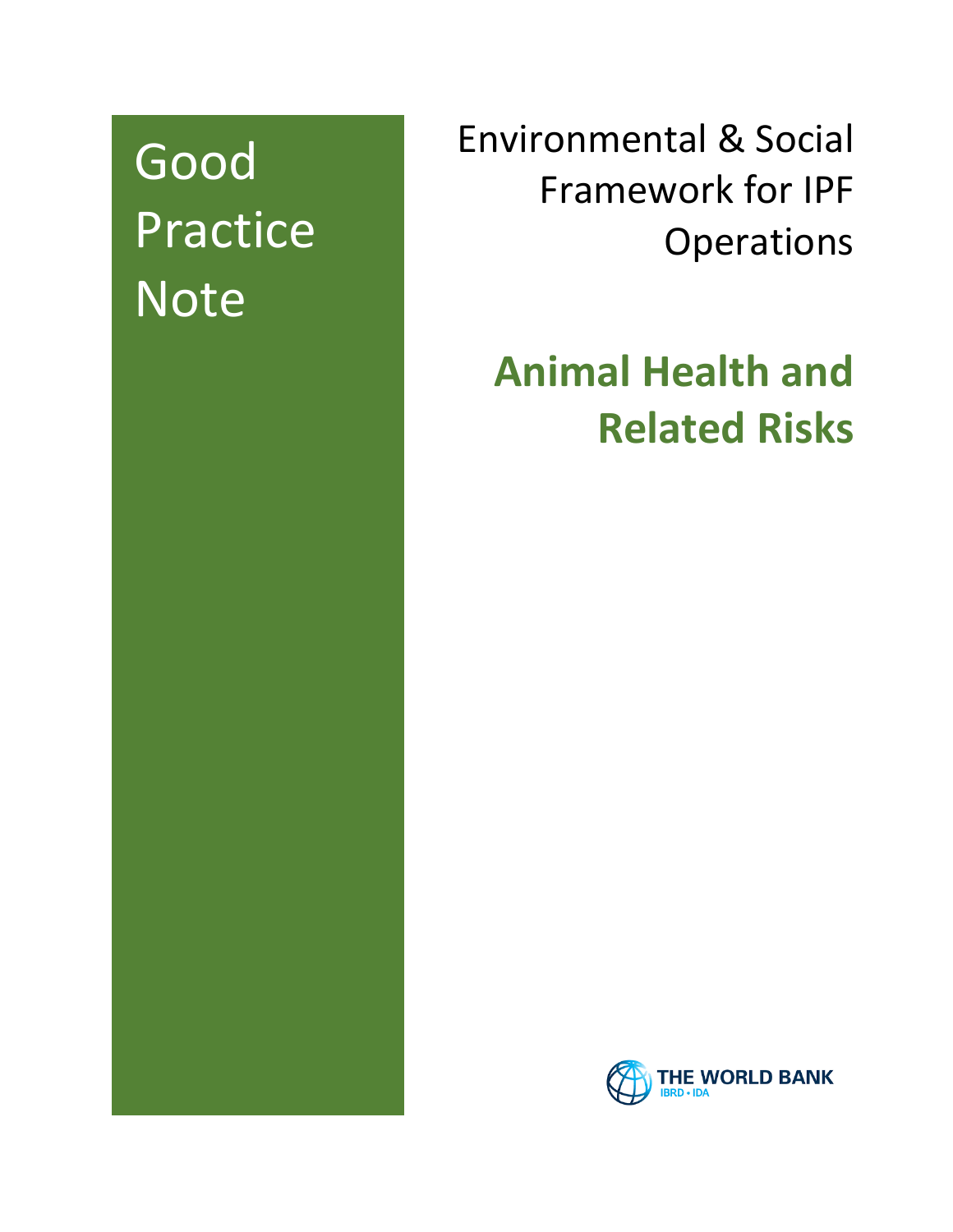# Good Practice **Note**

Environmental & Social Framework for IPF **Operations** 

# **Animal Health and Related Risks**

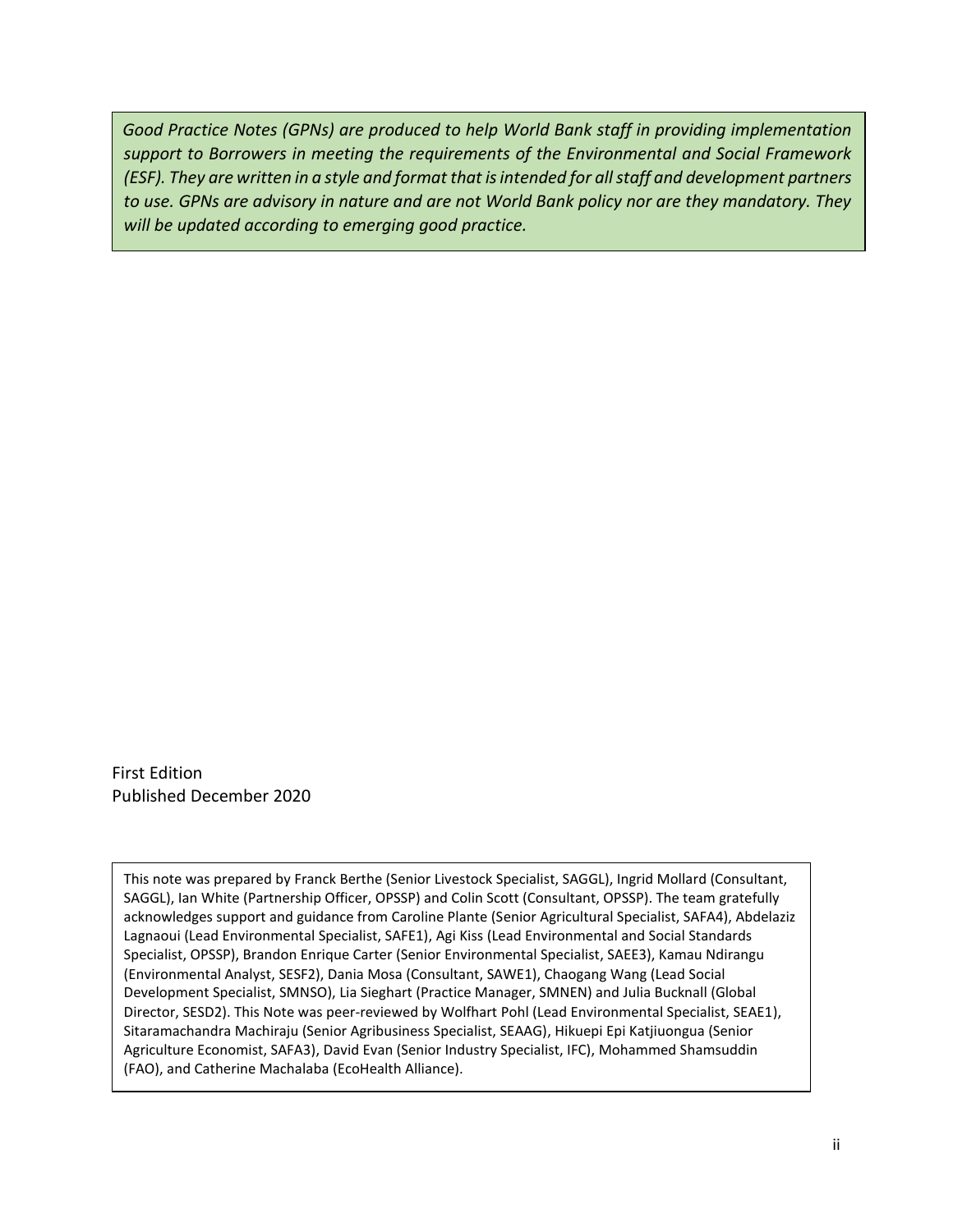Good Practice Notes (GPNs) are produced to help World Bank staff in providing implementation *support to Borrowers in meeting the requirements of the Environmental and Social Framework (ESF). They are written in a style and format that is intended for all staff and development partners to use. GPNs are advisory in nature and are not World Bank policy nor are they mandatory. They will be updated according to emerging good practice.*

First Edition Published December 2020

This note was prepared by Franck Berthe (Senior Livestock Specialist, SAGGL), Ingrid Mollard (Consultant, SAGGL), Ian White (Partnership Officer, OPSSP) and Colin Scott (Consultant, OPSSP). The team gratefully acknowledges support and guidance from Caroline Plante (Senior Agricultural Specialist, SAFA4), Abdelaziz Lagnaoui (Lead Environmental Specialist, SAFE1), Agi Kiss (Lead Environmental and Social Standards Specialist, OPSSP), Brandon Enrique Carter (Senior Environmental Specialist, SAEE3), Kamau Ndirangu (Environmental Analyst, SESF2), Dania Mosa (Consultant, SAWE1), Chaogang Wang (Lead Social Development Specialist, SMNSO), Lia Sieghart (Practice Manager, SMNEN) and Julia Bucknall (Global Director, SESD2). This Note was peer-reviewed by Wolfhart Pohl (Lead Environmental Specialist, SEAE1), Sitaramachandra Machiraju (Senior Agribusiness Specialist, SEAAG), Hikuepi Epi Katjiuongua (Senior Agriculture Economist, SAFA3), David Evan (Senior Industry Specialist, IFC), Mohammed Shamsuddin (FAO), and Catherine Machalaba (EcoHealth Alliance).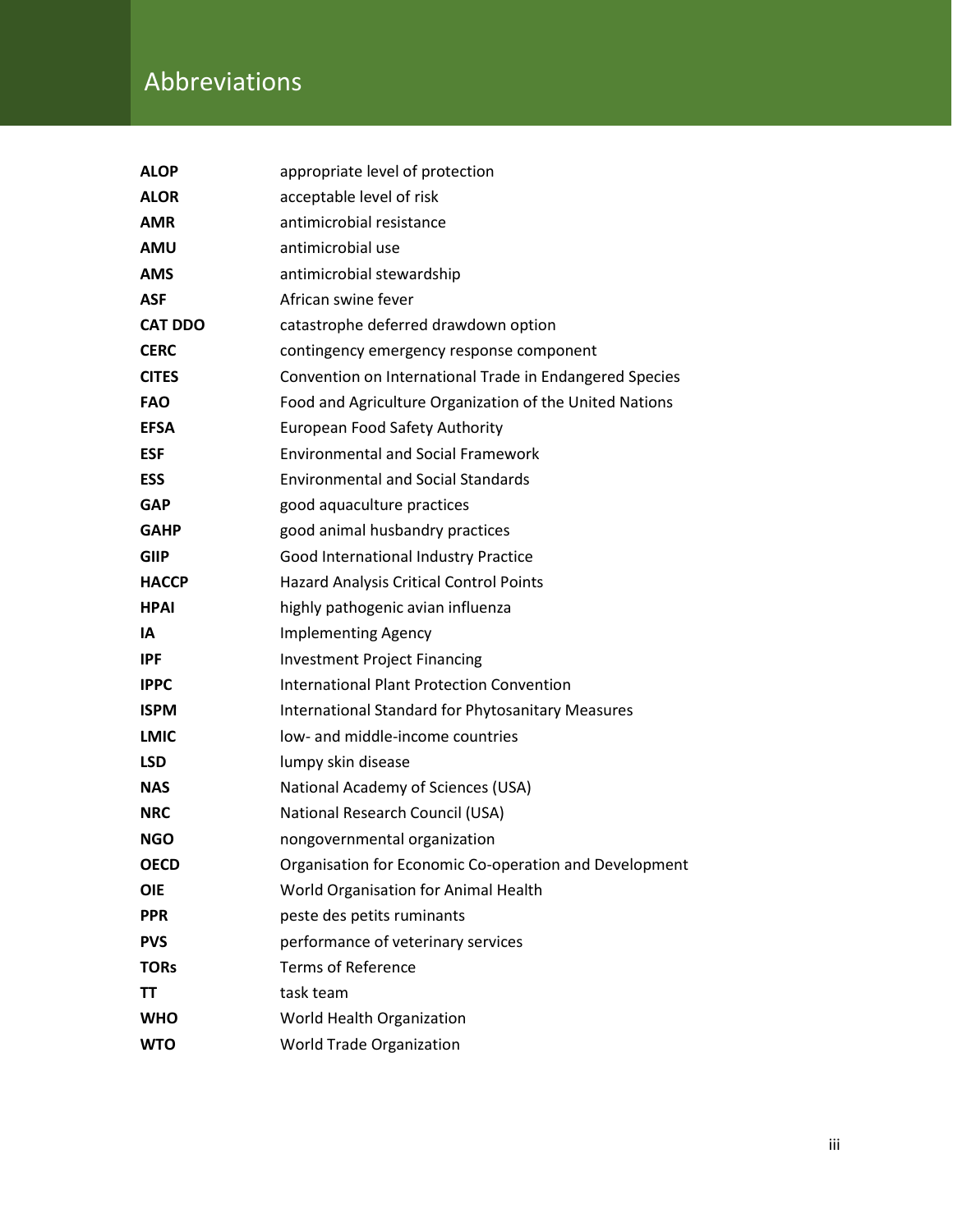# Abbreviations

| <b>ALOP</b>    | appropriate level of protection                          |
|----------------|----------------------------------------------------------|
| <b>ALOR</b>    | acceptable level of risk                                 |
| <b>AMR</b>     | antimicrobial resistance                                 |
| <b>AMU</b>     | antimicrobial use                                        |
| <b>AMS</b>     | antimicrobial stewardship                                |
| <b>ASF</b>     | African swine fever                                      |
| <b>CAT DDO</b> | catastrophe deferred drawdown option                     |
| <b>CERC</b>    | contingency emergency response component                 |
| <b>CITES</b>   | Convention on International Trade in Endangered Species  |
| <b>FAO</b>     | Food and Agriculture Organization of the United Nations  |
| <b>EFSA</b>    | <b>European Food Safety Authority</b>                    |
| <b>ESF</b>     | <b>Environmental and Social Framework</b>                |
| <b>ESS</b>     | <b>Environmental and Social Standards</b>                |
| <b>GAP</b>     | good aquaculture practices                               |
| <b>GAHP</b>    | good animal husbandry practices                          |
| <b>GIIP</b>    | Good International Industry Practice                     |
| <b>HACCP</b>   | Hazard Analysis Critical Control Points                  |
| <b>HPAI</b>    | highly pathogenic avian influenza                        |
| ΙA             | <b>Implementing Agency</b>                               |
| IPF.           | <b>Investment Project Financing</b>                      |
| <b>IPPC</b>    | <b>International Plant Protection Convention</b>         |
| <b>ISPM</b>    | <b>International Standard for Phytosanitary Measures</b> |
| <b>LMIC</b>    | low- and middle-income countries                         |
| <b>LSD</b>     | lumpy skin disease                                       |
| <b>NAS</b>     | National Academy of Sciences (USA)                       |
| <b>NRC</b>     | National Research Council (USA)                          |
| <b>NGO</b>     | nongovernmental organization                             |
| <b>OECD</b>    | Organisation for Economic Co-operation and Development   |
| <b>OIE</b>     | World Organisation for Animal Health                     |
| <b>PPR</b>     | peste des petits ruminants                               |
| <b>PVS</b>     | performance of veterinary services                       |
| <b>TORs</b>    | <b>Terms of Reference</b>                                |
| ΤT             | task team                                                |
| <b>WHO</b>     | World Health Organization                                |
| <b>WTO</b>     | <b>World Trade Organization</b>                          |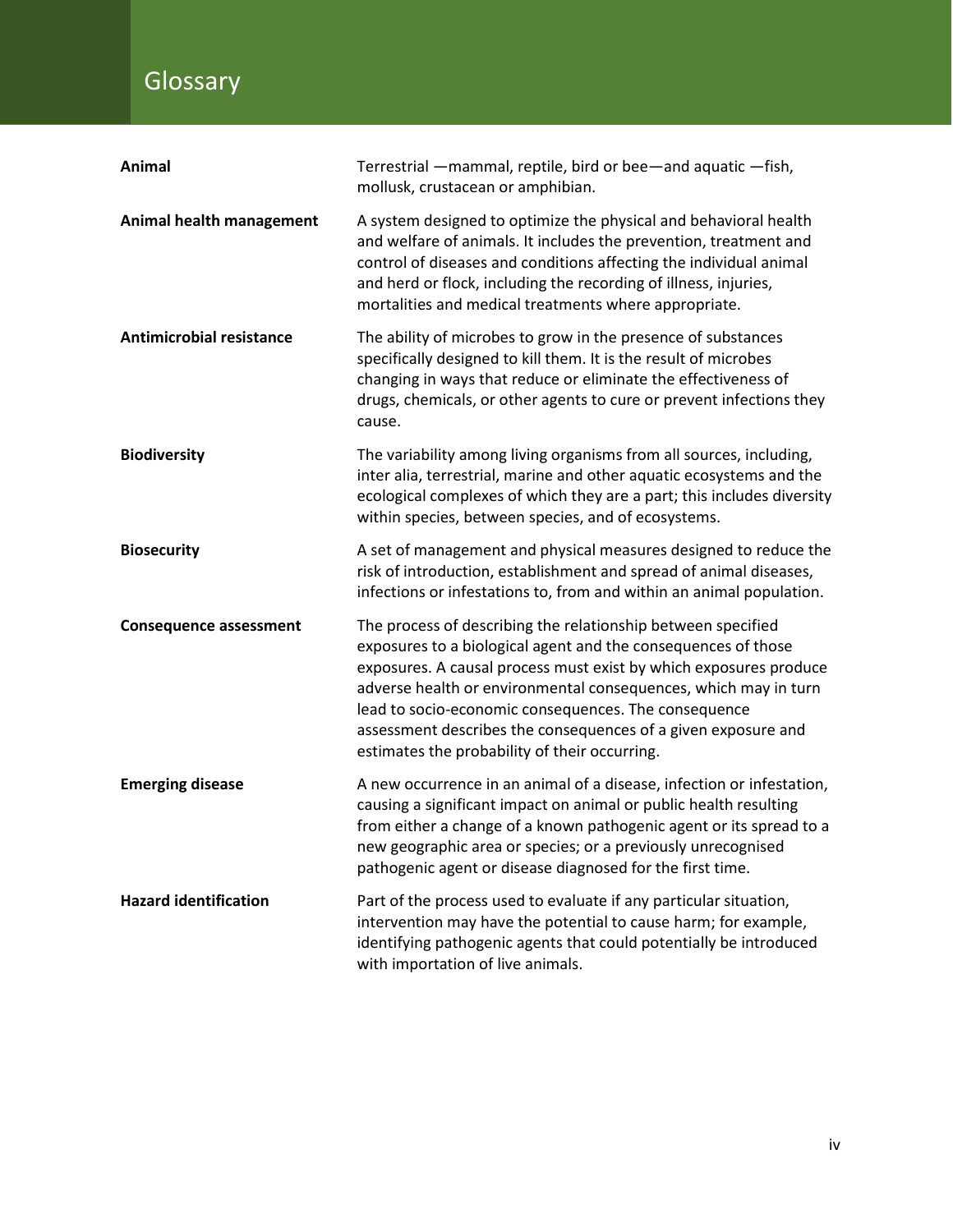# **Glossary**

| Animal                          | Terrestrial - mammal, reptile, bird or bee-and aquatic - fish,<br>mollusk, crustacean or amphibian.                                                                                                                                                                                                                                                                                                                                             |
|---------------------------------|-------------------------------------------------------------------------------------------------------------------------------------------------------------------------------------------------------------------------------------------------------------------------------------------------------------------------------------------------------------------------------------------------------------------------------------------------|
| Animal health management        | A system designed to optimize the physical and behavioral health<br>and welfare of animals. It includes the prevention, treatment and<br>control of diseases and conditions affecting the individual animal<br>and herd or flock, including the recording of illness, injuries,<br>mortalities and medical treatments where appropriate.                                                                                                        |
| <b>Antimicrobial resistance</b> | The ability of microbes to grow in the presence of substances<br>specifically designed to kill them. It is the result of microbes<br>changing in ways that reduce or eliminate the effectiveness of<br>drugs, chemicals, or other agents to cure or prevent infections they<br>cause.                                                                                                                                                           |
| <b>Biodiversity</b>             | The variability among living organisms from all sources, including,<br>inter alia, terrestrial, marine and other aquatic ecosystems and the<br>ecological complexes of which they are a part; this includes diversity<br>within species, between species, and of ecosystems.                                                                                                                                                                    |
| <b>Biosecurity</b>              | A set of management and physical measures designed to reduce the<br>risk of introduction, establishment and spread of animal diseases,<br>infections or infestations to, from and within an animal population.                                                                                                                                                                                                                                  |
| <b>Consequence assessment</b>   | The process of describing the relationship between specified<br>exposures to a biological agent and the consequences of those<br>exposures. A causal process must exist by which exposures produce<br>adverse health or environmental consequences, which may in turn<br>lead to socio-economic consequences. The consequence<br>assessment describes the consequences of a given exposure and<br>estimates the probability of their occurring. |
| <b>Emerging disease</b>         | A new occurrence in an animal of a disease, infection or infestation,<br>causing a significant impact on animal or public health resulting<br>from either a change of a known pathogenic agent or its spread to a<br>new geographic area or species; or a previously unrecognised<br>pathogenic agent or disease diagnosed for the first time.                                                                                                  |
| <b>Hazard identification</b>    | Part of the process used to evaluate if any particular situation,<br>intervention may have the potential to cause harm; for example,<br>identifying pathogenic agents that could potentially be introduced<br>with importation of live animals.                                                                                                                                                                                                 |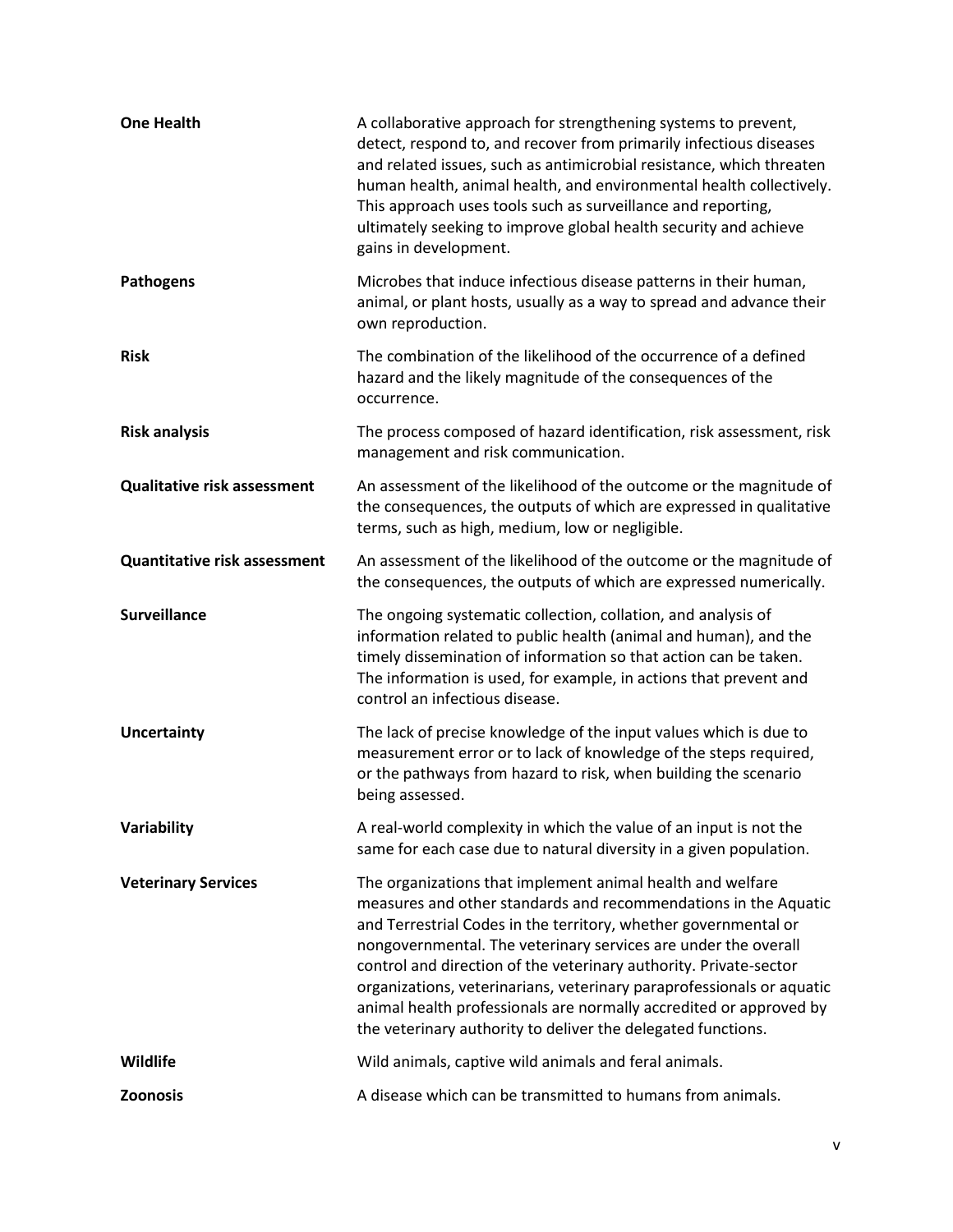| <b>One Health</b>                   | A collaborative approach for strengthening systems to prevent,<br>detect, respond to, and recover from primarily infectious diseases<br>and related issues, such as antimicrobial resistance, which threaten<br>human health, animal health, and environmental health collectively.<br>This approach uses tools such as surveillance and reporting,<br>ultimately seeking to improve global health security and achieve<br>gains in development.                                                                                                       |
|-------------------------------------|--------------------------------------------------------------------------------------------------------------------------------------------------------------------------------------------------------------------------------------------------------------------------------------------------------------------------------------------------------------------------------------------------------------------------------------------------------------------------------------------------------------------------------------------------------|
| <b>Pathogens</b>                    | Microbes that induce infectious disease patterns in their human,<br>animal, or plant hosts, usually as a way to spread and advance their<br>own reproduction.                                                                                                                                                                                                                                                                                                                                                                                          |
| <b>Risk</b>                         | The combination of the likelihood of the occurrence of a defined<br>hazard and the likely magnitude of the consequences of the<br>occurrence.                                                                                                                                                                                                                                                                                                                                                                                                          |
| <b>Risk analysis</b>                | The process composed of hazard identification, risk assessment, risk<br>management and risk communication.                                                                                                                                                                                                                                                                                                                                                                                                                                             |
| <b>Qualitative risk assessment</b>  | An assessment of the likelihood of the outcome or the magnitude of<br>the consequences, the outputs of which are expressed in qualitative<br>terms, such as high, medium, low or negligible.                                                                                                                                                                                                                                                                                                                                                           |
| <b>Quantitative risk assessment</b> | An assessment of the likelihood of the outcome or the magnitude of<br>the consequences, the outputs of which are expressed numerically.                                                                                                                                                                                                                                                                                                                                                                                                                |
| <b>Surveillance</b>                 | The ongoing systematic collection, collation, and analysis of<br>information related to public health (animal and human), and the<br>timely dissemination of information so that action can be taken.<br>The information is used, for example, in actions that prevent and<br>control an infectious disease.                                                                                                                                                                                                                                           |
| <b>Uncertainty</b>                  | The lack of precise knowledge of the input values which is due to<br>measurement error or to lack of knowledge of the steps required,<br>or the pathways from hazard to risk, when building the scenario<br>being assessed.                                                                                                                                                                                                                                                                                                                            |
| Variability                         | A real-world complexity in which the value of an input is not the<br>same for each case due to natural diversity in a given population.                                                                                                                                                                                                                                                                                                                                                                                                                |
| <b>Veterinary Services</b>          | The organizations that implement animal health and welfare<br>measures and other standards and recommendations in the Aquatic<br>and Terrestrial Codes in the territory, whether governmental or<br>nongovernmental. The veterinary services are under the overall<br>control and direction of the veterinary authority. Private-sector<br>organizations, veterinarians, veterinary paraprofessionals or aquatic<br>animal health professionals are normally accredited or approved by<br>the veterinary authority to deliver the delegated functions. |
| Wildlife                            | Wild animals, captive wild animals and feral animals.                                                                                                                                                                                                                                                                                                                                                                                                                                                                                                  |
| <b>Zoonosis</b>                     | A disease which can be transmitted to humans from animals.                                                                                                                                                                                                                                                                                                                                                                                                                                                                                             |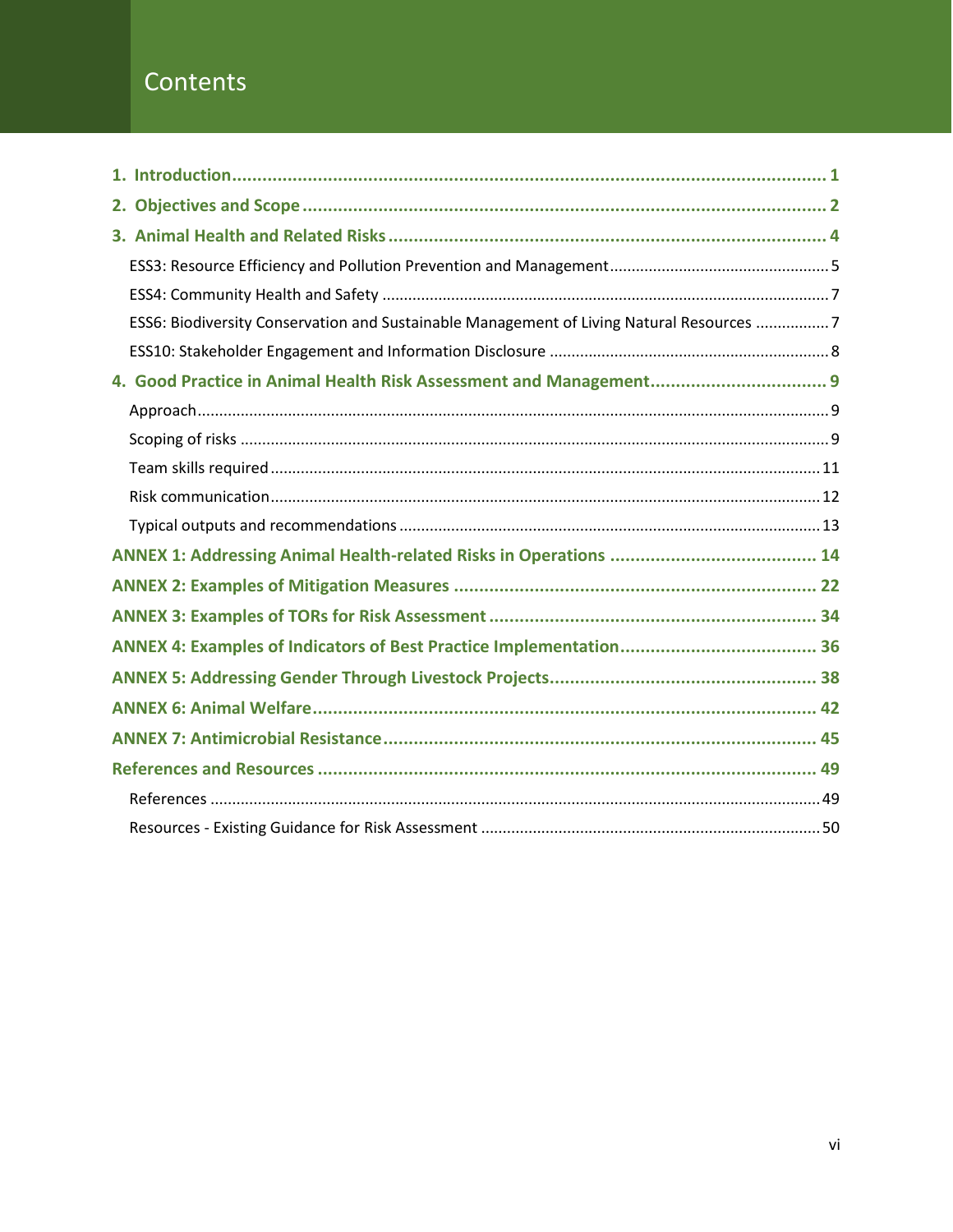## Contents

| ESS6: Biodiversity Conservation and Sustainable Management of Living Natural Resources 7 |
|------------------------------------------------------------------------------------------|
|                                                                                          |
|                                                                                          |
|                                                                                          |
|                                                                                          |
|                                                                                          |
|                                                                                          |
|                                                                                          |
|                                                                                          |
|                                                                                          |
|                                                                                          |
|                                                                                          |
|                                                                                          |
|                                                                                          |
|                                                                                          |
|                                                                                          |
|                                                                                          |
|                                                                                          |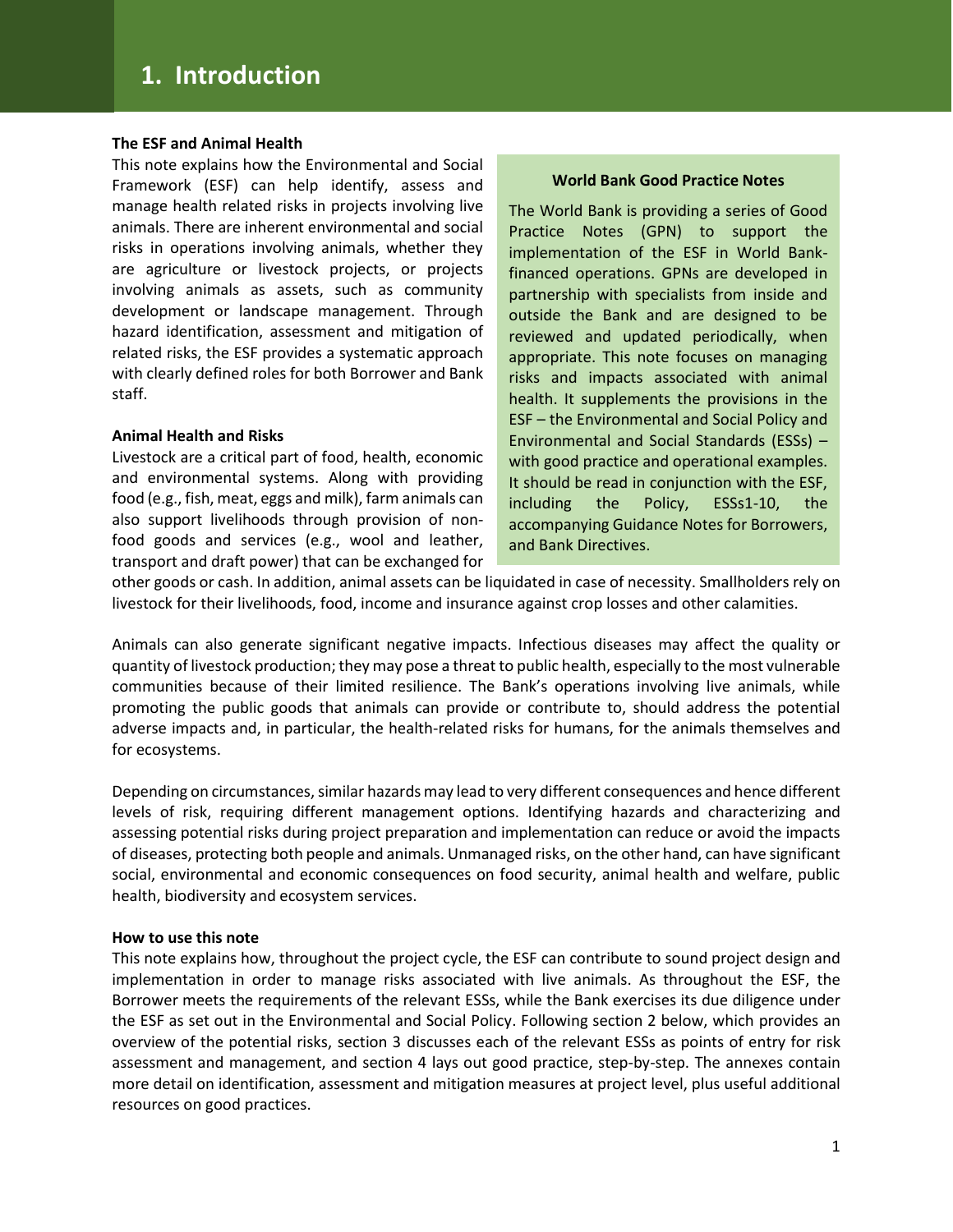#### **The ESF and Animal Health**

This note explains how the Environmental and Social Framework (ESF) can help identify, assess and manage health related risks in projects involving live animals. There are inherent environmental and social risks in operations involving animals, whether they are agriculture or livestock projects, or projects involving animals as assets, such as community development or landscape management. Through hazard identification, assessment and mitigation of related risks, the ESF provides a systematic approach with clearly defined roles for both Borrower and Bank staff.

#### **Animal Health and Risks**

Livestock are a critical part of food, health, economic and environmental systems. Along with providing food (e.g., fish, meat, eggs and milk), farm animals can also support livelihoods through provision of nonfood goods and services (e.g., wool and leather, transport and draft power) that can be exchanged for

#### **World Bank Good Practice Notes**

The World Bank is providing a series of Good Practice Notes (GPN) to support the implementation of the ESF in World Bankfinanced operations. GPNs are developed in partnership with specialists from inside and outside the Bank and are designed to be reviewed and updated periodically, when appropriate. This note focuses on managing risks and impacts associated with animal health. It supplements the provisions in the ESF – the Environmental and Social Policy and Environmental and Social Standards (ESSs) – with good practice and operational examples. It should be read in conjunction with the ESF, including the Policy, ESSs1-10, the accompanying Guidance Notes for Borrowers, and Bank Directives.

other goods or cash. In addition, animal assets can be liquidated in case of necessity. Smallholders rely on livestock for their livelihoods, food, income and insurance against crop losses and other calamities.

Animals can also generate significant negative impacts. Infectious diseases may affect the quality or quantity of livestock production; they may pose a threat to public health, especially to the most vulnerable communities because of their limited resilience. The Bank's operations involving live animals, while promoting the public goods that animals can provide or contribute to, should address the potential adverse impacts and, in particular, the health-related risks for humans, for the animals themselves and for ecosystems.

Depending on circumstances, similar hazards may lead to very different consequences and hence different levels of risk, requiring different management options. Identifying hazards and characterizing and assessing potential risks during project preparation and implementation can reduce or avoid the impacts of diseases, protecting both people and animals. Unmanaged risks, on the other hand, can have significant social, environmental and economic consequences on food security, animal health and welfare, public health, biodiversity and ecosystem services.

#### **How to use this note**

This note explains how, throughout the project cycle, the ESF can contribute to sound project design and implementation in order to manage risks associated with live animals. As throughout the ESF, the Borrower meets the requirements of the relevant ESSs, while the Bank exercises its due diligence under the ESF as set out in the Environmental and Social Policy. Following section 2 below, which provides an overview of the potential risks, section 3 discusses each of the relevant ESSs as points of entry for risk assessment and management, and section 4 lays out good practice, step-by-step. The annexes contain more detail on identification, assessment and mitigation measures at project level, plus useful additional resources on good practices.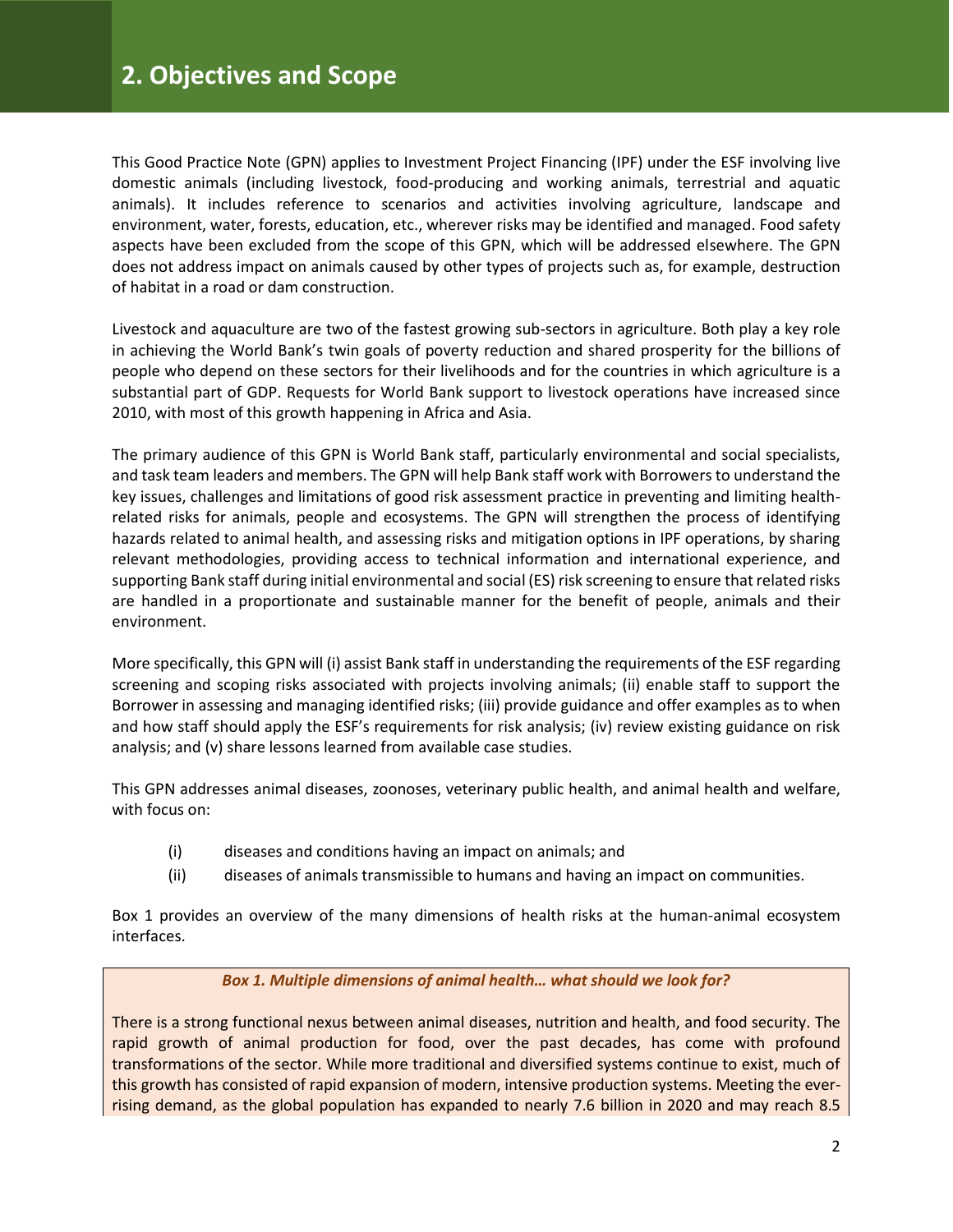This Good Practice Note (GPN) applies to Investment Project Financing (IPF) under the ESF involving live domestic animals (including livestock, food-producing and working animals, terrestrial and aquatic animals). It includes reference to scenarios and activities involving agriculture, landscape and environment, water, forests, education, etc., wherever risks may be identified and managed. Food safety aspects have been excluded from the scope of this GPN, which will be addressed elsewhere. The GPN does not address impact on animals caused by other types of projects such as, for example, destruction of habitat in a road or dam construction.

Livestock and aquaculture are two of the fastest growing sub-sectors in agriculture. Both play a key role in achieving the World Bank's twin goals of poverty reduction and shared prosperity for the billions of people who depend on these sectors for their livelihoods and for the countries in which agriculture is a substantial part of GDP. Requests for World Bank support to livestock operations have increased since 2010, with most of this growth happening in Africa and Asia.

The primary audience of this GPN is World Bank staff, particularly environmental and social specialists, and task team leaders and members. The GPN will help Bank staff work with Borrowers to understand the key issues, challenges and limitations of good risk assessment practice in preventing and limiting healthrelated risks for animals, people and ecosystems. The GPN will strengthen the process of identifying hazards related to animal health, and assessing risks and mitigation options in IPF operations, by sharing relevant methodologies, providing access to technical information and international experience, and supporting Bank staff during initial environmental and social (ES) risk screening to ensure that related risks are handled in a proportionate and sustainable manner for the benefit of people, animals and their environment.

More specifically, this GPN will (i) assist Bank staff in understanding the requirements of the ESF regarding screening and scoping risks associated with projects involving animals; (ii) enable staff to support the Borrower in assessing and managing identified risks; (iii) provide guidance and offer examples as to when and how staff should apply the ESF's requirements for risk analysis; (iv) review existing guidance on risk analysis; and (v) share lessons learned from available case studies.

This GPN addresses animal diseases, zoonoses, veterinary public health, and animal health and welfare, with focus on:

- (i) diseases and conditions having an impact on animals; and
- (ii) diseases of animals transmissible to humans and having an impact on communities.

Box 1 provides an overview of the many dimensions of health risks at the human-animal ecosystem interfaces.

#### *Box 1. Multiple dimensions of animal health… what should we look for?*

There is a strong functional nexus between animal diseases, nutrition and health, and food security. The rapid growth of animal production for food, over the past decades, has come with profound transformations of the sector. While more traditional and diversified systems continue to exist, much of this growth has consisted of rapid expansion of modern, intensive production systems. Meeting the everrising demand, as the global population has expanded to nearly 7.6 billion in 2020 and may reach 8.5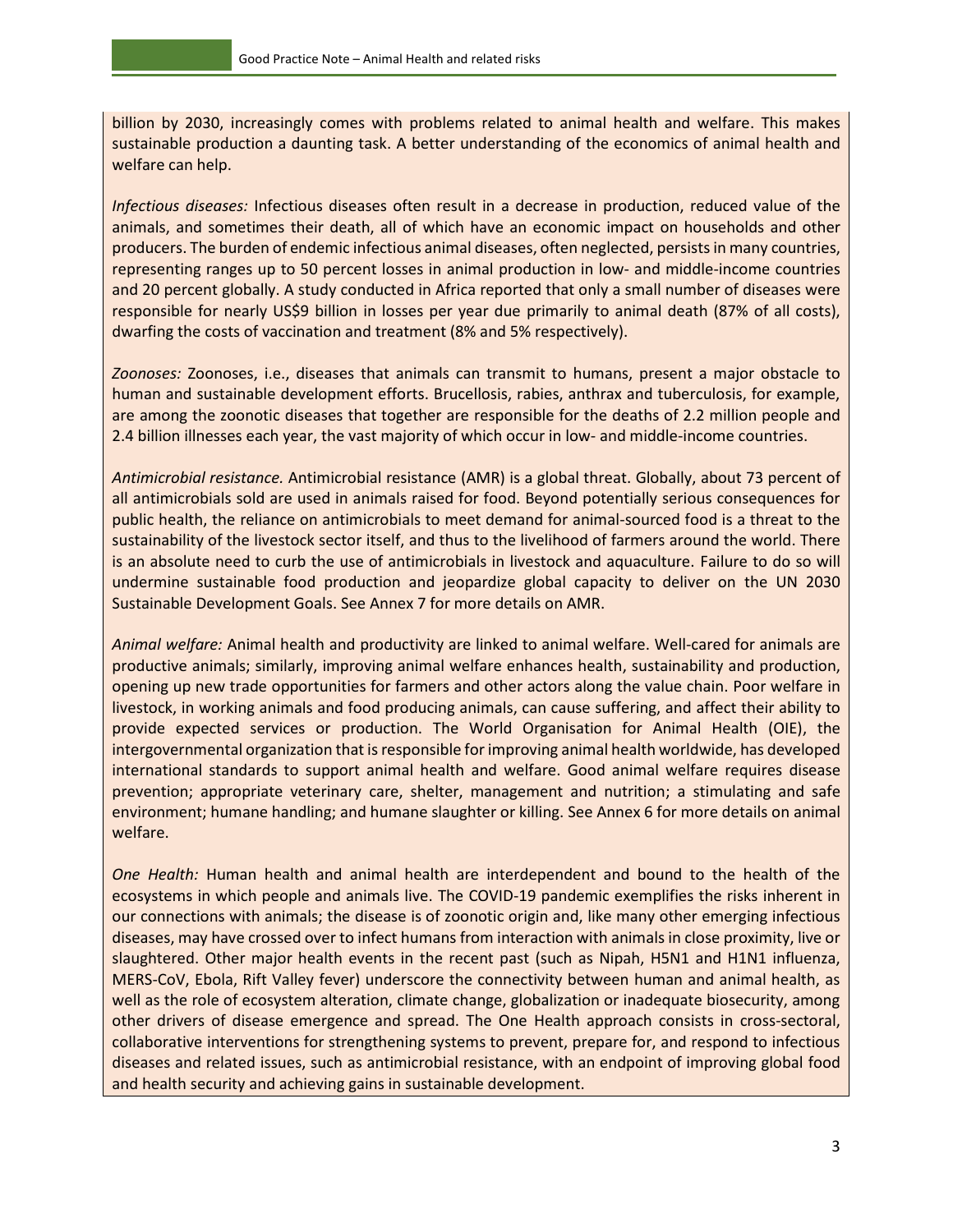billion by 2030, increasingly comes with problems related to animal health and welfare. This makes sustainable production a daunting task. A better understanding of the economics of animal health and welfare can help.

*Infectious diseases:* Infectious diseases often result in a decrease in production, reduced value of the animals, and sometimes their death, all of which have an economic impact on households and other producers. The burden of endemic infectious animal diseases, often neglected, persists in many countries, representing ranges up to 50 percent losses in animal production in low- and middle-income countries and 20 percent globally. A study conducted in Africa reported that only a small number of diseases were responsible for nearly US\$9 billion in losses per year due primarily to animal death (87% of all costs), dwarfing the costs of vaccination and treatment (8% and 5% respectively).

*Zoonoses:* Zoonoses, i.e., diseases that animals can transmit to humans, present a major obstacle to human and sustainable development efforts. Brucellosis, rabies, anthrax and tuberculosis, for example, are among the zoonotic diseases that together are responsible for the deaths of 2.2 million people and 2.4 billion illnesses each year, the vast majority of which occur in low- and middle-income countries.

*Antimicrobial resistance.* Antimicrobial resistance (AMR) is a global threat. Globally, about 73 percent of all antimicrobials sold are used in animals raised for food. Beyond potentially serious consequences for public health, the reliance on antimicrobials to meet demand for animal-sourced food is a threat to the sustainability of the livestock sector itself, and thus to the livelihood of farmers around the world. There is an absolute need to curb the use of antimicrobials in livestock and aquaculture. Failure to do so will undermine sustainable food production and jeopardize global capacity to deliver on the UN 2030 Sustainable Development Goals. See Annex 7 for more details on AMR.

*Animal welfare:* Animal health and productivity are linked to animal welfare. Well-cared for animals are productive animals; similarly, improving animal welfare enhances health, sustainability and production, opening up new trade opportunities for farmers and other actors along the value chain. Poor welfare in livestock, in working animals and food producing animals, can cause suffering, and affect their ability to provide expected services or production. The World Organisation for Animal Health (OIE), the intergovernmental organization that is responsible for improving animal health worldwide, has developed international standards to support animal health and welfare. Good animal welfare requires disease prevention; appropriate veterinary care, shelter, management and nutrition; a stimulating and safe environment; humane handling; and humane slaughter or killing. See Annex 6 for more details on animal welfare.

*One Health:* Human health and animal health are interdependent and bound to the health of the ecosystems in which people and animals live. The COVID-19 pandemic exemplifies the risks inherent in our connections with animals; the disease is of zoonotic origin and, like many other emerging infectious diseases, may have crossed over to infect humans from interaction with animals in close proximity, live or slaughtered. Other major health events in the recent past (such as Nipah, H5N1 and H1N1 influenza, MERS-CoV, Ebola, Rift Valley fever) underscore the connectivity between human and animal health, as well as the role of ecosystem alteration, climate change, globalization or inadequate biosecurity, among other drivers of disease emergence and spread. The One Health approach consists in cross-sectoral, collaborative interventions for strengthening systems to prevent, prepare for, and respond to infectious diseases and related issues, such as antimicrobial resistance, with an endpoint of improving global food and health security and achieving gains in sustainable development.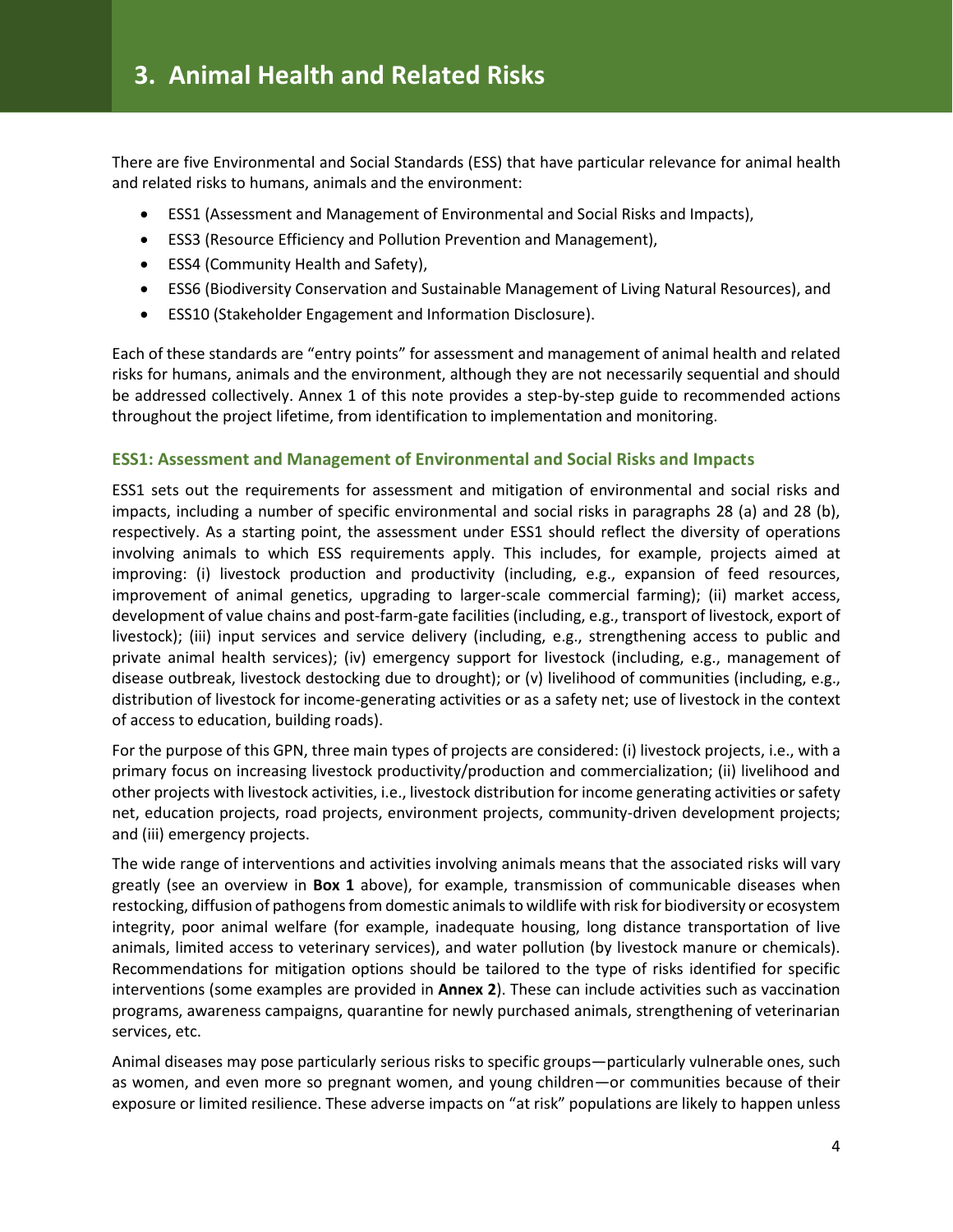There are five Environmental and Social Standards (ESS) that have particular relevance for animal health and related risks to humans, animals and the environment:

- ESS1 (Assessment and Management of Environmental and Social Risks and Impacts),
- ESS3 (Resource Efficiency and Pollution Prevention and Management),
- ESS4 (Community Health and Safety),
- ESS6 (Biodiversity Conservation and Sustainable Management of Living Natural Resources), and
- ESS10 (Stakeholder Engagement and Information Disclosure).

Each of these standards are "entry points" for assessment and management of animal health and related risks for humans, animals and the environment, although they are not necessarily sequential and should be addressed collectively. Annex 1 of this note provides a step-by-step guide to recommended actions throughout the project lifetime, from identification to implementation and monitoring.

#### **ESS1: Assessment and Management of Environmental and Social Risks and Impacts**

ESS1 sets out the requirements for assessment and mitigation of environmental and social risks and impacts, including a number of specific environmental and social risks in paragraphs 28 (a) and 28 (b), respectively. As a starting point, the assessment under ESS1 should reflect the diversity of operations involving animals to which ESS requirements apply. This includes, for example, projects aimed at improving: (i) livestock production and productivity (including, e.g., expansion of feed resources, improvement of animal genetics, upgrading to larger-scale commercial farming); (ii) market access, development of value chains and post-farm-gate facilities (including, e.g., transport of livestock, export of livestock); (iii) input services and service delivery (including, e.g., strengthening access to public and private animal health services); (iv) emergency support for livestock (including, e.g., management of disease outbreak, livestock destocking due to drought); or (v) livelihood of communities (including, e.g., distribution of livestock for income-generating activities or as a safety net; use of livestock in the context of access to education, building roads).

For the purpose of this GPN, three main types of projects are considered: (i) livestock projects, i.e., with a primary focus on increasing livestock productivity/production and commercialization; (ii) livelihood and other projects with livestock activities, i.e., livestock distribution for income generating activities or safety net, education projects, road projects, environment projects, community-driven development projects; and (iii) emergency projects.

The wide range of interventions and activities involving animals means that the associated risks will vary greatly (see an overview in **Box 1** above), for example, transmission of communicable diseases when restocking, diffusion of pathogens from domestic animals to wildlife with risk for biodiversity or ecosystem integrity, poor animal welfare (for example, inadequate housing, long distance transportation of live animals, limited access to veterinary services), and water pollution (by livestock manure or chemicals). Recommendations for mitigation options should be tailored to the type of risks identified for specific interventions (some examples are provided in **Annex 2**). These can include activities such as vaccination programs, awareness campaigns, quarantine for newly purchased animals, strengthening of veterinarian services, etc.

Animal diseases may pose particularly serious risks to specific groups—particularly vulnerable ones, such as women, and even more so pregnant women, and young children—or communities because of their exposure or limited resilience. These adverse impacts on "at risk" populations are likely to happen unless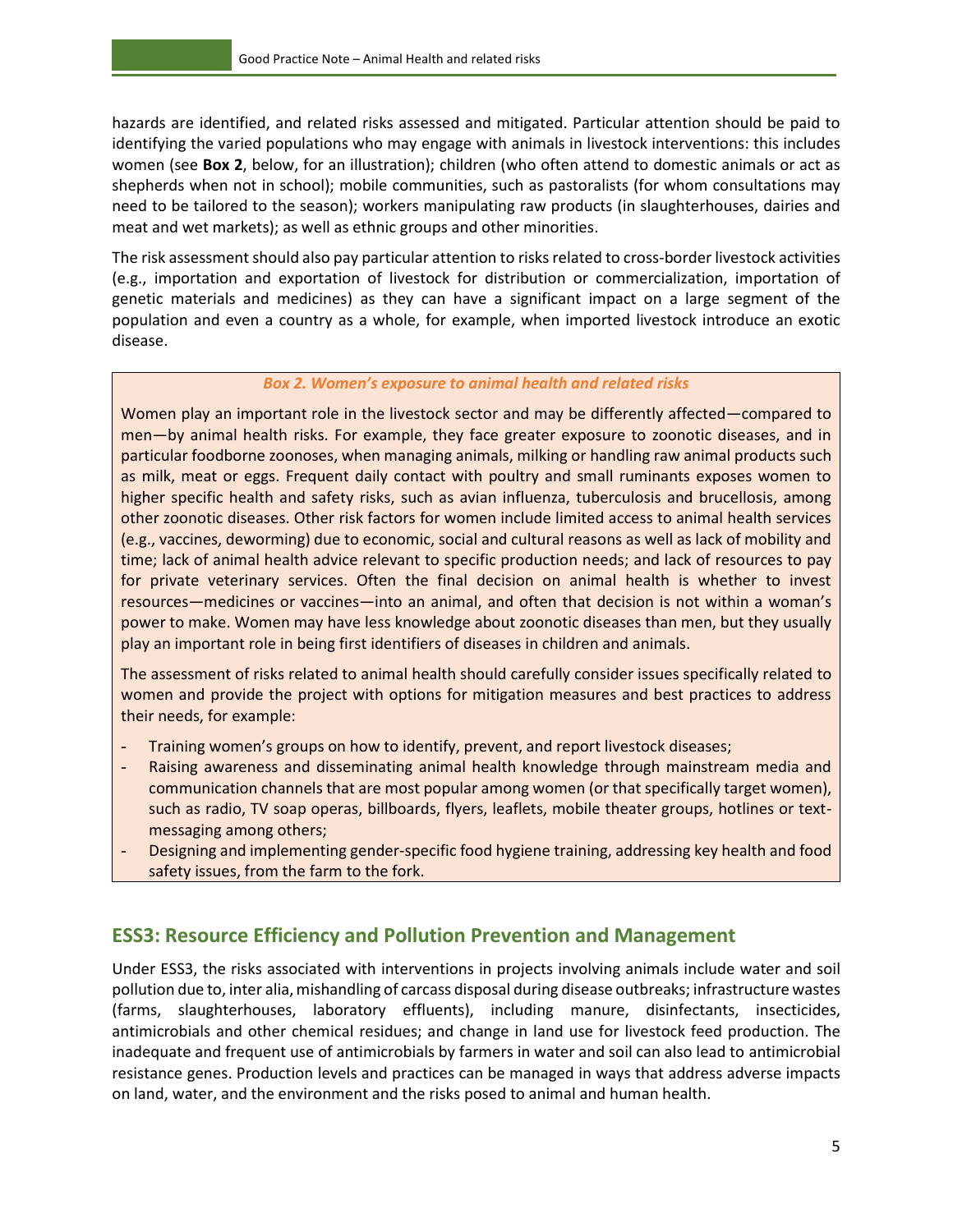hazards are identified, and related risks assessed and mitigated. Particular attention should be paid to identifying the varied populations who may engage with animals in livestock interventions: this includes women (see **Box 2**, below, for an illustration); children (who often attend to domestic animals or act as shepherds when not in school); mobile communities, such as pastoralists (for whom consultations may need to be tailored to the season); workers manipulating raw products (in slaughterhouses, dairies and meat and wet markets); as well as ethnic groups and other minorities.

The risk assessment should also pay particular attention to risks related to cross-border livestock activities (e.g., importation and exportation of livestock for distribution or commercialization, importation of genetic materials and medicines) as they can have a significant impact on a large segment of the population and even a country as a whole, for example, when imported livestock introduce an exotic disease.

#### *Box 2. Women's exposure to animal health and related risks*

Women play an important role in the livestock sector and may be differently affected—compared to men—by animal health risks. For example, they face greater exposure to zoonotic diseases, and in particular foodborne zoonoses, when managing animals, milking or handling raw animal products such as milk, meat or eggs. Frequent daily contact with poultry and small ruminants exposes women to higher specific health and safety risks, such as avian influenza, tuberculosis and brucellosis, among other zoonotic diseases. Other risk factors for women include limited access to animal health services (e.g., vaccines, deworming) due to economic, social and cultural reasons as well as lack of mobility and time; lack of animal health advice relevant to specific production needs; and lack of resources to pay for private veterinary services. Often the final decision on animal health is whether to invest resources—medicines or vaccines—into an animal, and often that decision is not within a woman's power to make. Women may have less knowledge about zoonotic diseases than men, but they usually play an important role in being first identifiers of diseases in children and animals.

The assessment of risks related to animal health should carefully consider issues specifically related to women and provide the project with options for mitigation measures and best practices to address their needs, for example:

- Training women's groups on how to identify, prevent, and report livestock diseases;
- Raising awareness and disseminating animal health knowledge through mainstream media and communication channels that are most popular among women (or that specifically target women), such as radio, TV soap operas, billboards, flyers, leaflets, mobile theater groups, hotlines or textmessaging among others;
- Designing and implementing gender-specific food hygiene training, addressing key health and food safety issues, from the farm to the fork.

## <span id="page-10-0"></span>**ESS3: Resource Efficiency and Pollution Prevention and Management**

Under ESS3, the risks associated with interventions in projects involving animals include water and soil pollution due to, inter alia, mishandling of carcass disposal during disease outbreaks; infrastructure wastes (farms, slaughterhouses, laboratory effluents), including manure, disinfectants, insecticides, antimicrobials and other chemical residues; and change in land use for livestock feed production. The inadequate and frequent use of antimicrobials by farmers in water and soil can also lead to antimicrobial resistance genes. Production levels and practices can be managed in ways that address adverse impacts on land, water, and the environment and the risks posed to animal and human health.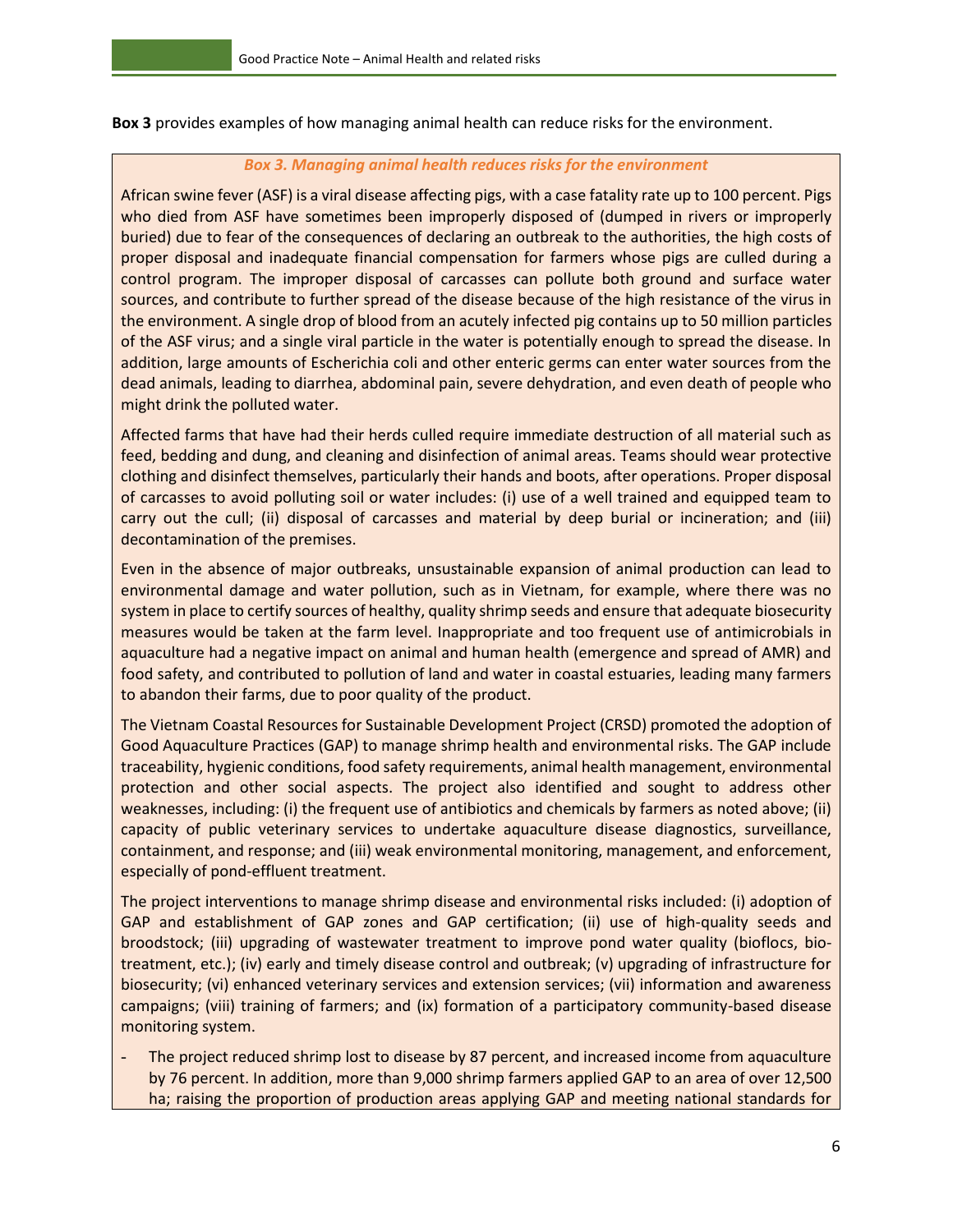**Box 3** provides examples of how managing animal health can reduce risks for the environment.

#### *Box 3. Managing animal health reduces risks for the environment*

African swine fever (ASF) is a viral disease affecting pigs, with a case fatality rate up to 100 percent. Pigs who died from ASF have sometimes been improperly disposed of (dumped in rivers or improperly buried) due to fear of the consequences of declaring an outbreak to the authorities, the high costs of proper disposal and inadequate financial compensation for farmers whose pigs are culled during a control program. The improper disposal of carcasses can pollute both ground and surface water sources, and contribute to further spread of the disease because of the high resistance of the virus in the environment. A single drop of blood from an acutely infected pig contains up to 50 million particles of the ASF virus; and a single viral particle in the water is potentially enough to spread the disease. In addition, large amounts of Escherichia coli and other enteric germs can enter water sources from the dead animals, leading to diarrhea, abdominal pain, severe dehydration, and even death of people who might drink the polluted water.

Affected farms that have had their herds culled require immediate destruction of all material such as feed, bedding and dung, and cleaning and disinfection of animal areas. Teams should wear protective clothing and disinfect themselves, particularly their hands and boots, after operations. Proper disposal of carcasses to avoid polluting soil or water includes: (i) use of a well trained and equipped team to carry out the cull; (ii) disposal of carcasses and material by deep burial or incineration; and (iii) decontamination of the premises.

Even in the absence of major outbreaks, unsustainable expansion of animal production can lead to environmental damage and water pollution, such as in Vietnam, for example, where there was no system in place to certify sources of healthy, quality shrimp seeds and ensure that adequate biosecurity measures would be taken at the farm level. Inappropriate and too frequent use of antimicrobials in aquaculture had a negative impact on animal and human health (emergence and spread of AMR) and food safety, and contributed to pollution of land and water in coastal estuaries, leading many farmers to abandon their farms, due to poor quality of the product.

The Vietnam Coastal Resources for Sustainable Development Project (CRSD) promoted the adoption of Good Aquaculture Practices (GAP) to manage shrimp health and environmental risks. The GAP include traceability, hygienic conditions, food safety requirements, animal health management, environmental protection and other social aspects. The project also identified and sought to address other weaknesses, including: (i) the frequent use of antibiotics and chemicals by farmers as noted above; (ii) capacity of public veterinary services to undertake aquaculture disease diagnostics, surveillance, containment, and response; and (iii) weak environmental monitoring, management, and enforcement, especially of pond-effluent treatment.

The project interventions to manage shrimp disease and environmental risks included: (i) adoption of GAP and establishment of GAP zones and GAP certification; (ii) use of high-quality seeds and broodstock; (iii) upgrading of wastewater treatment to improve pond water quality (bioflocs, biotreatment, etc.); (iv) early and timely disease control and outbreak; (v) upgrading of infrastructure for biosecurity; (vi) enhanced veterinary services and extension services; (vii) information and awareness campaigns; (viii) training of farmers; and (ix) formation of a participatory community-based disease monitoring system.

The project reduced shrimp lost to disease by 87 percent, and increased income from aquaculture by 76 percent. In addition, more than 9,000 shrimp farmers applied GAP to an area of over 12,500 ha; raising the proportion of production areas applying GAP and meeting national standards for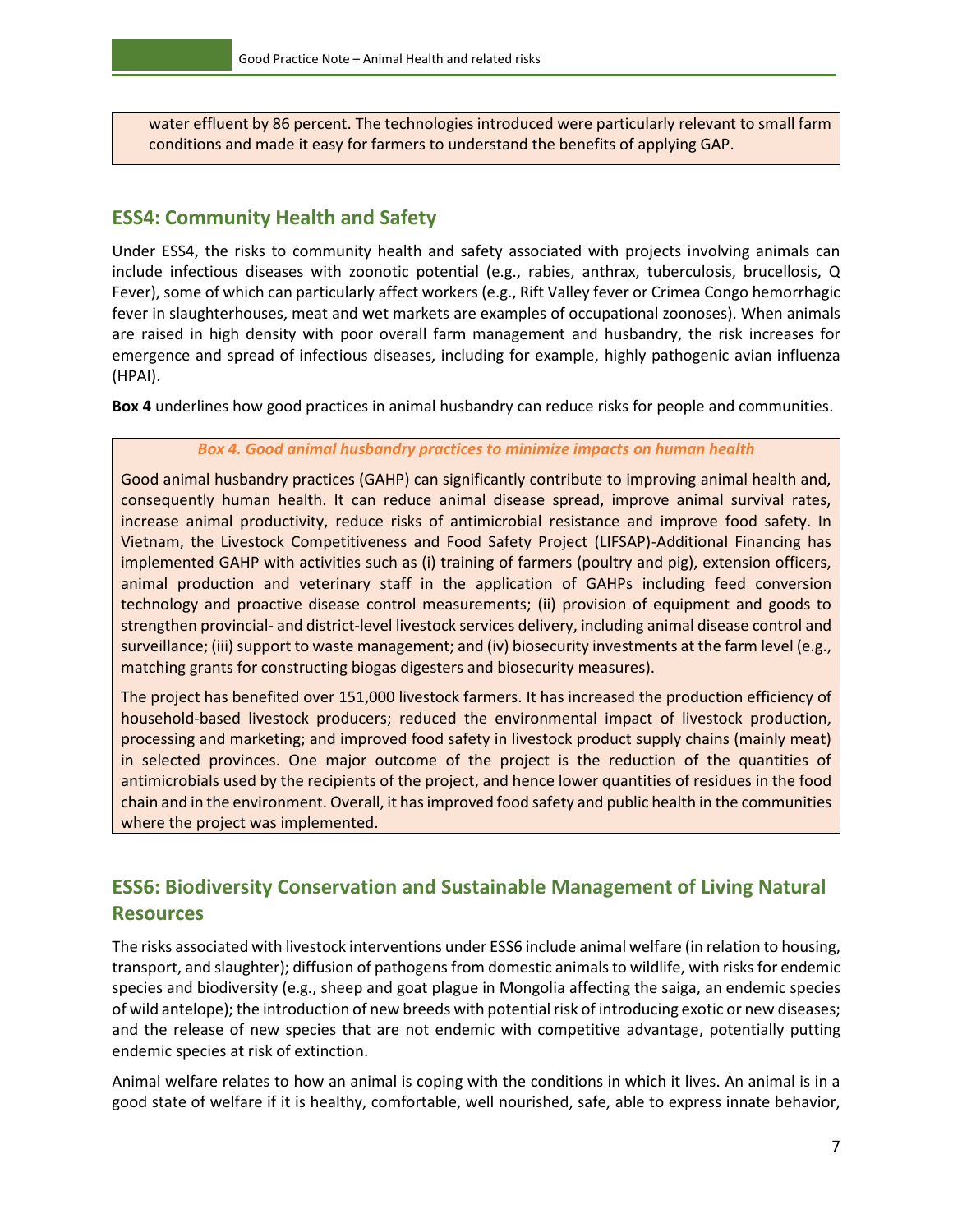water effluent by 86 percent. The technologies introduced were particularly relevant to small farm conditions and made it easy for farmers to understand the benefits of applying GAP.

## <span id="page-12-0"></span>**ESS4: Community Health and Safety**

Under ESS4, the risks to community health and safety associated with projects involving animals can include infectious diseases with zoonotic potential (e.g., rabies, anthrax, tuberculosis, brucellosis, Q Fever), some of which can particularly affect workers (e.g., Rift Valley fever or Crimea Congo hemorrhagic fever in slaughterhouses, meat and wet markets are examples of occupational zoonoses). When animals are raised in high density with poor overall farm management and husbandry, the risk increases for emergence and spread of infectious diseases, including for example, highly pathogenic avian influenza (HPAI).

**Box 4** underlines how good practices in animal husbandry can reduce risks for people and communities.

#### *Box 4. Good animal husbandry practices to minimize impacts on human health*

Good animal husbandry practices (GAHP) can significantly contribute to improving animal health and, consequently human health. It can reduce animal disease spread, improve animal survival rates, increase animal productivity, reduce risks of antimicrobial resistance and improve food safety. In Vietnam, the Livestock Competitiveness and Food Safety Project (LIFSAP)-Additional Financing has implemented GAHP with activities such as (i) training of farmers (poultry and pig), extension officers, animal production and veterinary staff in the application of GAHPs including feed conversion technology and proactive disease control measurements; (ii) provision of equipment and goods to strengthen provincial- and district-level livestock services delivery, including animal disease control and surveillance; (iii) support to waste management; and (iv) biosecurity investments at the farm level (e.g., matching grants for constructing biogas digesters and biosecurity measures).

The project has benefited over 151,000 livestock farmers. It has increased the production efficiency of household-based livestock producers; reduced the environmental impact of livestock production, processing and marketing; and improved food safety in livestock product supply chains (mainly meat) in selected provinces. One major outcome of the project is the reduction of the quantities of antimicrobials used by the recipients of the project, and hence lower quantities of residues in the food chain and in the environment. Overall, it has improved food safety and public health in the communities where the project was implemented.

## <span id="page-12-1"></span>**ESS6: Biodiversity Conservation and Sustainable Management of Living Natural Resources**

The risks associated with livestock interventions under ESS6 include animal welfare (in relation to housing, transport, and slaughter); diffusion of pathogens from domestic animals to wildlife, with risksfor endemic species and biodiversity (e.g., sheep and goat plague in Mongolia affecting the saiga, an endemic species of wild antelope); the introduction of new breeds with potential risk of introducing exotic or new diseases; and the release of new species that are not endemic with competitive advantage, potentially putting endemic species at risk of extinction.

Animal welfare relates to how an animal is coping with the conditions in which it lives. An animal is in a good state of welfare if it is healthy, comfortable, well nourished, safe, able to express innate behavior,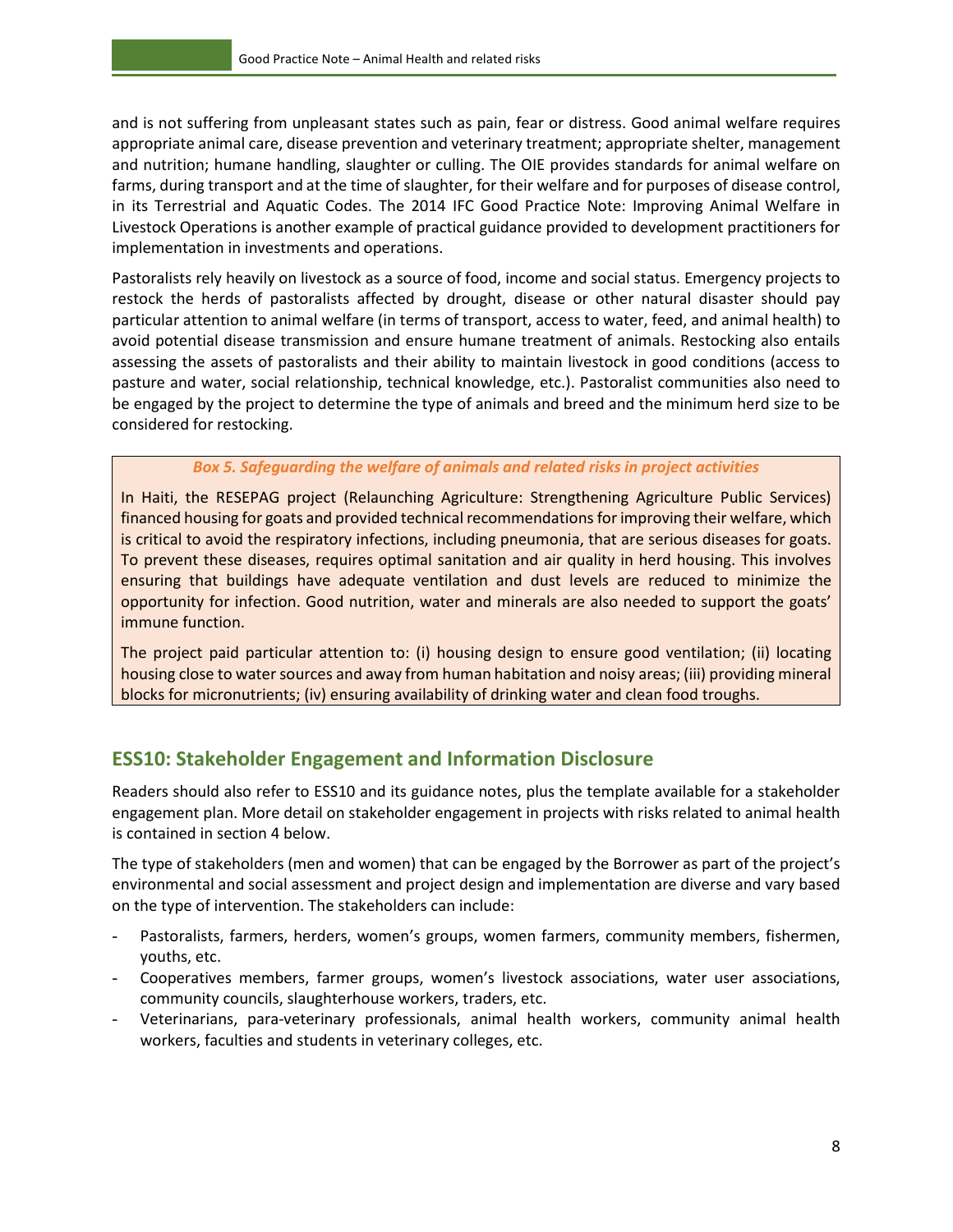and is not suffering from unpleasant states such as pain, fear or distress. Good animal welfare requires appropriate animal care, disease prevention and veterinary treatment; appropriate shelter, management and nutrition; humane handling, slaughter or culling. The OIE provides standards for animal welfare on farms, during transport and at the time of slaughter, for their welfare and for purposes of disease control, in its Terrestrial and Aquatic Codes. The 2014 IFC Good Practice Note: Improving Animal Welfare in Livestock Operations is another example of practical guidance provided to development practitioners for implementation in investments and operations.

Pastoralists rely heavily on livestock as a source of food, income and social status. Emergency projects to restock the herds of pastoralists affected by drought, disease or other natural disaster should pay particular attention to animal welfare (in terms of transport, access to water, feed, and animal health) to avoid potential disease transmission and ensure humane treatment of animals. Restocking also entails assessing the assets of pastoralists and their ability to maintain livestock in good conditions (access to pasture and water, social relationship, technical knowledge, etc.). Pastoralist communities also need to be engaged by the project to determine the type of animals and breed and the minimum herd size to be considered for restocking.

#### *Box 5. Safeguarding the welfare of animals and related risks in project activities*

In Haiti, the RESEPAG project (Relaunching Agriculture: Strengthening Agriculture Public Services) financed housing for goats and provided technical recommendations for improving their welfare, which is critical to avoid the respiratory infections, including pneumonia, that are serious diseases for goats. To prevent these diseases, requires optimal sanitation and air quality in herd housing. This involves ensuring that buildings have adequate ventilation and dust levels are reduced to minimize the opportunity for infection. Good nutrition, water and minerals are also needed to support the goats' immune function.

The project paid particular attention to: (i) housing design to ensure good ventilation; (ii) locating housing close to water sources and away from human habitation and noisy areas; (iii) providing mineral blocks for micronutrients; (iv) ensuring availability of drinking water and clean food troughs.

## <span id="page-13-0"></span>**ESS10: Stakeholder Engagement and Information Disclosure**

Readers should also refer to ESS10 and its guidance notes, plus the template available for a stakeholder engagement plan. More detail on stakeholder engagement in projects with risks related to animal health is contained in section 4 below.

The type of stakeholders (men and women) that can be engaged by the Borrower as part of the project's environmental and social assessment and project design and implementation are diverse and vary based on the type of intervention. The stakeholders can include:

- Pastoralists, farmers, herders, women's groups, women farmers, community members, fishermen, youths, etc.
- Cooperatives members, farmer groups, women's livestock associations, water user associations, community councils, slaughterhouse workers, traders, etc.
- Veterinarians, para-veterinary professionals, animal health workers, community animal health workers, faculties and students in veterinary colleges, etc.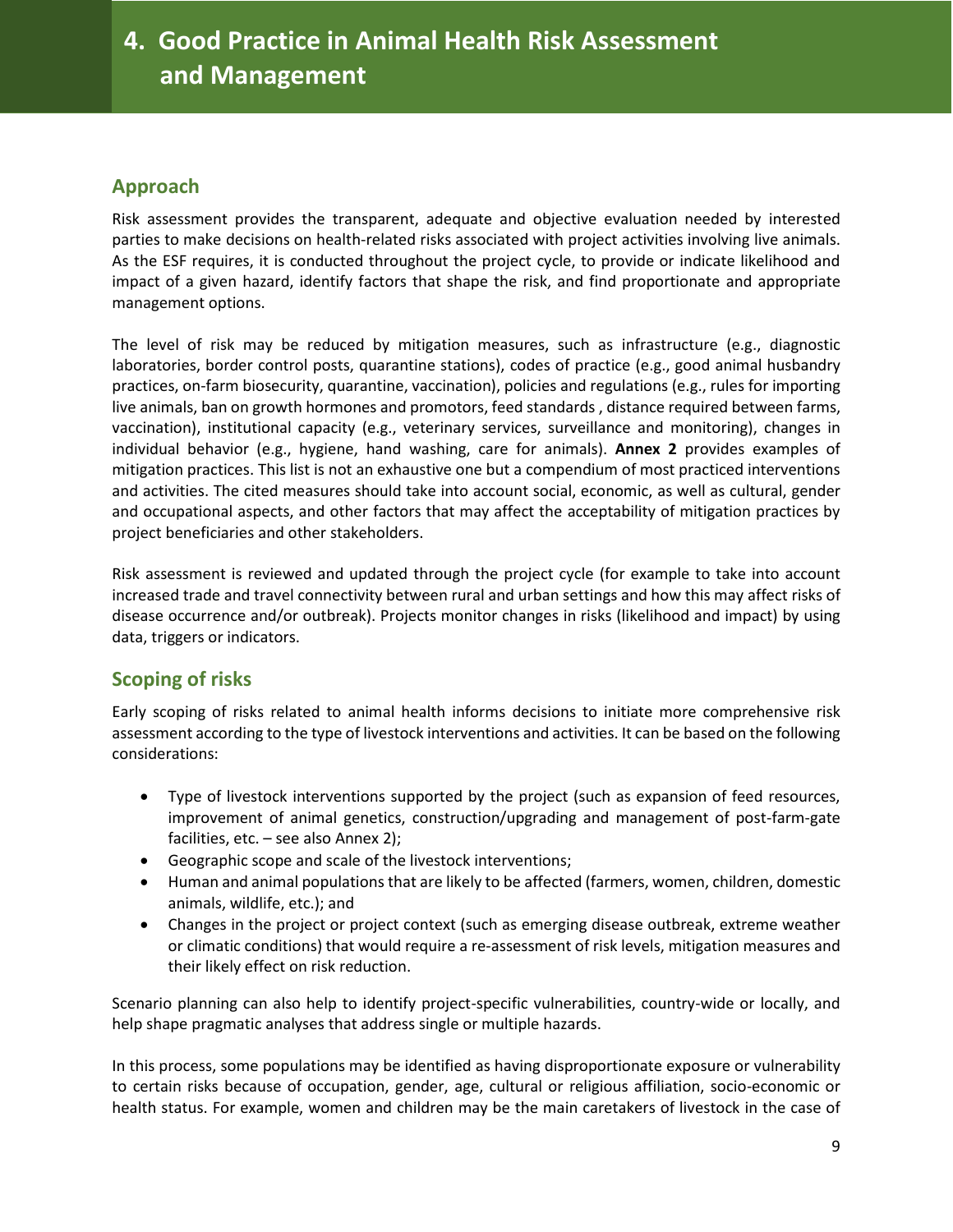## <span id="page-14-0"></span>**Approach**

Risk assessment provides the transparent, adequate and objective evaluation needed by interested parties to make decisions on health-related risks associated with project activities involving live animals. As the ESF requires, it is conducted throughout the project cycle, to provide or indicate likelihood and impact of a given hazard, identify factors that shape the risk, and find proportionate and appropriate management options.

The level of risk may be reduced by mitigation measures, such as infrastructure (e.g., diagnostic laboratories, border control posts, quarantine stations), codes of practice (e.g., good animal husbandry practices, on-farm biosecurity, quarantine, vaccination), policies and regulations (e.g., rules for importing live animals, ban on growth hormones and promotors, feed standards , distance required between farms, vaccination), institutional capacity (e.g., veterinary services, surveillance and monitoring), changes in individual behavior (e.g., hygiene, hand washing, care for animals). **Annex 2** provides examples of mitigation practices. This list is not an exhaustive one but a compendium of most practiced interventions and activities. The cited measures should take into account social, economic, as well as cultural, gender and occupational aspects, and other factors that may affect the acceptability of mitigation practices by project beneficiaries and other stakeholders.

Risk assessment is reviewed and updated through the project cycle (for example to take into account increased trade and travel connectivity between rural and urban settings and how this may affect risks of disease occurrence and/or outbreak). Projects monitor changes in risks (likelihood and impact) by using data, triggers or indicators.

## <span id="page-14-1"></span>**Scoping of risks**

Early scoping of risks related to animal health informs decisions to initiate more comprehensive risk assessment according to the type of livestock interventions and activities. It can be based on the following considerations:

- Type of livestock interventions supported by the project (such as expansion of feed resources, improvement of animal genetics, construction/upgrading and management of post-farm-gate facilities, etc. – see also Annex 2);
- Geographic scope and scale of the livestock interventions;
- Human and animal populations that are likely to be affected (farmers, women, children, domestic animals, wildlife, etc.); and
- Changes in the project or project context (such as emerging disease outbreak, extreme weather or climatic conditions) that would require a re-assessment of risk levels, mitigation measures and their likely effect on risk reduction.

Scenario planning can also help to identify project-specific vulnerabilities, country-wide or locally, and help shape pragmatic analyses that address single or multiple hazards.

In this process, some populations may be identified as having disproportionate exposure or vulnerability to certain risks because of occupation, gender, age, cultural or religious affiliation, socio-economic or health status. For example, women and children may be the main caretakers of livestock in the case of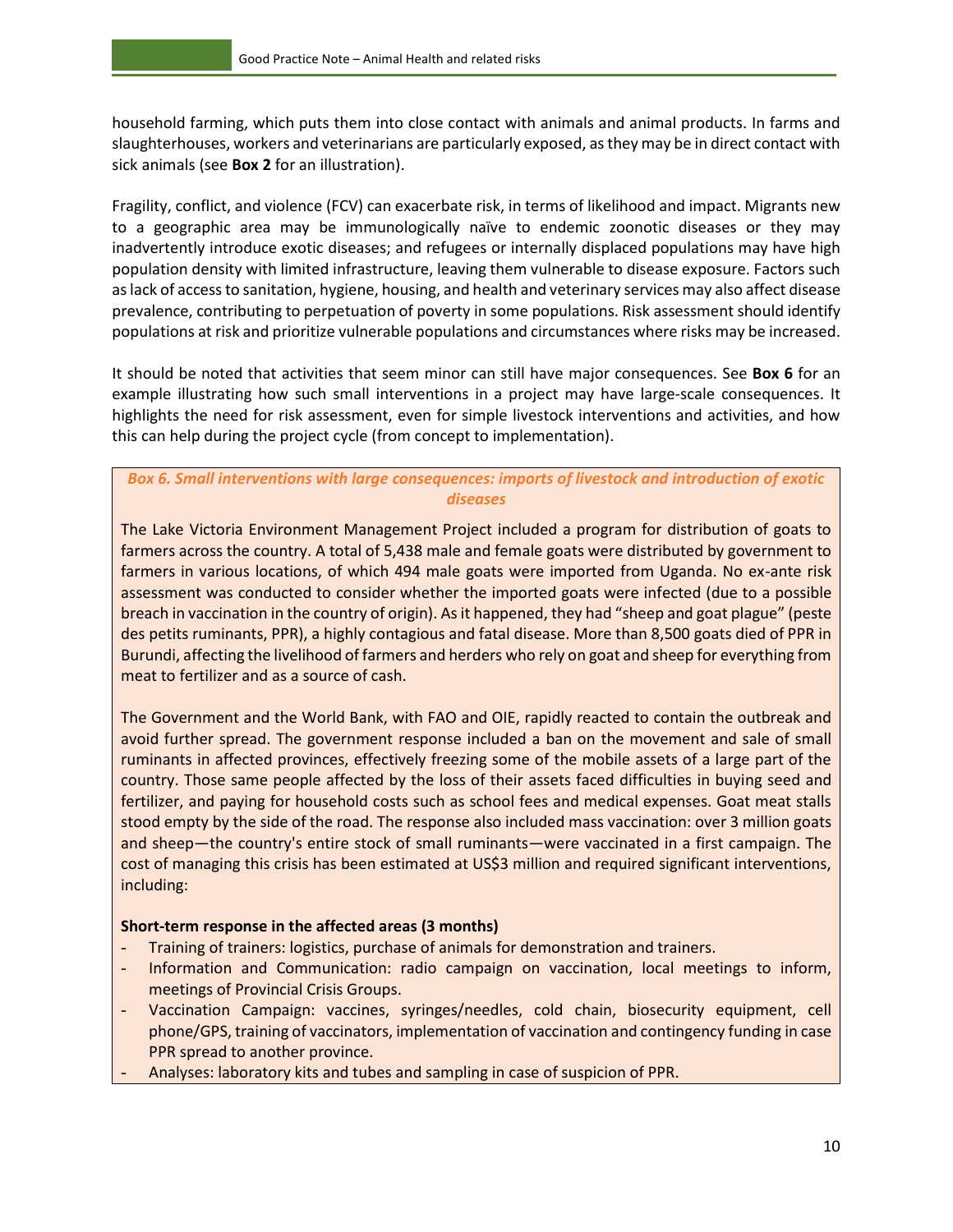household farming, which puts them into close contact with animals and animal products. In farms and slaughterhouses, workers and veterinarians are particularly exposed, as they may be in direct contact with sick animals (see **Box 2** for an illustration).

Fragility, conflict, and violence (FCV) can exacerbate risk, in terms of likelihood and impact. Migrants new to a geographic area may be immunologically naïve to endemic zoonotic diseases or they may inadvertently introduce exotic diseases; and refugees or internally displaced populations may have high population density with limited infrastructure, leaving them vulnerable to disease exposure. Factors such as lack of access to sanitation, hygiene, housing, and health and veterinary services may also affect disease prevalence, contributing to perpetuation of poverty in some populations. Risk assessment should identify populations at risk and prioritize vulnerable populations and circumstances where risks may be increased.

It should be noted that activities that seem minor can still have major consequences. See **Box 6** for an example illustrating how such small interventions in a project may have large-scale consequences. It highlights the need for risk assessment, even for simple livestock interventions and activities, and how this can help during the project cycle (from concept to implementation).

#### *Box 6. Small interventions with large consequences: imports of livestock and introduction of exotic diseases*

The Lake Victoria Environment Management Project included a program for distribution of goats to farmers across the country. A total of 5,438 male and female goats were distributed by government to farmers in various locations, of which 494 male goats were imported from Uganda. No ex-ante risk assessment was conducted to consider whether the imported goats were infected (due to a possible breach in vaccination in the country of origin). As it happened, they had "sheep and goat plague" (peste des petits ruminants, PPR), a highly contagious and fatal disease. More than 8,500 goats died of PPR in Burundi, affecting the livelihood of farmers and herders who rely on goat and sheep for everything from meat to fertilizer and as a source of cash.

The Government and the World Bank, with FAO and OIE, rapidly reacted to contain the outbreak and avoid further spread. The government response included a ban on the movement and sale of small ruminants in affected provinces, effectively freezing some of the mobile assets of a large part of the country. Those same people affected by the loss of their assets faced difficulties in buying seed and fertilizer, and paying for household costs such as school fees and medical expenses. Goat meat stalls stood empty by the side of the road. The response also included mass vaccination: over 3 million goats and sheep—the country's entire stock of small ruminants—were vaccinated in a first campaign. The cost of managing this crisis has been estimated at US\$3 million and required significant interventions, including:

#### **Short-term response in the affected areas (3 months)**

- Training of trainers: logistics, purchase of animals for demonstration and trainers.
- Information and Communication: radio campaign on vaccination, local meetings to inform, meetings of Provincial Crisis Groups.
- Vaccination Campaign: vaccines, syringes/needles, cold chain, biosecurity equipment, cell phone/GPS, training of vaccinators, implementation of vaccination and contingency funding in case PPR spread to another province.
- Analyses: laboratory kits and tubes and sampling in case of suspicion of PPR.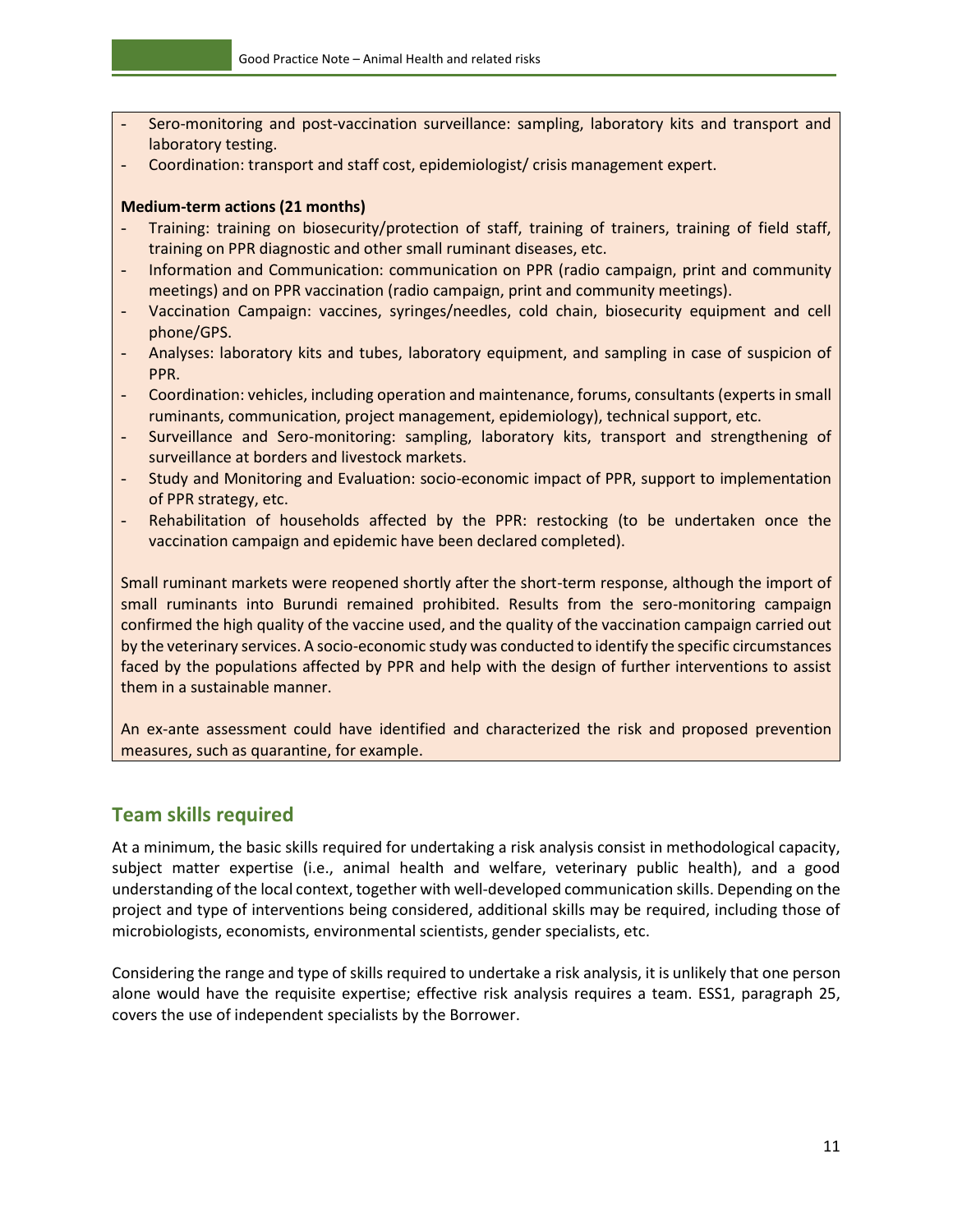- Sero-monitoring and post-vaccination surveillance: sampling, laboratory kits and transport and laboratory testing.
- Coordination: transport and staff cost, epidemiologist/ crisis management expert.

#### **Medium-term actions (21 months)**

- Training: training on biosecurity/protection of staff, training of trainers, training of field staff, training on PPR diagnostic and other small ruminant diseases, etc.
- Information and Communication: communication on PPR (radio campaign, print and community meetings) and on PPR vaccination (radio campaign, print and community meetings).
- Vaccination Campaign: vaccines, syringes/needles, cold chain, biosecurity equipment and cell phone/GPS.
- Analyses: laboratory kits and tubes, laboratory equipment, and sampling in case of suspicion of PPR.
- Coordination: vehicles, including operation and maintenance, forums, consultants (experts in small ruminants, communication, project management, epidemiology), technical support, etc.
- Surveillance and Sero-monitoring: sampling, laboratory kits, transport and strengthening of surveillance at borders and livestock markets.
- Study and Monitoring and Evaluation: socio-economic impact of PPR, support to implementation of PPR strategy, etc.
- Rehabilitation of households affected by the PPR: restocking (to be undertaken once the vaccination campaign and epidemic have been declared completed).

Small ruminant markets were reopened shortly after the short-term response, although the import of small ruminants into Burundi remained prohibited. Results from the sero-monitoring campaign confirmed the high quality of the vaccine used, and the quality of the vaccination campaign carried out by the veterinary services. A socio-economic study was conducted to identify the specific circumstances faced by the populations affected by PPR and help with the design of further interventions to assist them in a sustainable manner.

An ex-ante assessment could have identified and characterized the risk and proposed prevention measures, such as quarantine, for example.

## <span id="page-16-0"></span>**Team skills required**

At a minimum, the basic skills required for undertaking a risk analysis consist in methodological capacity, subject matter expertise (i.e., animal health and welfare, veterinary public health), and a good understanding of the local context, together with well-developed communication skills. Depending on the project and type of interventions being considered, additional skills may be required, including those of microbiologists, economists, environmental scientists, gender specialists, etc.

Considering the range and type of skills required to undertake a risk analysis, it is unlikely that one person alone would have the requisite expertise; effective risk analysis requires a team. ESS1, paragraph 25, covers the use of independent specialists by the Borrower.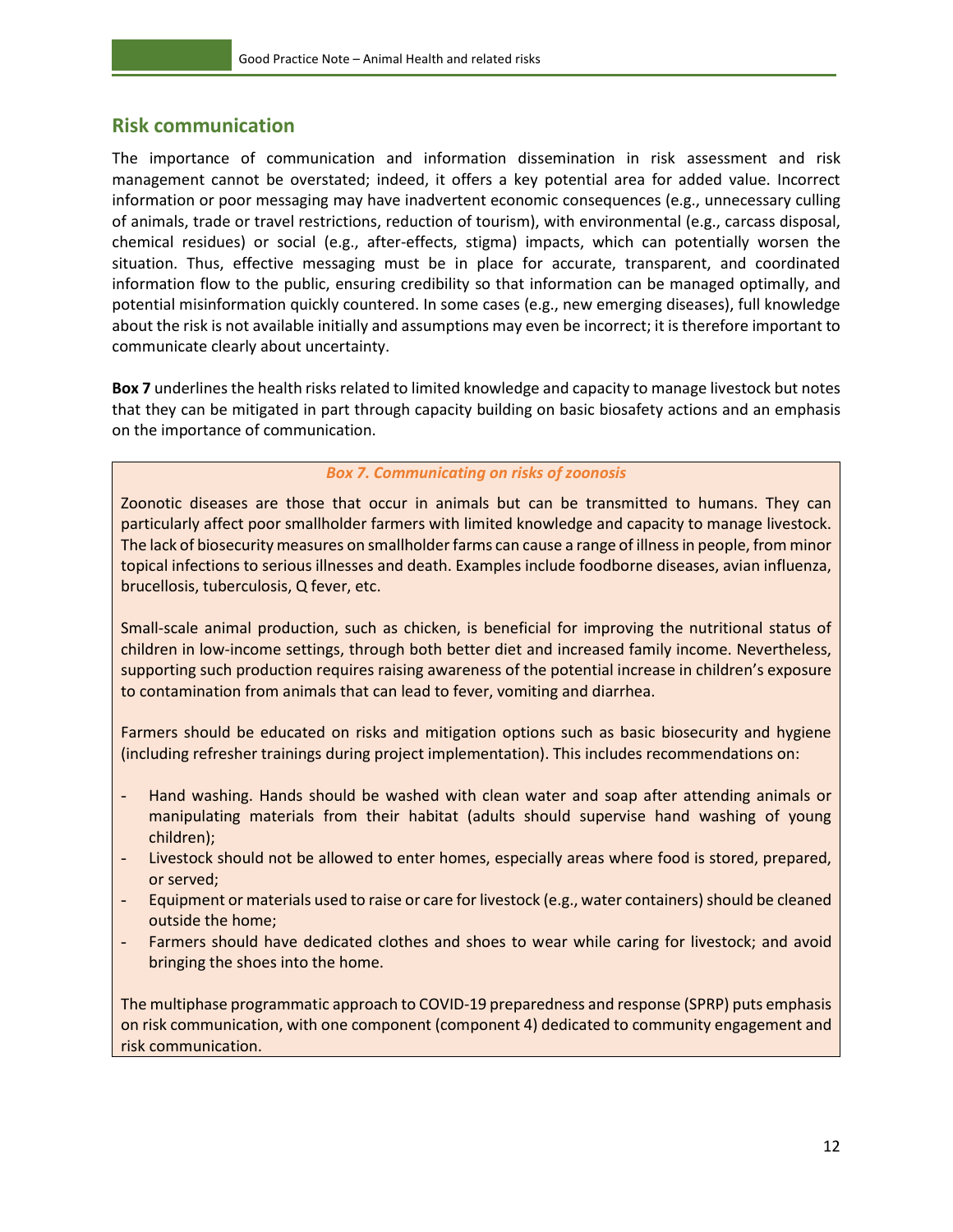#### <span id="page-17-0"></span>**Risk communication**

The importance of communication and information dissemination in risk assessment and risk management cannot be overstated; indeed, it offers a key potential area for added value. Incorrect information or poor messaging may have inadvertent economic consequences (e.g., unnecessary culling of animals, trade or travel restrictions, reduction of tourism), with environmental (e.g., carcass disposal, chemical residues) or social (e.g., after-effects, stigma) impacts, which can potentially worsen the situation. Thus, effective messaging must be in place for accurate, transparent, and coordinated information flow to the public, ensuring credibility so that information can be managed optimally, and potential misinformation quickly countered. In some cases (e.g., new emerging diseases), full knowledge about the risk is not available initially and assumptions may even be incorrect; it is therefore important to communicate clearly about uncertainty.

**Box 7** underlines the health risks related to limited knowledge and capacity to manage livestock but notes that they can be mitigated in part through capacity building on basic biosafety actions and an emphasis on the importance of communication.

#### *Box 7. Communicating on risks of zoonosis*

Zoonotic diseases are those that occur in animals but can be transmitted to humans. They can particularly affect poor smallholder farmers with limited knowledge and capacity to manage livestock. The lack of biosecurity measures on smallholder farms can cause a range of illness in people, from minor topical infections to serious illnesses and death. Examples include foodborne diseases, avian influenza, brucellosis, tuberculosis, Q fever, etc.

Small-scale animal production, such as chicken, is beneficial for improving the nutritional status of children in low-income settings, through both better diet and increased family income. Nevertheless, supporting such production requires raising awareness of the potential increase in children's exposure to contamination from animals that can lead to fever, vomiting and diarrhea.

Farmers should be educated on risks and mitigation options such as basic biosecurity and hygiene (including refresher trainings during project implementation). This includes recommendations on:

- Hand washing. Hands should be washed with clean water and soap after attending animals or manipulating materials from their habitat (adults should supervise hand washing of young children);
- Livestock should not be allowed to enter homes, especially areas where food is stored, prepared, or served;
- Equipment or materials used to raise or care for livestock (e.g., water containers) should be cleaned outside the home;
- Farmers should have dedicated clothes and shoes to wear while caring for livestock; and avoid bringing the shoes into the home.

The multiphase programmatic approach to COVID-19 preparedness and response (SPRP) puts emphasis on risk communication, with one component (component 4) dedicated to community engagement and risk communication.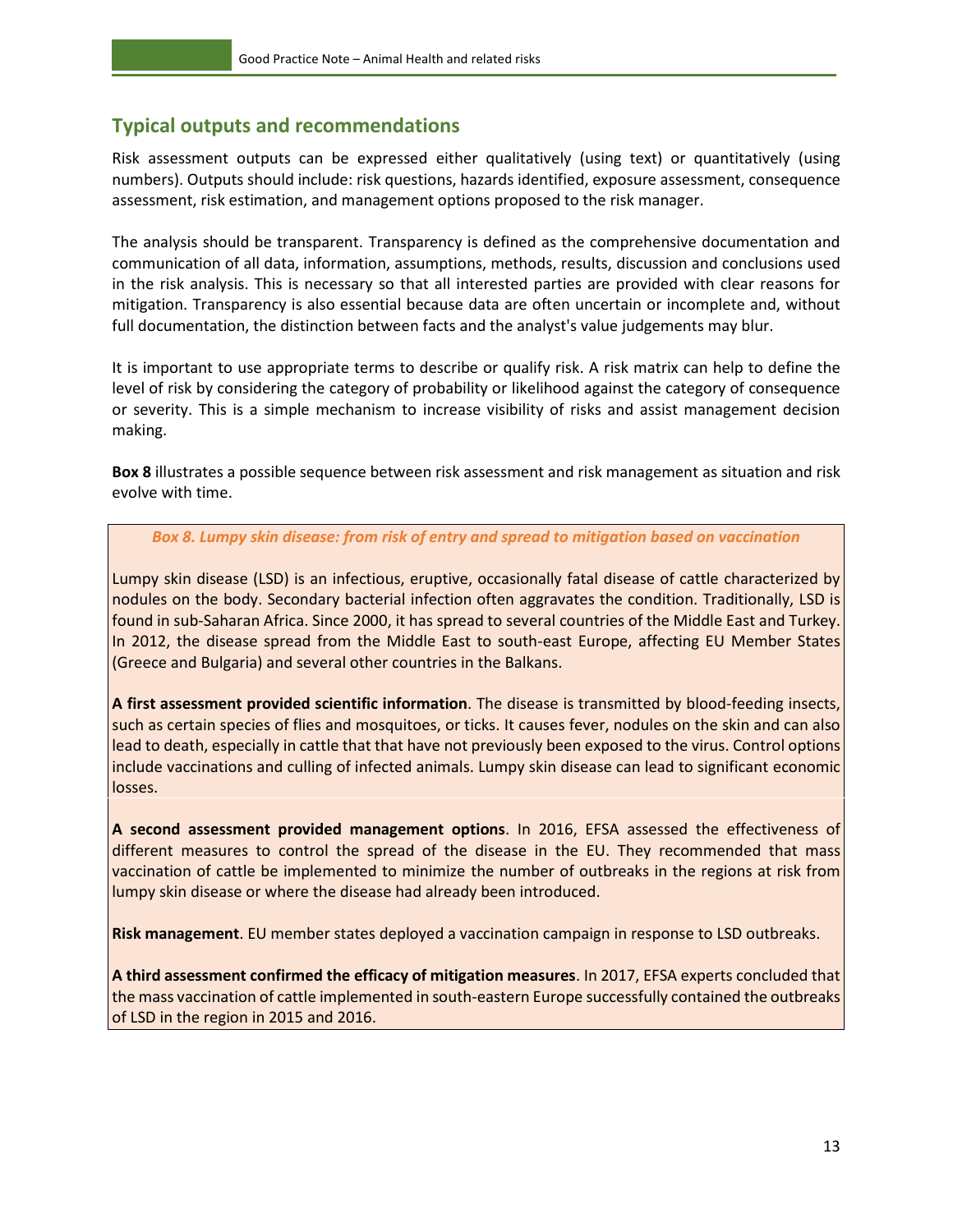## <span id="page-18-0"></span>**Typical outputs and recommendations**

Risk assessment outputs can be expressed either qualitatively (using text) or quantitatively (using numbers). Outputs should include: risk questions, hazards identified, exposure assessment, consequence assessment, risk estimation, and management options proposed to the risk manager.

The analysis should be transparent. Transparency is defined as the comprehensive documentation and communication of all data, information, assumptions, methods, results, discussion and conclusions used in the risk analysis. This is necessary so that all interested parties are provided with clear reasons for mitigation. Transparency is also essential because data are often uncertain or incomplete and, without full documentation, the distinction between facts and the analyst's value judgements may blur.

It is important to use appropriate terms to describe or qualify risk. A risk matrix can help to define the level of risk by considering the category of probability or likelihood against the category of consequence or severity. This is a simple mechanism to increase visibility of risks and assist management decision making.

**Box 8** illustrates a possible sequence between risk assessment and risk management as situation and risk evolve with time.

#### *Box 8. Lumpy skin disease: from risk of entry and spread to mitigation based on vaccination*

Lumpy skin disease (LSD) is an infectious, eruptive, occasionally fatal disease of cattle characterized by nodules on the body. Secondary bacterial infection often aggravates the condition. Traditionally, LSD is found in sub-Saharan Africa. Since 2000, it has spread to several countries of the Middle East and Turkey. In 2012, the disease spread from the Middle East to south-east Europe, affecting EU Member States (Greece and Bulgaria) and several other countries in the Balkans.

**A first assessment provided scientific information**. The disease is transmitted by blood-feeding insects, such as certain species of flies and mosquitoes, or ticks. It causes fever, nodules on the skin and can also lead to death, especially in cattle that that have not previously been exposed to the virus. Control options include vaccinations and culling of infected animals. Lumpy skin disease can lead to significant economic losses.

**A second assessment provided management options**. In 2016, EFSA assessed the effectiveness of different measures to control the spread of the disease in the EU. They recommended that mass vaccination of cattle be implemented to minimize the number of outbreaks in the regions at risk from lumpy skin disease or where the disease had already been introduced.

**Risk management**. EU member states deployed a vaccination campaign in response to LSD outbreaks.

**A third assessment confirmed the efficacy of mitigation measures**. In 2017, EFSA experts concluded that the mass vaccination of cattle implemented in south-eastern Europe successfully contained the outbreaks of LSD in the region in 2015 and 2016.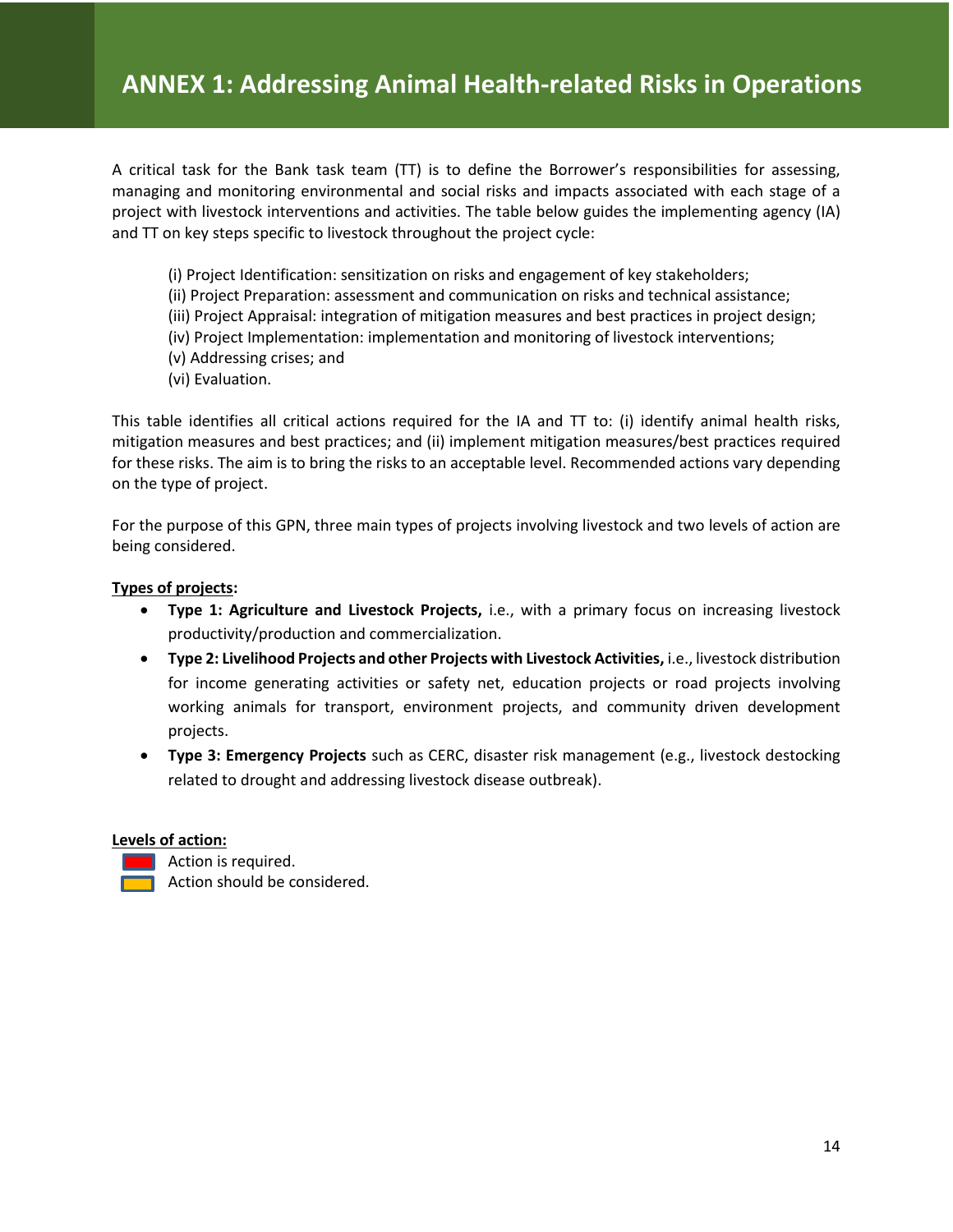A critical task for the Bank task team (TT) is to define the Borrower's responsibilities for assessing, managing and monitoring environmental and social risks and impacts associated with each stage of a project with livestock interventions and activities. The table below guides the implementing agency (IA) and TT on key steps specific to livestock throughout the project cycle:

- (i) Project Identification: sensitization on risks and engagement of key stakeholders;
- (ii) Project Preparation: assessment and communication on risks and technical assistance;
- (iii) Project Appraisal: integration of mitigation measures and best practices in project design;
- (iv) Project Implementation: implementation and monitoring of livestock interventions;
- (v) Addressing crises; and
- (vi) Evaluation.

This table identifies all critical actions required for the IA and TT to: (i) identify animal health risks, mitigation measures and best practices; and (ii) implement mitigation measures/best practices required for these risks. The aim is to bring the risks to an acceptable level. Recommended actions vary depending on the type of project.

For the purpose of this GPN, three main types of projects involving livestock and two levels of action are being considered.

#### **Types of projects:**

- **Type 1: Agriculture and Livestock Projects,** i.e., with a primary focus on increasing livestock productivity/production and commercialization.
- **Type 2: Livelihood Projects and other Projects with Livestock Activities,** i.e., livestock distribution for income generating activities or safety net, education projects or road projects involving working animals for transport, environment projects, and community driven development projects.
- **Type 3: Emergency Projects** such as CERC, disaster risk management (e.g., livestock destocking related to drought and addressing livestock disease outbreak).

#### **Levels of action:**

Action is required.

Action should be considered.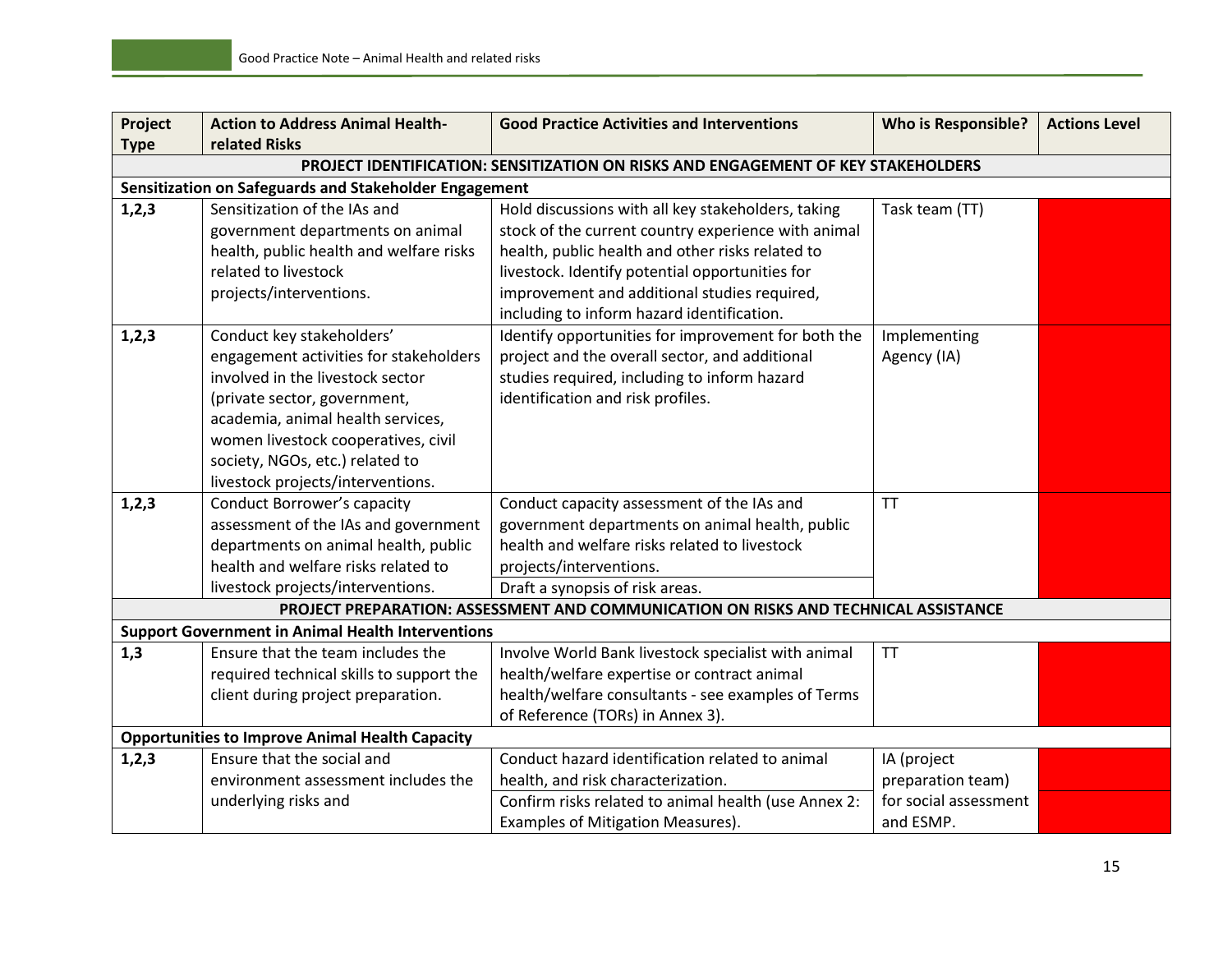| Project     | <b>Action to Address Animal Health-</b>                  | <b>Good Practice Activities and Interventions</b>                                   | <b>Who is Responsible?</b> | <b>Actions Level</b> |
|-------------|----------------------------------------------------------|-------------------------------------------------------------------------------------|----------------------------|----------------------|
| <b>Type</b> | related Risks                                            |                                                                                     |                            |                      |
|             |                                                          | PROJECT IDENTIFICATION: SENSITIZATION ON RISKS AND ENGAGEMENT OF KEY STAKEHOLDERS   |                            |                      |
|             | Sensitization on Safeguards and Stakeholder Engagement   |                                                                                     |                            |                      |
| 1,2,3       | Sensitization of the IAs and                             | Hold discussions with all key stakeholders, taking                                  | Task team (TT)             |                      |
|             | government departments on animal                         | stock of the current country experience with animal                                 |                            |                      |
|             | health, public health and welfare risks                  | health, public health and other risks related to                                    |                            |                      |
|             | related to livestock                                     | livestock. Identify potential opportunities for                                     |                            |                      |
|             | projects/interventions.                                  | improvement and additional studies required,                                        |                            |                      |
|             |                                                          | including to inform hazard identification.                                          |                            |                      |
| 1,2,3       | Conduct key stakeholders'                                | Identify opportunities for improvement for both the                                 | Implementing               |                      |
|             | engagement activities for stakeholders                   | project and the overall sector, and additional                                      | Agency (IA)                |                      |
|             | involved in the livestock sector                         | studies required, including to inform hazard                                        |                            |                      |
|             | (private sector, government,                             | identification and risk profiles.                                                   |                            |                      |
|             | academia, animal health services,                        |                                                                                     |                            |                      |
|             | women livestock cooperatives, civil                      |                                                                                     |                            |                      |
|             | society, NGOs, etc.) related to                          |                                                                                     |                            |                      |
|             | livestock projects/interventions.                        |                                                                                     |                            |                      |
| 1,2,3       | <b>Conduct Borrower's capacity</b>                       | Conduct capacity assessment of the IAs and                                          | <b>TT</b>                  |                      |
|             | assessment of the IAs and government                     | government departments on animal health, public                                     |                            |                      |
|             | departments on animal health, public                     | health and welfare risks related to livestock                                       |                            |                      |
|             | health and welfare risks related to                      | projects/interventions.                                                             |                            |                      |
|             | livestock projects/interventions.                        | Draft a synopsis of risk areas.                                                     |                            |                      |
|             |                                                          | PROJECT PREPARATION: ASSESSMENT AND COMMUNICATION ON RISKS AND TECHNICAL ASSISTANCE |                            |                      |
|             | <b>Support Government in Animal Health Interventions</b> |                                                                                     |                            |                      |
| 1,3         | Ensure that the team includes the                        | Involve World Bank livestock specialist with animal                                 | <b>TT</b>                  |                      |
|             | required technical skills to support the                 | health/welfare expertise or contract animal                                         |                            |                      |
|             | client during project preparation.                       | health/welfare consultants - see examples of Terms                                  |                            |                      |
|             |                                                          | of Reference (TORs) in Annex 3).                                                    |                            |                      |
|             | <b>Opportunities to Improve Animal Health Capacity</b>   |                                                                                     |                            |                      |
| 1,2,3       | Ensure that the social and                               | Conduct hazard identification related to animal                                     | IA (project                |                      |
|             | environment assessment includes the                      | health, and risk characterization.                                                  | preparation team)          |                      |
|             | underlying risks and                                     | Confirm risks related to animal health (use Annex 2:                                | for social assessment      |                      |
|             |                                                          | Examples of Mitigation Measures).                                                   | and ESMP.                  |                      |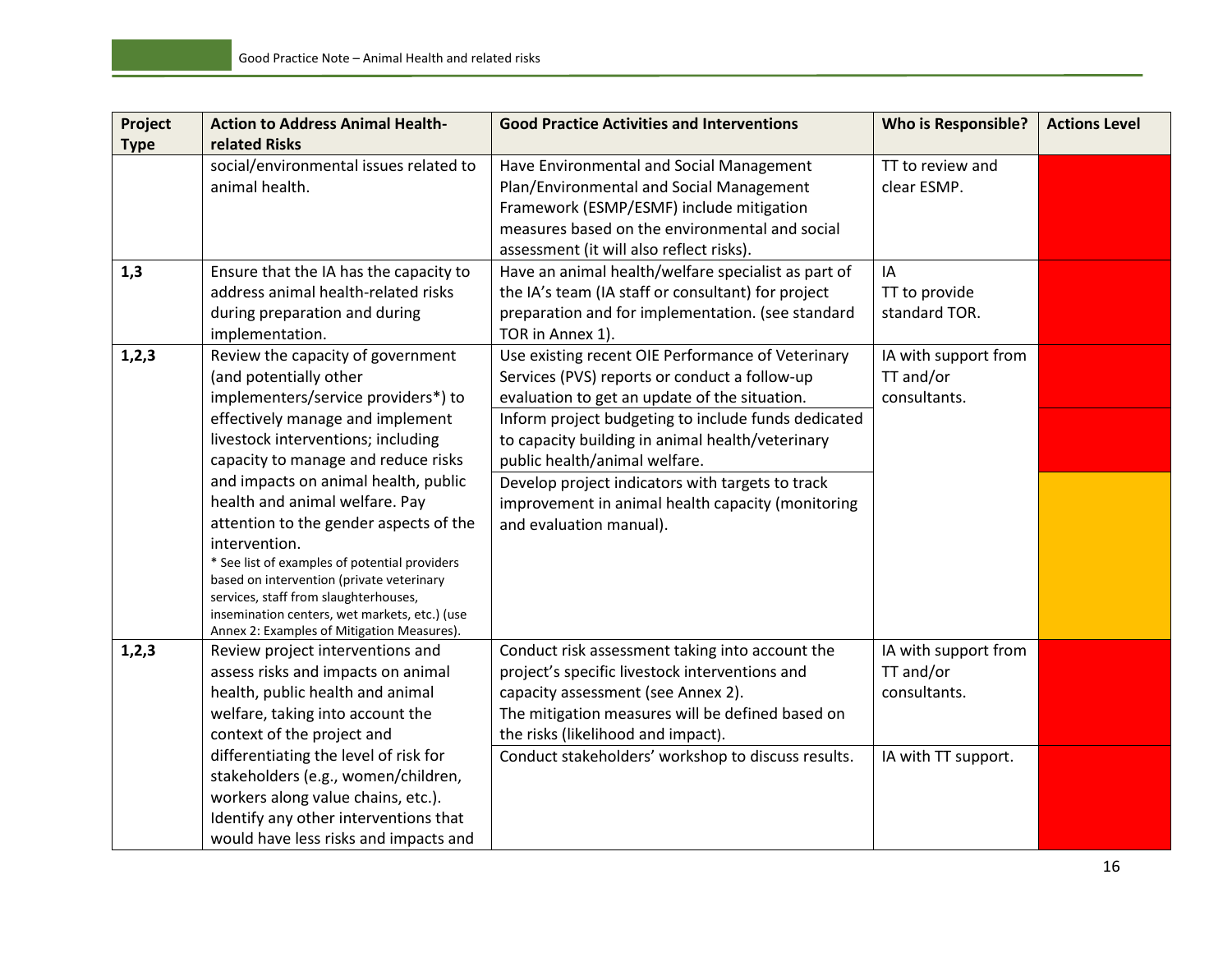| Project     | <b>Action to Address Animal Health-</b>                        | <b>Good Practice Activities and Interventions</b>   | <b>Who is Responsible?</b> | <b>Actions Level</b> |
|-------------|----------------------------------------------------------------|-----------------------------------------------------|----------------------------|----------------------|
| <b>Type</b> | related Risks                                                  |                                                     |                            |                      |
|             | social/environmental issues related to                         | Have Environmental and Social Management            | TT to review and           |                      |
|             | animal health.                                                 | Plan/Environmental and Social Management            | clear ESMP.                |                      |
|             |                                                                | Framework (ESMP/ESMF) include mitigation            |                            |                      |
|             |                                                                | measures based on the environmental and social      |                            |                      |
|             |                                                                | assessment (it will also reflect risks).            |                            |                      |
| 1,3         | Ensure that the IA has the capacity to                         | Have an animal health/welfare specialist as part of | IA                         |                      |
|             | address animal health-related risks                            | the IA's team (IA staff or consultant) for project  | TT to provide              |                      |
|             | during preparation and during                                  | preparation and for implementation. (see standard   | standard TOR.              |                      |
|             | implementation.                                                | TOR in Annex 1).                                    |                            |                      |
| 1,2,3       | Review the capacity of government                              | Use existing recent OIE Performance of Veterinary   | IA with support from       |                      |
|             | (and potentially other                                         | Services (PVS) reports or conduct a follow-up       | TT and/or                  |                      |
|             | implementers/service providers*) to                            | evaluation to get an update of the situation.       | consultants.               |                      |
|             | effectively manage and implement                               | Inform project budgeting to include funds dedicated |                            |                      |
|             | livestock interventions; including                             | to capacity building in animal health/veterinary    |                            |                      |
|             | capacity to manage and reduce risks                            | public health/animal welfare.                       |                            |                      |
|             | and impacts on animal health, public                           | Develop project indicators with targets to track    |                            |                      |
|             | health and animal welfare. Pay                                 | improvement in animal health capacity (monitoring   |                            |                      |
|             | attention to the gender aspects of the                         | and evaluation manual).                             |                            |                      |
|             | intervention.<br>* See list of examples of potential providers |                                                     |                            |                      |
|             | based on intervention (private veterinary                      |                                                     |                            |                      |
|             | services, staff from slaughterhouses,                          |                                                     |                            |                      |
|             | insemination centers, wet markets, etc.) (use                  |                                                     |                            |                      |
|             | Annex 2: Examples of Mitigation Measures).                     |                                                     |                            |                      |
| 1,2,3       | Review project interventions and                               | Conduct risk assessment taking into account the     | IA with support from       |                      |
|             | assess risks and impacts on animal                             | project's specific livestock interventions and      | TT and/or                  |                      |
|             | health, public health and animal                               | capacity assessment (see Annex 2).                  | consultants.               |                      |
|             | welfare, taking into account the                               | The mitigation measures will be defined based on    |                            |                      |
|             | context of the project and                                     | the risks (likelihood and impact).                  |                            |                      |
|             | differentiating the level of risk for                          | Conduct stakeholders' workshop to discuss results.  | IA with TT support.        |                      |
|             | stakeholders (e.g., women/children,                            |                                                     |                            |                      |
|             | workers along value chains, etc.).                             |                                                     |                            |                      |
|             | Identify any other interventions that                          |                                                     |                            |                      |
|             | would have less risks and impacts and                          |                                                     |                            |                      |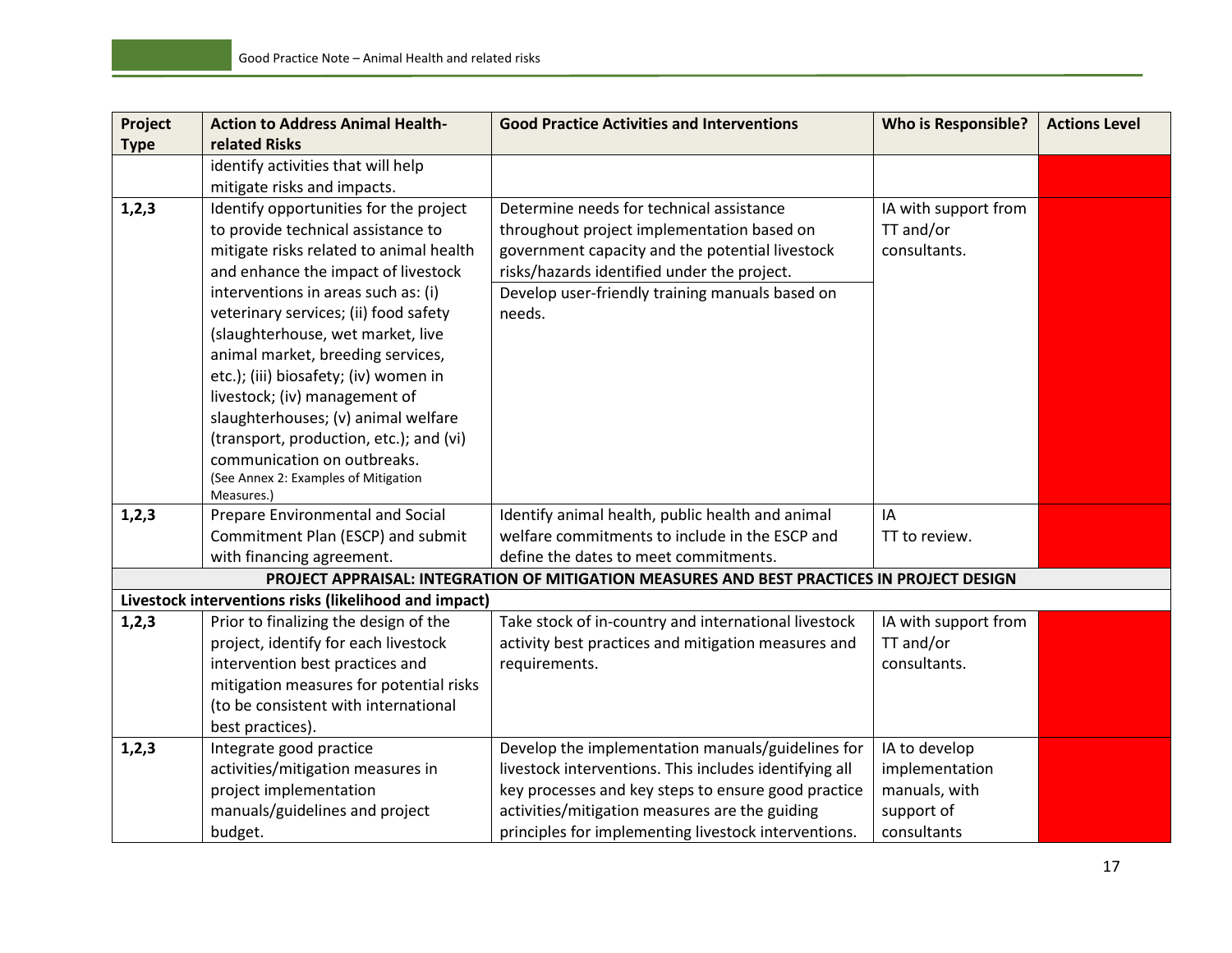| <b>related Risks</b><br><b>Type</b><br>identify activities that will help<br>mitigate risks and impacts.<br>1,2,3<br>Identify opportunities for the project<br>Determine needs for technical assistance<br>IA with support from<br>to provide technical assistance to<br>TT and/or<br>throughout project implementation based on<br>mitigate risks related to animal health<br>government capacity and the potential livestock<br>consultants.<br>and enhance the impact of livestock<br>risks/hazards identified under the project.<br>interventions in areas such as: (i)<br>Develop user-friendly training manuals based on<br>veterinary services; (ii) food safety<br>needs.<br>(slaughterhouse, wet market, live<br>animal market, breeding services,<br>etc.); (iii) biosafety; (iv) women in<br>livestock; (iv) management of<br>slaughterhouses; (v) animal welfare<br>(transport, production, etc.); and (vi)<br>communication on outbreaks.<br>(See Annex 2: Examples of Mitigation<br>Measures.)<br>Prepare Environmental and Social<br>1, 2, 3<br>Identify animal health, public health and animal<br>IA<br>Commitment Plan (ESCP) and submit<br>welfare commitments to include in the ESCP and<br>TT to review.<br>define the dates to meet commitments.<br>with financing agreement.<br>PROJECT APPRAISAL: INTEGRATION OF MITIGATION MEASURES AND BEST PRACTICES IN PROJECT DESIGN<br>Livestock interventions risks (likelihood and impact)<br>1, 2, 3<br>Prior to finalizing the design of the<br>Take stock of in-country and international livestock<br>IA with support from<br>TT and/or<br>project, identify for each livestock<br>activity best practices and mitigation measures and<br>intervention best practices and<br>consultants.<br>requirements.<br>mitigation measures for potential risks<br>(to be consistent with international<br>best practices).<br>1, 2, 3<br>Integrate good practice<br>Develop the implementation manuals/guidelines for<br>IA to develop<br>livestock interventions. This includes identifying all<br>activities/mitigation measures in<br>implementation<br>project implementation<br>key processes and key steps to ensure good practice<br>manuals, with<br>activities/mitigation measures are the guiding<br>support of<br>manuals/guidelines and project | Project | <b>Action to Address Animal Health-</b> | <b>Good Practice Activities and Interventions</b>    | <b>Who is Responsible?</b> | <b>Actions Level</b> |
|------------------------------------------------------------------------------------------------------------------------------------------------------------------------------------------------------------------------------------------------------------------------------------------------------------------------------------------------------------------------------------------------------------------------------------------------------------------------------------------------------------------------------------------------------------------------------------------------------------------------------------------------------------------------------------------------------------------------------------------------------------------------------------------------------------------------------------------------------------------------------------------------------------------------------------------------------------------------------------------------------------------------------------------------------------------------------------------------------------------------------------------------------------------------------------------------------------------------------------------------------------------------------------------------------------------------------------------------------------------------------------------------------------------------------------------------------------------------------------------------------------------------------------------------------------------------------------------------------------------------------------------------------------------------------------------------------------------------------------------------------------------------------------------------------------------------------------------------------------------------------------------------------------------------------------------------------------------------------------------------------------------------------------------------------------------------------------------------------------------------------------------------------------------------------------------------------------------------------------------------------------------------------------------------------------------------|---------|-----------------------------------------|------------------------------------------------------|----------------------------|----------------------|
|                                                                                                                                                                                                                                                                                                                                                                                                                                                                                                                                                                                                                                                                                                                                                                                                                                                                                                                                                                                                                                                                                                                                                                                                                                                                                                                                                                                                                                                                                                                                                                                                                                                                                                                                                                                                                                                                                                                                                                                                                                                                                                                                                                                                                                                                                                                        |         |                                         |                                                      |                            |                      |
|                                                                                                                                                                                                                                                                                                                                                                                                                                                                                                                                                                                                                                                                                                                                                                                                                                                                                                                                                                                                                                                                                                                                                                                                                                                                                                                                                                                                                                                                                                                                                                                                                                                                                                                                                                                                                                                                                                                                                                                                                                                                                                                                                                                                                                                                                                                        |         |                                         |                                                      |                            |                      |
|                                                                                                                                                                                                                                                                                                                                                                                                                                                                                                                                                                                                                                                                                                                                                                                                                                                                                                                                                                                                                                                                                                                                                                                                                                                                                                                                                                                                                                                                                                                                                                                                                                                                                                                                                                                                                                                                                                                                                                                                                                                                                                                                                                                                                                                                                                                        |         |                                         |                                                      |                            |                      |
|                                                                                                                                                                                                                                                                                                                                                                                                                                                                                                                                                                                                                                                                                                                                                                                                                                                                                                                                                                                                                                                                                                                                                                                                                                                                                                                                                                                                                                                                                                                                                                                                                                                                                                                                                                                                                                                                                                                                                                                                                                                                                                                                                                                                                                                                                                                        |         |                                         |                                                      |                            |                      |
|                                                                                                                                                                                                                                                                                                                                                                                                                                                                                                                                                                                                                                                                                                                                                                                                                                                                                                                                                                                                                                                                                                                                                                                                                                                                                                                                                                                                                                                                                                                                                                                                                                                                                                                                                                                                                                                                                                                                                                                                                                                                                                                                                                                                                                                                                                                        |         |                                         |                                                      |                            |                      |
|                                                                                                                                                                                                                                                                                                                                                                                                                                                                                                                                                                                                                                                                                                                                                                                                                                                                                                                                                                                                                                                                                                                                                                                                                                                                                                                                                                                                                                                                                                                                                                                                                                                                                                                                                                                                                                                                                                                                                                                                                                                                                                                                                                                                                                                                                                                        |         |                                         |                                                      |                            |                      |
|                                                                                                                                                                                                                                                                                                                                                                                                                                                                                                                                                                                                                                                                                                                                                                                                                                                                                                                                                                                                                                                                                                                                                                                                                                                                                                                                                                                                                                                                                                                                                                                                                                                                                                                                                                                                                                                                                                                                                                                                                                                                                                                                                                                                                                                                                                                        |         |                                         |                                                      |                            |                      |
|                                                                                                                                                                                                                                                                                                                                                                                                                                                                                                                                                                                                                                                                                                                                                                                                                                                                                                                                                                                                                                                                                                                                                                                                                                                                                                                                                                                                                                                                                                                                                                                                                                                                                                                                                                                                                                                                                                                                                                                                                                                                                                                                                                                                                                                                                                                        |         |                                         |                                                      |                            |                      |
|                                                                                                                                                                                                                                                                                                                                                                                                                                                                                                                                                                                                                                                                                                                                                                                                                                                                                                                                                                                                                                                                                                                                                                                                                                                                                                                                                                                                                                                                                                                                                                                                                                                                                                                                                                                                                                                                                                                                                                                                                                                                                                                                                                                                                                                                                                                        |         |                                         |                                                      |                            |                      |
|                                                                                                                                                                                                                                                                                                                                                                                                                                                                                                                                                                                                                                                                                                                                                                                                                                                                                                                                                                                                                                                                                                                                                                                                                                                                                                                                                                                                                                                                                                                                                                                                                                                                                                                                                                                                                                                                                                                                                                                                                                                                                                                                                                                                                                                                                                                        |         |                                         |                                                      |                            |                      |
|                                                                                                                                                                                                                                                                                                                                                                                                                                                                                                                                                                                                                                                                                                                                                                                                                                                                                                                                                                                                                                                                                                                                                                                                                                                                                                                                                                                                                                                                                                                                                                                                                                                                                                                                                                                                                                                                                                                                                                                                                                                                                                                                                                                                                                                                                                                        |         |                                         |                                                      |                            |                      |
|                                                                                                                                                                                                                                                                                                                                                                                                                                                                                                                                                                                                                                                                                                                                                                                                                                                                                                                                                                                                                                                                                                                                                                                                                                                                                                                                                                                                                                                                                                                                                                                                                                                                                                                                                                                                                                                                                                                                                                                                                                                                                                                                                                                                                                                                                                                        |         |                                         |                                                      |                            |                      |
|                                                                                                                                                                                                                                                                                                                                                                                                                                                                                                                                                                                                                                                                                                                                                                                                                                                                                                                                                                                                                                                                                                                                                                                                                                                                                                                                                                                                                                                                                                                                                                                                                                                                                                                                                                                                                                                                                                                                                                                                                                                                                                                                                                                                                                                                                                                        |         |                                         |                                                      |                            |                      |
|                                                                                                                                                                                                                                                                                                                                                                                                                                                                                                                                                                                                                                                                                                                                                                                                                                                                                                                                                                                                                                                                                                                                                                                                                                                                                                                                                                                                                                                                                                                                                                                                                                                                                                                                                                                                                                                                                                                                                                                                                                                                                                                                                                                                                                                                                                                        |         |                                         |                                                      |                            |                      |
|                                                                                                                                                                                                                                                                                                                                                                                                                                                                                                                                                                                                                                                                                                                                                                                                                                                                                                                                                                                                                                                                                                                                                                                                                                                                                                                                                                                                                                                                                                                                                                                                                                                                                                                                                                                                                                                                                                                                                                                                                                                                                                                                                                                                                                                                                                                        |         |                                         |                                                      |                            |                      |
|                                                                                                                                                                                                                                                                                                                                                                                                                                                                                                                                                                                                                                                                                                                                                                                                                                                                                                                                                                                                                                                                                                                                                                                                                                                                                                                                                                                                                                                                                                                                                                                                                                                                                                                                                                                                                                                                                                                                                                                                                                                                                                                                                                                                                                                                                                                        |         |                                         |                                                      |                            |                      |
|                                                                                                                                                                                                                                                                                                                                                                                                                                                                                                                                                                                                                                                                                                                                                                                                                                                                                                                                                                                                                                                                                                                                                                                                                                                                                                                                                                                                                                                                                                                                                                                                                                                                                                                                                                                                                                                                                                                                                                                                                                                                                                                                                                                                                                                                                                                        |         |                                         |                                                      |                            |                      |
|                                                                                                                                                                                                                                                                                                                                                                                                                                                                                                                                                                                                                                                                                                                                                                                                                                                                                                                                                                                                                                                                                                                                                                                                                                                                                                                                                                                                                                                                                                                                                                                                                                                                                                                                                                                                                                                                                                                                                                                                                                                                                                                                                                                                                                                                                                                        |         |                                         |                                                      |                            |                      |
|                                                                                                                                                                                                                                                                                                                                                                                                                                                                                                                                                                                                                                                                                                                                                                                                                                                                                                                                                                                                                                                                                                                                                                                                                                                                                                                                                                                                                                                                                                                                                                                                                                                                                                                                                                                                                                                                                                                                                                                                                                                                                                                                                                                                                                                                                                                        |         |                                         |                                                      |                            |                      |
|                                                                                                                                                                                                                                                                                                                                                                                                                                                                                                                                                                                                                                                                                                                                                                                                                                                                                                                                                                                                                                                                                                                                                                                                                                                                                                                                                                                                                                                                                                                                                                                                                                                                                                                                                                                                                                                                                                                                                                                                                                                                                                                                                                                                                                                                                                                        |         |                                         |                                                      |                            |                      |
|                                                                                                                                                                                                                                                                                                                                                                                                                                                                                                                                                                                                                                                                                                                                                                                                                                                                                                                                                                                                                                                                                                                                                                                                                                                                                                                                                                                                                                                                                                                                                                                                                                                                                                                                                                                                                                                                                                                                                                                                                                                                                                                                                                                                                                                                                                                        |         |                                         |                                                      |                            |                      |
|                                                                                                                                                                                                                                                                                                                                                                                                                                                                                                                                                                                                                                                                                                                                                                                                                                                                                                                                                                                                                                                                                                                                                                                                                                                                                                                                                                                                                                                                                                                                                                                                                                                                                                                                                                                                                                                                                                                                                                                                                                                                                                                                                                                                                                                                                                                        |         |                                         |                                                      |                            |                      |
|                                                                                                                                                                                                                                                                                                                                                                                                                                                                                                                                                                                                                                                                                                                                                                                                                                                                                                                                                                                                                                                                                                                                                                                                                                                                                                                                                                                                                                                                                                                                                                                                                                                                                                                                                                                                                                                                                                                                                                                                                                                                                                                                                                                                                                                                                                                        |         |                                         |                                                      |                            |                      |
|                                                                                                                                                                                                                                                                                                                                                                                                                                                                                                                                                                                                                                                                                                                                                                                                                                                                                                                                                                                                                                                                                                                                                                                                                                                                                                                                                                                                                                                                                                                                                                                                                                                                                                                                                                                                                                                                                                                                                                                                                                                                                                                                                                                                                                                                                                                        |         |                                         |                                                      |                            |                      |
|                                                                                                                                                                                                                                                                                                                                                                                                                                                                                                                                                                                                                                                                                                                                                                                                                                                                                                                                                                                                                                                                                                                                                                                                                                                                                                                                                                                                                                                                                                                                                                                                                                                                                                                                                                                                                                                                                                                                                                                                                                                                                                                                                                                                                                                                                                                        |         |                                         |                                                      |                            |                      |
|                                                                                                                                                                                                                                                                                                                                                                                                                                                                                                                                                                                                                                                                                                                                                                                                                                                                                                                                                                                                                                                                                                                                                                                                                                                                                                                                                                                                                                                                                                                                                                                                                                                                                                                                                                                                                                                                                                                                                                                                                                                                                                                                                                                                                                                                                                                        |         |                                         |                                                      |                            |                      |
|                                                                                                                                                                                                                                                                                                                                                                                                                                                                                                                                                                                                                                                                                                                                                                                                                                                                                                                                                                                                                                                                                                                                                                                                                                                                                                                                                                                                                                                                                                                                                                                                                                                                                                                                                                                                                                                                                                                                                                                                                                                                                                                                                                                                                                                                                                                        |         |                                         |                                                      |                            |                      |
|                                                                                                                                                                                                                                                                                                                                                                                                                                                                                                                                                                                                                                                                                                                                                                                                                                                                                                                                                                                                                                                                                                                                                                                                                                                                                                                                                                                                                                                                                                                                                                                                                                                                                                                                                                                                                                                                                                                                                                                                                                                                                                                                                                                                                                                                                                                        |         |                                         |                                                      |                            |                      |
|                                                                                                                                                                                                                                                                                                                                                                                                                                                                                                                                                                                                                                                                                                                                                                                                                                                                                                                                                                                                                                                                                                                                                                                                                                                                                                                                                                                                                                                                                                                                                                                                                                                                                                                                                                                                                                                                                                                                                                                                                                                                                                                                                                                                                                                                                                                        |         |                                         |                                                      |                            |                      |
|                                                                                                                                                                                                                                                                                                                                                                                                                                                                                                                                                                                                                                                                                                                                                                                                                                                                                                                                                                                                                                                                                                                                                                                                                                                                                                                                                                                                                                                                                                                                                                                                                                                                                                                                                                                                                                                                                                                                                                                                                                                                                                                                                                                                                                                                                                                        |         |                                         |                                                      |                            |                      |
|                                                                                                                                                                                                                                                                                                                                                                                                                                                                                                                                                                                                                                                                                                                                                                                                                                                                                                                                                                                                                                                                                                                                                                                                                                                                                                                                                                                                                                                                                                                                                                                                                                                                                                                                                                                                                                                                                                                                                                                                                                                                                                                                                                                                                                                                                                                        |         |                                         |                                                      |                            |                      |
|                                                                                                                                                                                                                                                                                                                                                                                                                                                                                                                                                                                                                                                                                                                                                                                                                                                                                                                                                                                                                                                                                                                                                                                                                                                                                                                                                                                                                                                                                                                                                                                                                                                                                                                                                                                                                                                                                                                                                                                                                                                                                                                                                                                                                                                                                                                        |         |                                         |                                                      |                            |                      |
|                                                                                                                                                                                                                                                                                                                                                                                                                                                                                                                                                                                                                                                                                                                                                                                                                                                                                                                                                                                                                                                                                                                                                                                                                                                                                                                                                                                                                                                                                                                                                                                                                                                                                                                                                                                                                                                                                                                                                                                                                                                                                                                                                                                                                                                                                                                        |         | budget.                                 | principles for implementing livestock interventions. | consultants                |                      |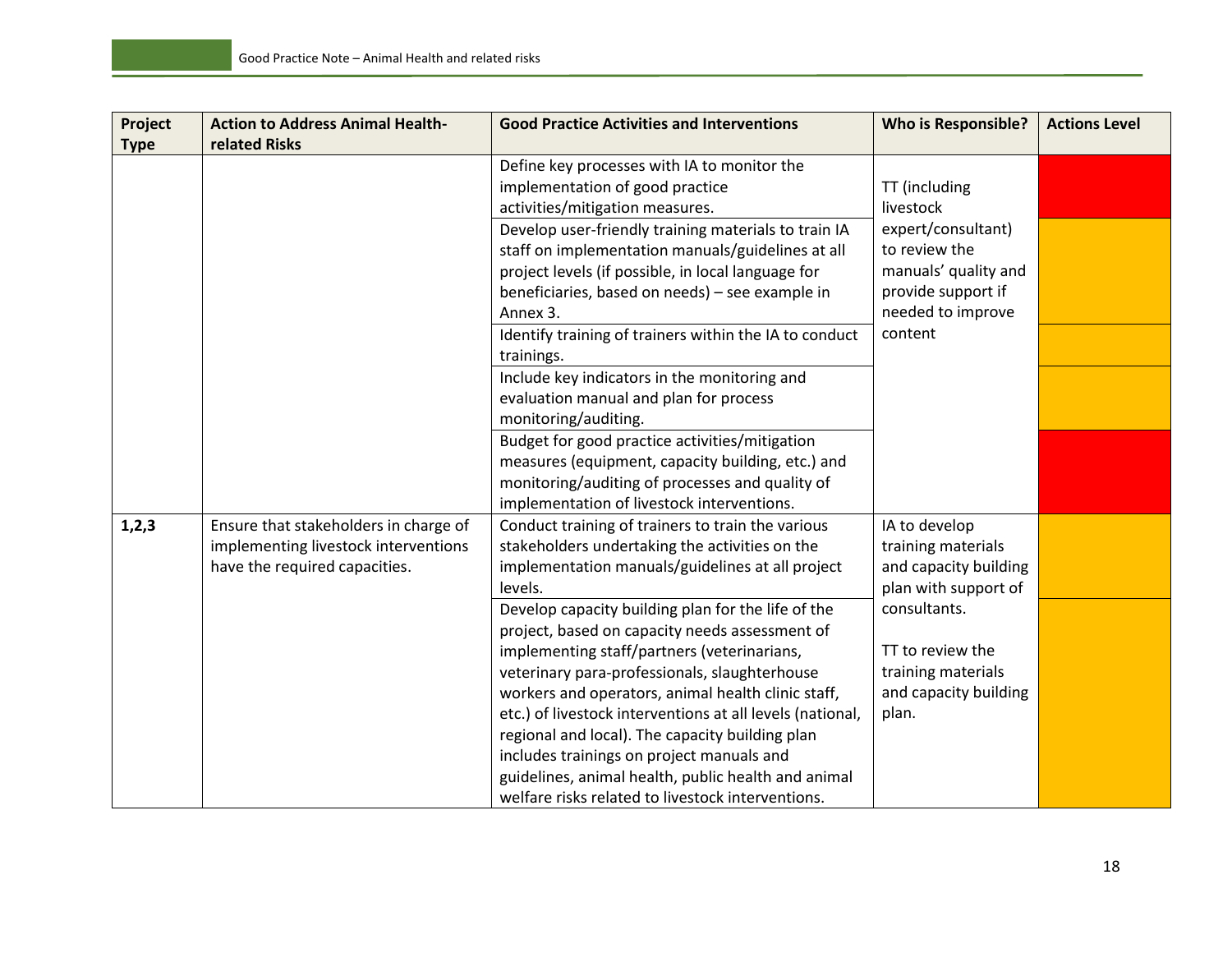| Project<br><b>Type</b> | <b>Action to Address Animal Health-</b><br>related Risks | <b>Good Practice Activities and Interventions</b>         | <b>Who is Responsible?</b> | <b>Actions Level</b> |
|------------------------|----------------------------------------------------------|-----------------------------------------------------------|----------------------------|----------------------|
|                        |                                                          | Define key processes with IA to monitor the               |                            |                      |
|                        |                                                          | implementation of good practice                           | TT (including              |                      |
|                        |                                                          | activities/mitigation measures.                           | livestock                  |                      |
|                        |                                                          | Develop user-friendly training materials to train IA      | expert/consultant)         |                      |
|                        |                                                          | staff on implementation manuals/guidelines at all         | to review the              |                      |
|                        |                                                          | project levels (if possible, in local language for        | manuals' quality and       |                      |
|                        |                                                          | beneficiaries, based on needs) - see example in           | provide support if         |                      |
|                        |                                                          | Annex 3.                                                  | needed to improve          |                      |
|                        |                                                          | Identify training of trainers within the IA to conduct    | content                    |                      |
|                        |                                                          | trainings.                                                |                            |                      |
|                        |                                                          | Include key indicators in the monitoring and              |                            |                      |
|                        |                                                          | evaluation manual and plan for process                    |                            |                      |
|                        |                                                          | monitoring/auditing.                                      |                            |                      |
|                        |                                                          | Budget for good practice activities/mitigation            |                            |                      |
|                        |                                                          | measures (equipment, capacity building, etc.) and         |                            |                      |
|                        |                                                          | monitoring/auditing of processes and quality of           |                            |                      |
|                        |                                                          | implementation of livestock interventions.                |                            |                      |
| 1, 2, 3                | Ensure that stakeholders in charge of                    | Conduct training of trainers to train the various         | IA to develop              |                      |
|                        | implementing livestock interventions                     | stakeholders undertaking the activities on the            | training materials         |                      |
|                        | have the required capacities.                            | implementation manuals/guidelines at all project          | and capacity building      |                      |
|                        |                                                          | levels.                                                   | plan with support of       |                      |
|                        |                                                          | Develop capacity building plan for the life of the        | consultants.               |                      |
|                        |                                                          | project, based on capacity needs assessment of            |                            |                      |
|                        |                                                          | implementing staff/partners (veterinarians,               | TT to review the           |                      |
|                        |                                                          | veterinary para-professionals, slaughterhouse             | training materials         |                      |
|                        |                                                          | workers and operators, animal health clinic staff,        | and capacity building      |                      |
|                        |                                                          | etc.) of livestock interventions at all levels (national, | plan.                      |                      |
|                        |                                                          | regional and local). The capacity building plan           |                            |                      |
|                        |                                                          | includes trainings on project manuals and                 |                            |                      |
|                        |                                                          | guidelines, animal health, public health and animal       |                            |                      |
|                        |                                                          | welfare risks related to livestock interventions.         |                            |                      |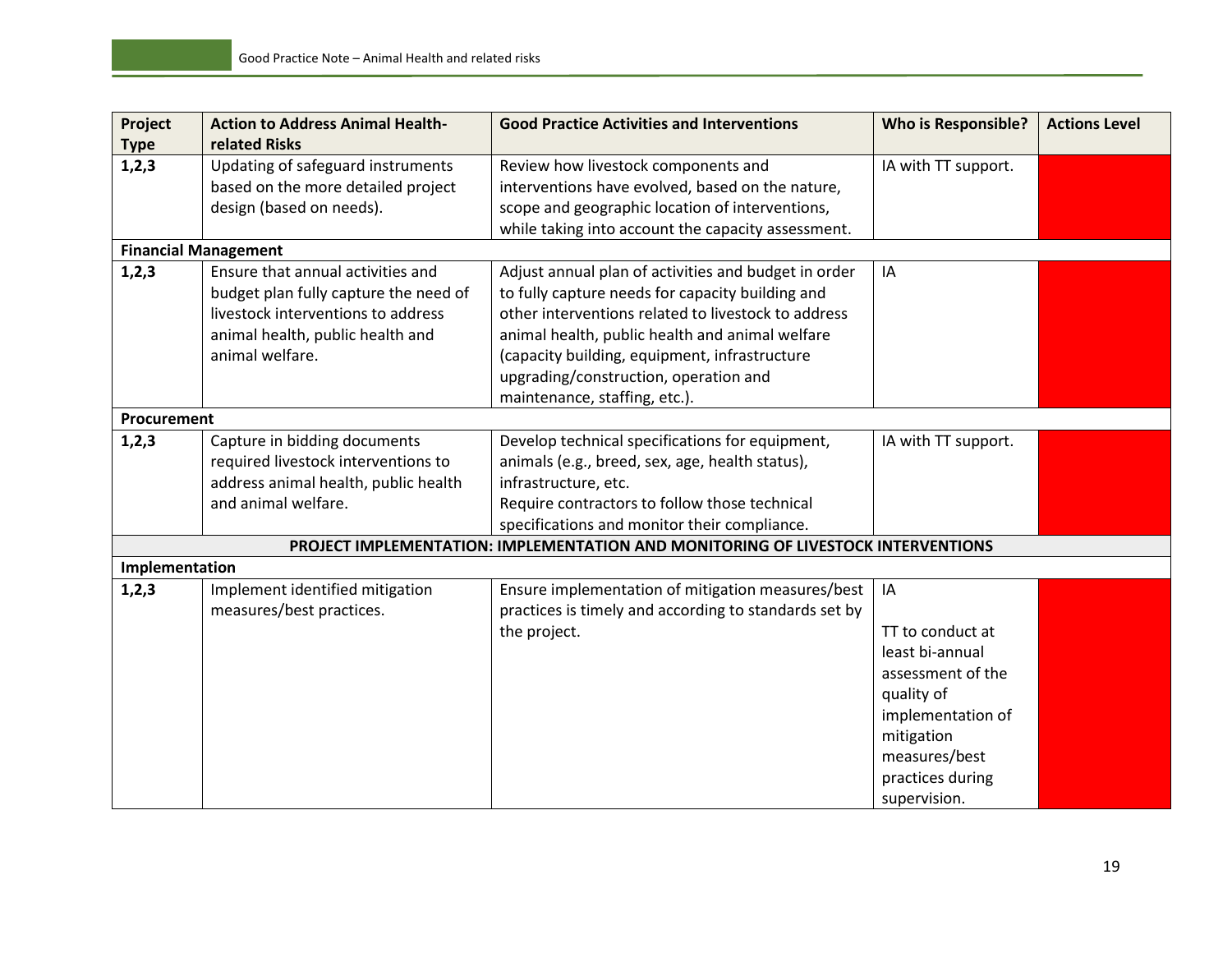| Project        | <b>Action to Address Animal Health-</b><br>related Risks | <b>Good Practice Activities and Interventions</b>                                | <b>Who is Responsible?</b> | <b>Actions Level</b> |
|----------------|----------------------------------------------------------|----------------------------------------------------------------------------------|----------------------------|----------------------|
| <b>Type</b>    |                                                          |                                                                                  |                            |                      |
| 1, 2, 3        | Updating of safeguard instruments                        | Review how livestock components and                                              | IA with TT support.        |                      |
|                | based on the more detailed project                       | interventions have evolved, based on the nature,                                 |                            |                      |
|                | design (based on needs).                                 | scope and geographic location of interventions,                                  |                            |                      |
|                |                                                          | while taking into account the capacity assessment.                               |                            |                      |
|                | <b>Financial Management</b>                              |                                                                                  |                            |                      |
| 1,2,3          | Ensure that annual activities and                        | Adjust annual plan of activities and budget in order                             | IA                         |                      |
|                | budget plan fully capture the need of                    | to fully capture needs for capacity building and                                 |                            |                      |
|                | livestock interventions to address                       | other interventions related to livestock to address                              |                            |                      |
|                | animal health, public health and                         | animal health, public health and animal welfare                                  |                            |                      |
|                | animal welfare.                                          | (capacity building, equipment, infrastructure                                    |                            |                      |
|                |                                                          | upgrading/construction, operation and                                            |                            |                      |
|                |                                                          | maintenance, staffing, etc.).                                                    |                            |                      |
| Procurement    |                                                          |                                                                                  |                            |                      |
| 1, 2, 3        | Capture in bidding documents                             | Develop technical specifications for equipment,                                  | IA with TT support.        |                      |
|                | required livestock interventions to                      | animals (e.g., breed, sex, age, health status),                                  |                            |                      |
|                | address animal health, public health                     | infrastructure, etc.                                                             |                            |                      |
|                | and animal welfare.                                      | Require contractors to follow those technical                                    |                            |                      |
|                |                                                          | specifications and monitor their compliance.                                     |                            |                      |
|                |                                                          | PROJECT IMPLEMENTATION: IMPLEMENTATION AND MONITORING OF LIVESTOCK INTERVENTIONS |                            |                      |
| Implementation |                                                          |                                                                                  |                            |                      |
| 1,2,3          | Implement identified mitigation                          | Ensure implementation of mitigation measures/best                                | IA                         |                      |
|                | measures/best practices.                                 | practices is timely and according to standards set by                            |                            |                      |
|                |                                                          | the project.                                                                     | TT to conduct at           |                      |
|                |                                                          |                                                                                  | least bi-annual            |                      |
|                |                                                          |                                                                                  | assessment of the          |                      |
|                |                                                          |                                                                                  | quality of                 |                      |
|                |                                                          |                                                                                  | implementation of          |                      |
|                |                                                          |                                                                                  | mitigation                 |                      |
|                |                                                          |                                                                                  | measures/best              |                      |
|                |                                                          |                                                                                  | practices during           |                      |
|                |                                                          |                                                                                  |                            |                      |
|                |                                                          |                                                                                  | supervision.               |                      |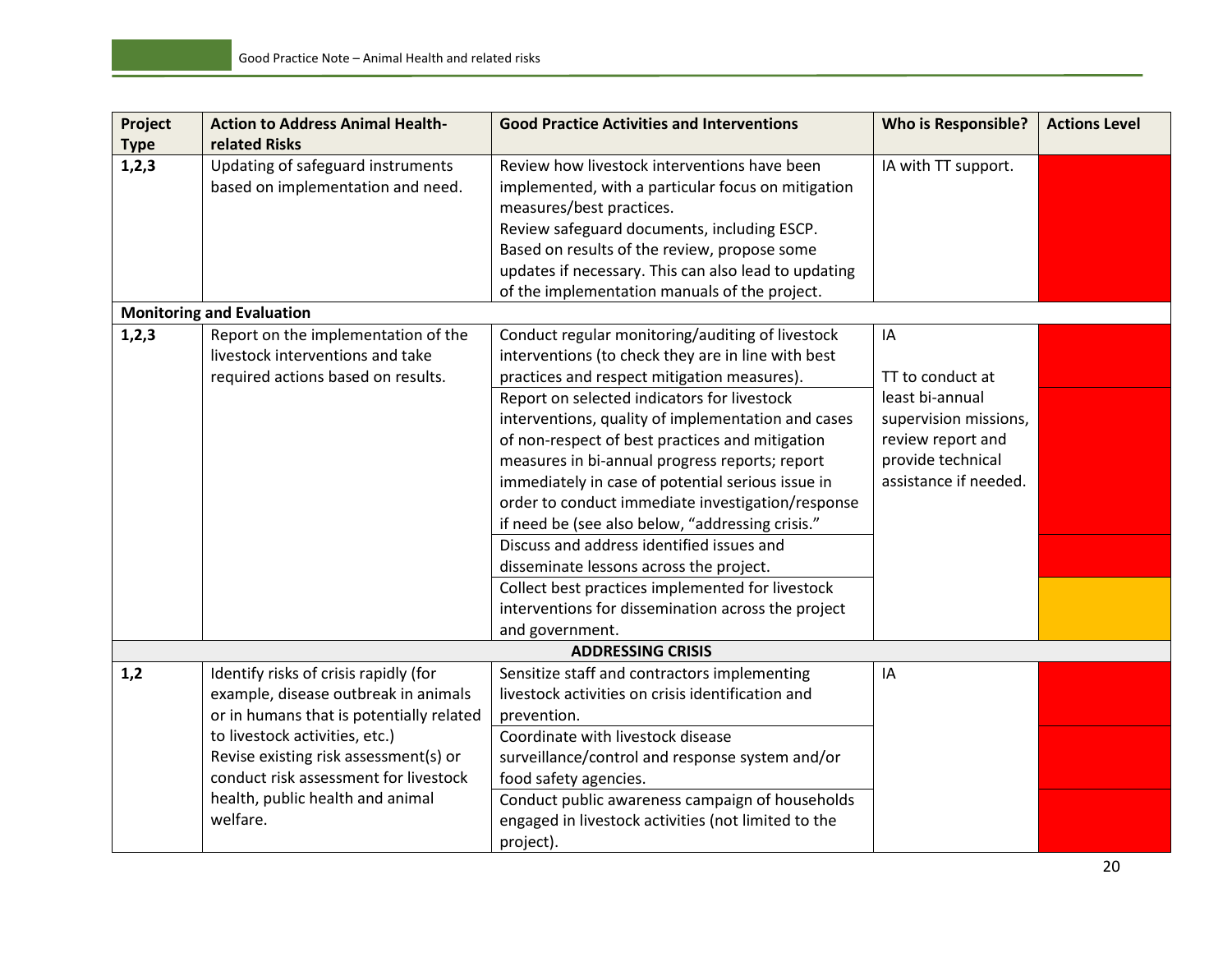| Project     | <b>Action to Address Animal Health-</b>  | <b>Good Practice Activities and Interventions</b>    | <b>Who is Responsible?</b> | <b>Actions Level</b> |
|-------------|------------------------------------------|------------------------------------------------------|----------------------------|----------------------|
| <b>Type</b> | related Risks                            |                                                      |                            |                      |
| 1, 2, 3     | Updating of safeguard instruments        | Review how livestock interventions have been         | IA with TT support.        |                      |
|             | based on implementation and need.        | implemented, with a particular focus on mitigation   |                            |                      |
|             |                                          | measures/best practices.                             |                            |                      |
|             |                                          | Review safeguard documents, including ESCP.          |                            |                      |
|             |                                          | Based on results of the review, propose some         |                            |                      |
|             |                                          | updates if necessary. This can also lead to updating |                            |                      |
|             |                                          | of the implementation manuals of the project.        |                            |                      |
|             | <b>Monitoring and Evaluation</b>         |                                                      |                            |                      |
| 1,2,3       | Report on the implementation of the      | Conduct regular monitoring/auditing of livestock     | IA                         |                      |
|             | livestock interventions and take         | interventions (to check they are in line with best   |                            |                      |
|             | required actions based on results.       | practices and respect mitigation measures).          | TT to conduct at           |                      |
|             |                                          | Report on selected indicators for livestock          | least bi-annual            |                      |
|             |                                          | interventions, quality of implementation and cases   | supervision missions,      |                      |
|             |                                          | of non-respect of best practices and mitigation      | review report and          |                      |
|             |                                          | measures in bi-annual progress reports; report       | provide technical          |                      |
|             |                                          | immediately in case of potential serious issue in    | assistance if needed.      |                      |
|             |                                          | order to conduct immediate investigation/response    |                            |                      |
|             |                                          | if need be (see also below, "addressing crisis."     |                            |                      |
|             |                                          | Discuss and address identified issues and            |                            |                      |
|             |                                          | disseminate lessons across the project.              |                            |                      |
|             |                                          | Collect best practices implemented for livestock     |                            |                      |
|             |                                          | interventions for dissemination across the project   |                            |                      |
|             |                                          | and government.                                      |                            |                      |
|             |                                          | <b>ADDRESSING CRISIS</b>                             |                            |                      |
| 1,2         | Identify risks of crisis rapidly (for    | Sensitize staff and contractors implementing         | IA                         |                      |
|             | example, disease outbreak in animals     | livestock activities on crisis identification and    |                            |                      |
|             | or in humans that is potentially related | prevention.                                          |                            |                      |
|             | to livestock activities, etc.)           | Coordinate with livestock disease                    |                            |                      |
|             | Revise existing risk assessment(s) or    | surveillance/control and response system and/or      |                            |                      |
|             | conduct risk assessment for livestock    | food safety agencies.                                |                            |                      |
|             | health, public health and animal         | Conduct public awareness campaign of households      |                            |                      |
|             | welfare.                                 | engaged in livestock activities (not limited to the  |                            |                      |
|             |                                          | project).                                            |                            |                      |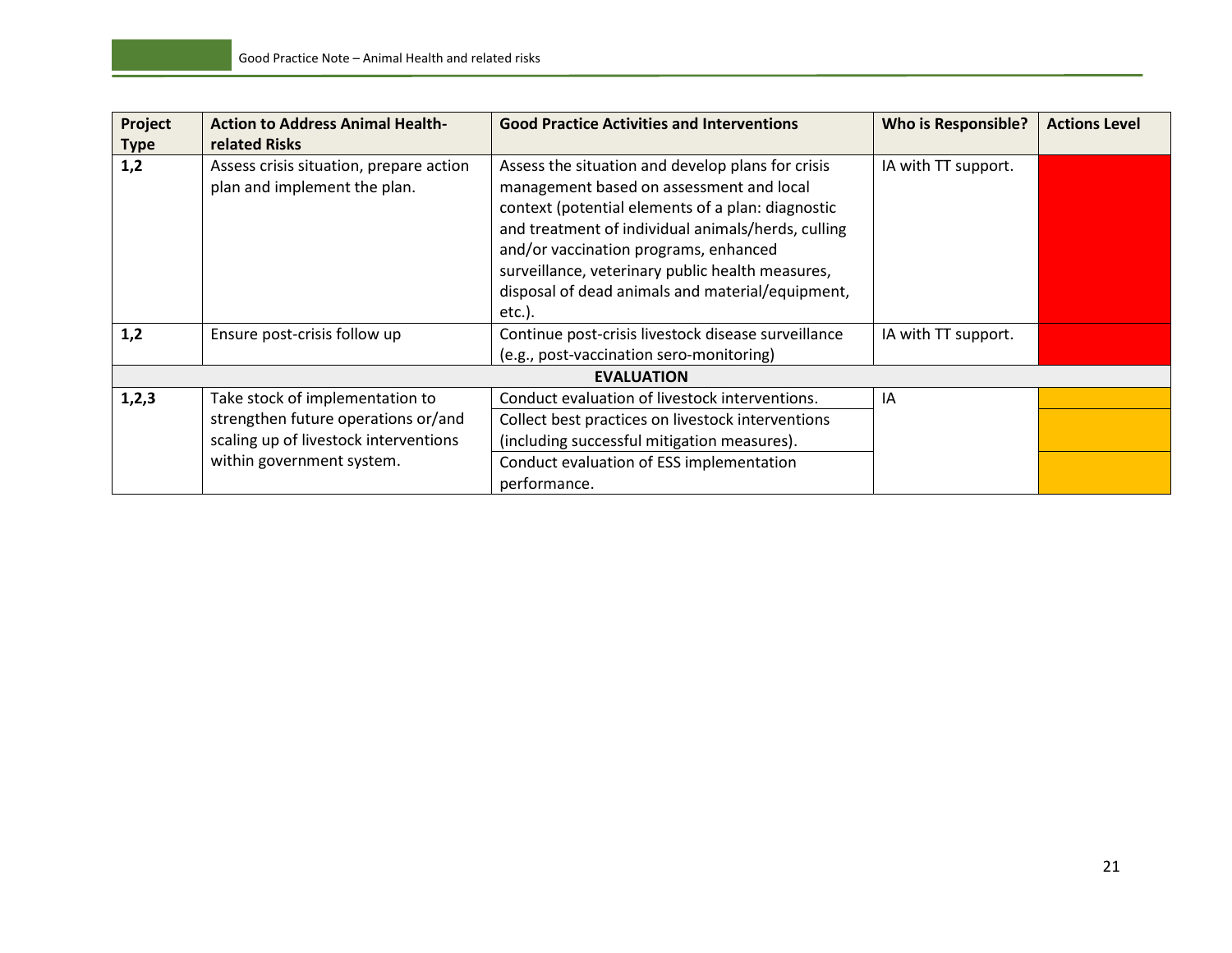| Project     | <b>Action to Address Animal Health-</b>                                 | <b>Good Practice Activities and Interventions</b>                                                                                                                                                                                                                                                                                                                      | <b>Who is Responsible?</b> | <b>Actions Level</b> |
|-------------|-------------------------------------------------------------------------|------------------------------------------------------------------------------------------------------------------------------------------------------------------------------------------------------------------------------------------------------------------------------------------------------------------------------------------------------------------------|----------------------------|----------------------|
| <b>Type</b> | related Risks                                                           |                                                                                                                                                                                                                                                                                                                                                                        |                            |                      |
| 1,2         | Assess crisis situation, prepare action<br>plan and implement the plan. | Assess the situation and develop plans for crisis<br>management based on assessment and local<br>context (potential elements of a plan: diagnostic<br>and treatment of individual animals/herds, culling<br>and/or vaccination programs, enhanced<br>surveillance, veterinary public health measures,<br>disposal of dead animals and material/equipment,<br>$etc.$ ). | IA with TT support.        |                      |
| 1,2         | Ensure post-crisis follow up                                            | Continue post-crisis livestock disease surveillance<br>(e.g., post-vaccination sero-monitoring)                                                                                                                                                                                                                                                                        | IA with TT support.        |                      |
|             |                                                                         | <b>EVALUATION</b>                                                                                                                                                                                                                                                                                                                                                      |                            |                      |
| 1,2,3       | Take stock of implementation to                                         | Conduct evaluation of livestock interventions.                                                                                                                                                                                                                                                                                                                         | IA                         |                      |
|             | strengthen future operations or/and                                     | Collect best practices on livestock interventions                                                                                                                                                                                                                                                                                                                      |                            |                      |
|             | scaling up of livestock interventions                                   | (including successful mitigation measures).                                                                                                                                                                                                                                                                                                                            |                            |                      |
|             | within government system.                                               | Conduct evaluation of ESS implementation                                                                                                                                                                                                                                                                                                                               |                            |                      |
|             |                                                                         | performance.                                                                                                                                                                                                                                                                                                                                                           |                            |                      |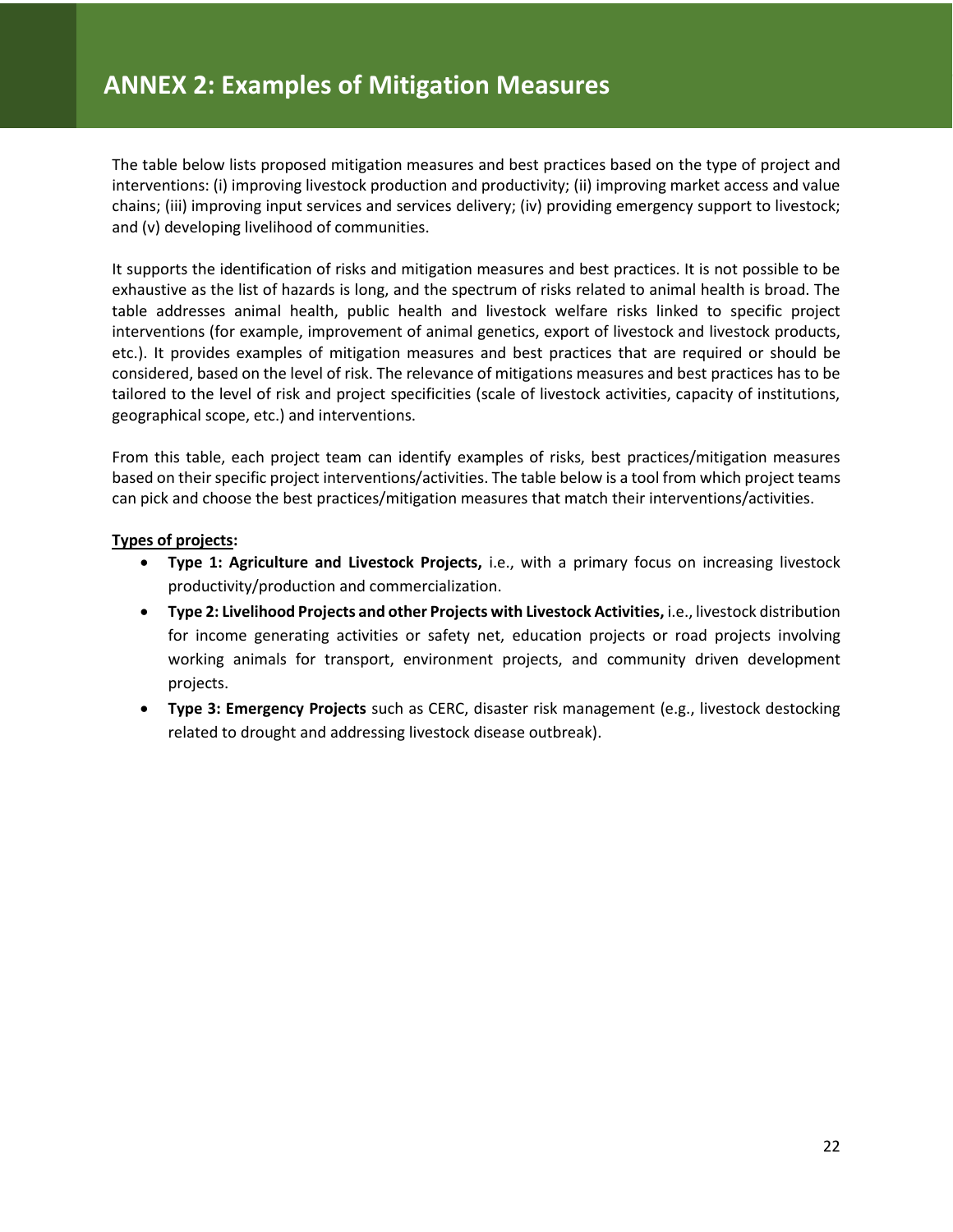The table below lists proposed mitigation measures and best practices based on the type of project and interventions: (i) improving livestock production and productivity; (ii) improving market access and value chains; (iii) improving input services and services delivery; (iv) providing emergency support to livestock; and (v) developing livelihood of communities.

It supports the identification of risks and mitigation measures and best practices. It is not possible to be exhaustive as the list of hazards is long, and the spectrum of risks related to animal health is broad. The table addresses animal health, public health and livestock welfare risks linked to specific project interventions (for example, improvement of animal genetics, export of livestock and livestock products, etc.). It provides examples of mitigation measures and best practices that are required or should be considered, based on the level of risk. The relevance of mitigations measures and best practices has to be tailored to the level of risk and project specificities (scale of livestock activities, capacity of institutions, geographical scope, etc.) and interventions.

From this table, each project team can identify examples of risks, best practices/mitigation measures based on their specific project interventions/activities. The table below is a tool from which project teams can pick and choose the best practices/mitigation measures that match their interventions/activities.

#### **Types of projects:**

- **Type 1: Agriculture and Livestock Projects,** i.e., with a primary focus on increasing livestock productivity/production and commercialization.
- **Type 2: Livelihood Projects and other Projects with Livestock Activities,** i.e., livestock distribution for income generating activities or safety net, education projects or road projects involving working animals for transport, environment projects, and community driven development projects.
- **Type 3: Emergency Projects** such as CERC, disaster risk management (e.g., livestock destocking related to drought and addressing livestock disease outbreak).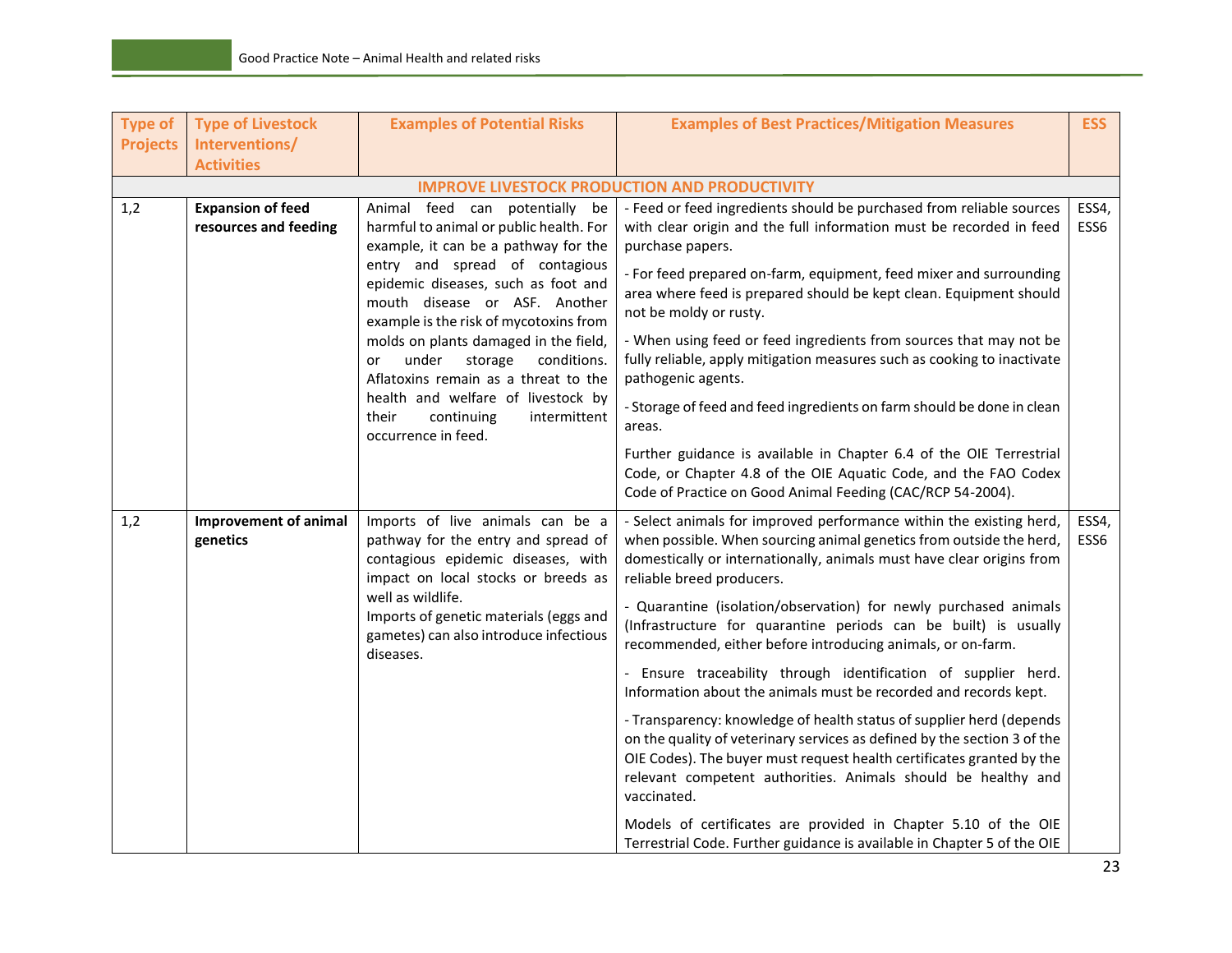| <b>Type of</b>  | <b>Type of Livestock</b>                          | <b>Examples of Potential Risks</b>                                                                                                                                                                                                                                                                                                                                                                                                                                                                  | <b>Examples of Best Practices/Mitigation Measures</b>                                                                                                                                                                                                                                                                                                                                                                                                                                                                                                                                                                                                                                                                                                                                                                                                                                                                                                                                                                                                  | <b>ESS</b>    |
|-----------------|---------------------------------------------------|-----------------------------------------------------------------------------------------------------------------------------------------------------------------------------------------------------------------------------------------------------------------------------------------------------------------------------------------------------------------------------------------------------------------------------------------------------------------------------------------------------|--------------------------------------------------------------------------------------------------------------------------------------------------------------------------------------------------------------------------------------------------------------------------------------------------------------------------------------------------------------------------------------------------------------------------------------------------------------------------------------------------------------------------------------------------------------------------------------------------------------------------------------------------------------------------------------------------------------------------------------------------------------------------------------------------------------------------------------------------------------------------------------------------------------------------------------------------------------------------------------------------------------------------------------------------------|---------------|
| <b>Projects</b> | Interventions/                                    |                                                                                                                                                                                                                                                                                                                                                                                                                                                                                                     |                                                                                                                                                                                                                                                                                                                                                                                                                                                                                                                                                                                                                                                                                                                                                                                                                                                                                                                                                                                                                                                        |               |
|                 | <b>Activities</b>                                 |                                                                                                                                                                                                                                                                                                                                                                                                                                                                                                     |                                                                                                                                                                                                                                                                                                                                                                                                                                                                                                                                                                                                                                                                                                                                                                                                                                                                                                                                                                                                                                                        |               |
|                 |                                                   |                                                                                                                                                                                                                                                                                                                                                                                                                                                                                                     | <b>IMPROVE LIVESTOCK PRODUCTION AND PRODUCTIVITY</b>                                                                                                                                                                                                                                                                                                                                                                                                                                                                                                                                                                                                                                                                                                                                                                                                                                                                                                                                                                                                   |               |
| 1,2             | <b>Expansion of feed</b><br>resources and feeding | Animal feed can potentially be<br>harmful to animal or public health. For<br>example, it can be a pathway for the<br>entry and spread of contagious<br>epidemic diseases, such as foot and<br>mouth disease or ASF. Another<br>example is the risk of mycotoxins from<br>molds on plants damaged in the field,<br>under<br>storage<br>conditions.<br>or<br>Aflatoxins remain as a threat to the<br>health and welfare of livestock by<br>their<br>continuing<br>intermittent<br>occurrence in feed. | - Feed or feed ingredients should be purchased from reliable sources<br>with clear origin and the full information must be recorded in feed<br>purchase papers.<br>- For feed prepared on-farm, equipment, feed mixer and surrounding<br>area where feed is prepared should be kept clean. Equipment should<br>not be moldy or rusty.<br>- When using feed or feed ingredients from sources that may not be<br>fully reliable, apply mitigation measures such as cooking to inactivate<br>pathogenic agents.<br>- Storage of feed and feed ingredients on farm should be done in clean<br>areas.<br>Further guidance is available in Chapter 6.4 of the OIE Terrestrial<br>Code, or Chapter 4.8 of the OIE Aquatic Code, and the FAO Codex<br>Code of Practice on Good Animal Feeding (CAC/RCP 54-2004).                                                                                                                                                                                                                                               | ESS4,<br>ESS6 |
| 1,2             | <b>Improvement of animal</b><br>genetics          | Imports of live animals can be a<br>pathway for the entry and spread of<br>contagious epidemic diseases, with<br>impact on local stocks or breeds as<br>well as wildlife.<br>Imports of genetic materials (eggs and<br>gametes) can also introduce infectious<br>diseases.                                                                                                                                                                                                                          | - Select animals for improved performance within the existing herd,<br>when possible. When sourcing animal genetics from outside the herd,<br>domestically or internationally, animals must have clear origins from<br>reliable breed producers.<br>- Quarantine (isolation/observation) for newly purchased animals<br>(Infrastructure for quarantine periods can be built) is usually<br>recommended, either before introducing animals, or on-farm.<br>- Ensure traceability through identification of supplier herd.<br>Information about the animals must be recorded and records kept.<br>- Transparency: knowledge of health status of supplier herd (depends<br>on the quality of veterinary services as defined by the section 3 of the<br>OIE Codes). The buyer must request health certificates granted by the<br>relevant competent authorities. Animals should be healthy and<br>vaccinated.<br>Models of certificates are provided in Chapter 5.10 of the OIE<br>Terrestrial Code. Further guidance is available in Chapter 5 of the OIE | ESS4,<br>ESS6 |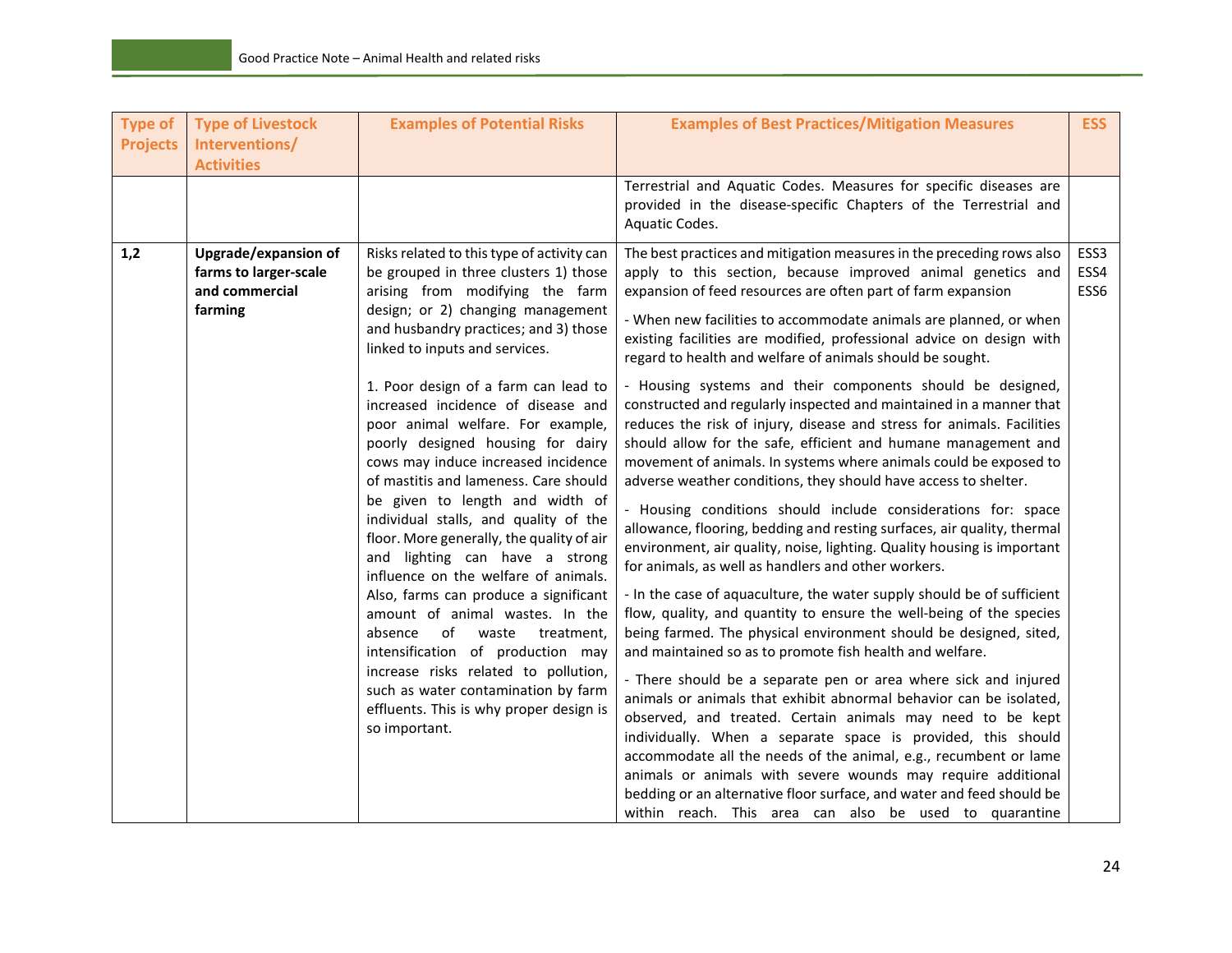| <b>Type of</b><br><b>Projects</b> | <b>Type of Livestock</b><br>Interventions/<br><b>Activities</b>                   | <b>Examples of Potential Risks</b>                                                                                                                                                                                                                                                                                                                                                                                                                                                                                                                                                                                                                                                                                                                                                                                                                                                                                                                                                 | <b>Examples of Best Practices/Mitigation Measures</b>                                                                                                                                                                                                                                                                                                                                                                                                                                                                                                                                                                                                                                                                                                                                                                                                                                                                                                                                                                                                                                                                                                                                                                                                                                                                                                                                                                                                                                                                                                                                                                                                                                                                                                                                                                                                                                                                                                 | <b>ESS</b>           |
|-----------------------------------|-----------------------------------------------------------------------------------|------------------------------------------------------------------------------------------------------------------------------------------------------------------------------------------------------------------------------------------------------------------------------------------------------------------------------------------------------------------------------------------------------------------------------------------------------------------------------------------------------------------------------------------------------------------------------------------------------------------------------------------------------------------------------------------------------------------------------------------------------------------------------------------------------------------------------------------------------------------------------------------------------------------------------------------------------------------------------------|-------------------------------------------------------------------------------------------------------------------------------------------------------------------------------------------------------------------------------------------------------------------------------------------------------------------------------------------------------------------------------------------------------------------------------------------------------------------------------------------------------------------------------------------------------------------------------------------------------------------------------------------------------------------------------------------------------------------------------------------------------------------------------------------------------------------------------------------------------------------------------------------------------------------------------------------------------------------------------------------------------------------------------------------------------------------------------------------------------------------------------------------------------------------------------------------------------------------------------------------------------------------------------------------------------------------------------------------------------------------------------------------------------------------------------------------------------------------------------------------------------------------------------------------------------------------------------------------------------------------------------------------------------------------------------------------------------------------------------------------------------------------------------------------------------------------------------------------------------------------------------------------------------------------------------------------------------|----------------------|
|                                   |                                                                                   |                                                                                                                                                                                                                                                                                                                                                                                                                                                                                                                                                                                                                                                                                                                                                                                                                                                                                                                                                                                    | Terrestrial and Aquatic Codes. Measures for specific diseases are<br>provided in the disease-specific Chapters of the Terrestrial and<br>Aquatic Codes.                                                                                                                                                                                                                                                                                                                                                                                                                                                                                                                                                                                                                                                                                                                                                                                                                                                                                                                                                                                                                                                                                                                                                                                                                                                                                                                                                                                                                                                                                                                                                                                                                                                                                                                                                                                               |                      |
| 1,2                               | <b>Upgrade/expansion of</b><br>farms to larger-scale<br>and commercial<br>farming | Risks related to this type of activity can<br>be grouped in three clusters 1) those<br>arising from modifying the farm<br>design; or 2) changing management<br>and husbandry practices; and 3) those<br>linked to inputs and services.<br>1. Poor design of a farm can lead to<br>increased incidence of disease and<br>poor animal welfare. For example,<br>poorly designed housing for dairy<br>cows may induce increased incidence<br>of mastitis and lameness. Care should<br>be given to length and width of<br>individual stalls, and quality of the<br>floor. More generally, the quality of air<br>and lighting can have a strong<br>influence on the welfare of animals.<br>Also, farms can produce a significant<br>amount of animal wastes. In the<br>of waste<br>absence<br>treatment.<br>intensification of production may<br>increase risks related to pollution,<br>such as water contamination by farm<br>effluents. This is why proper design is<br>so important. | The best practices and mitigation measures in the preceding rows also<br>apply to this section, because improved animal genetics and<br>expansion of feed resources are often part of farm expansion<br>- When new facilities to accommodate animals are planned, or when<br>existing facilities are modified, professional advice on design with<br>regard to health and welfare of animals should be sought.<br>- Housing systems and their components should be designed,<br>constructed and regularly inspected and maintained in a manner that<br>reduces the risk of injury, disease and stress for animals. Facilities<br>should allow for the safe, efficient and humane management and<br>movement of animals. In systems where animals could be exposed to<br>adverse weather conditions, they should have access to shelter.<br>- Housing conditions should include considerations for: space<br>allowance, flooring, bedding and resting surfaces, air quality, thermal<br>environment, air quality, noise, lighting. Quality housing is important<br>for animals, as well as handlers and other workers.<br>- In the case of aquaculture, the water supply should be of sufficient<br>flow, quality, and quantity to ensure the well-being of the species<br>being farmed. The physical environment should be designed, sited,<br>and maintained so as to promote fish health and welfare.<br>- There should be a separate pen or area where sick and injured<br>animals or animals that exhibit abnormal behavior can be isolated,<br>observed, and treated. Certain animals may need to be kept<br>individually. When a separate space is provided, this should<br>accommodate all the needs of the animal, e.g., recumbent or lame<br>animals or animals with severe wounds may require additional<br>bedding or an alternative floor surface, and water and feed should be<br>within reach. This area can also be used to quarantine | ESS3<br>ESS4<br>ESS6 |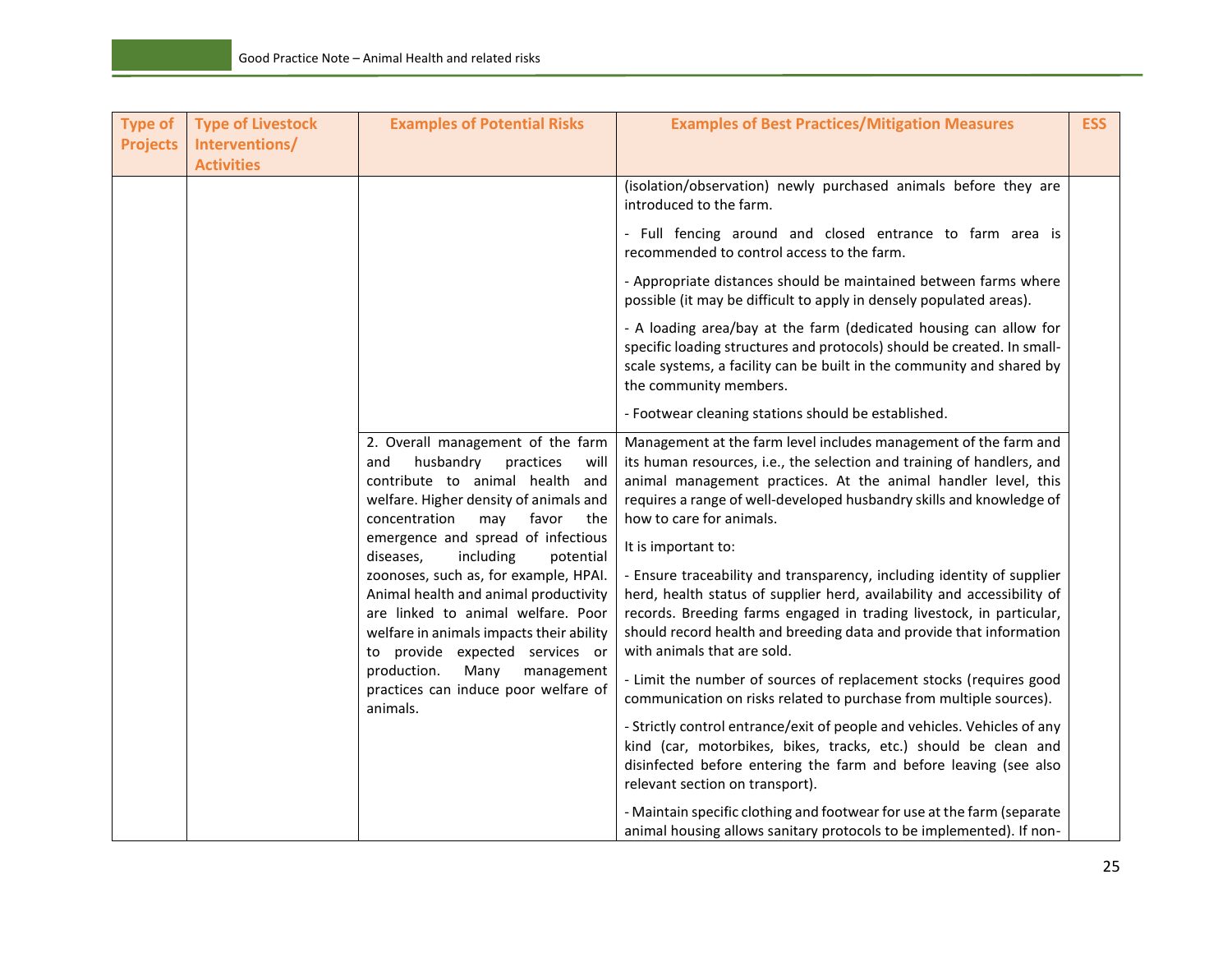| <b>Type of</b>  | <b>Type of Livestock</b> | <b>Examples of Potential Risks</b>                                                                                                                                                                  | <b>Examples of Best Practices/Mitigation Measures</b>                                                                                                                                                                                                                                                                           | <b>ESS</b> |
|-----------------|--------------------------|-----------------------------------------------------------------------------------------------------------------------------------------------------------------------------------------------------|---------------------------------------------------------------------------------------------------------------------------------------------------------------------------------------------------------------------------------------------------------------------------------------------------------------------------------|------------|
| <b>Projects</b> | Interventions/           |                                                                                                                                                                                                     |                                                                                                                                                                                                                                                                                                                                 |            |
|                 | <b>Activities</b>        |                                                                                                                                                                                                     | (isolation/observation) newly purchased animals before they are<br>introduced to the farm.                                                                                                                                                                                                                                      |            |
|                 |                          |                                                                                                                                                                                                     | - Full fencing around and closed entrance to farm area is<br>recommended to control access to the farm.                                                                                                                                                                                                                         |            |
|                 |                          |                                                                                                                                                                                                     | - Appropriate distances should be maintained between farms where<br>possible (it may be difficult to apply in densely populated areas).                                                                                                                                                                                         |            |
|                 |                          |                                                                                                                                                                                                     | - A loading area/bay at the farm (dedicated housing can allow for<br>specific loading structures and protocols) should be created. In small-<br>scale systems, a facility can be built in the community and shared by<br>the community members.                                                                                 |            |
|                 |                          |                                                                                                                                                                                                     | - Footwear cleaning stations should be established.                                                                                                                                                                                                                                                                             |            |
|                 |                          | 2. Overall management of the farm<br>and<br>husbandry<br>practices<br>will<br>contribute to animal health and<br>welfare. Higher density of animals and<br>concentration<br>favor<br>may<br>the     | Management at the farm level includes management of the farm and<br>its human resources, i.e., the selection and training of handlers, and<br>animal management practices. At the animal handler level, this<br>requires a range of well-developed husbandry skills and knowledge of<br>how to care for animals.                |            |
|                 |                          | emergence and spread of infectious<br>including<br>diseases,<br>potential                                                                                                                           | It is important to:                                                                                                                                                                                                                                                                                                             |            |
|                 |                          | zoonoses, such as, for example, HPAI.<br>Animal health and animal productivity<br>are linked to animal welfare. Poor<br>welfare in animals impacts their ability<br>to provide expected services or | - Ensure traceability and transparency, including identity of supplier<br>herd, health status of supplier herd, availability and accessibility of<br>records. Breeding farms engaged in trading livestock, in particular,<br>should record health and breeding data and provide that information<br>with animals that are sold. |            |
|                 |                          | Many<br>production.<br>management<br>practices can induce poor welfare of<br>animals.                                                                                                               | - Limit the number of sources of replacement stocks (requires good<br>communication on risks related to purchase from multiple sources).                                                                                                                                                                                        |            |
|                 |                          |                                                                                                                                                                                                     | - Strictly control entrance/exit of people and vehicles. Vehicles of any<br>kind (car, motorbikes, bikes, tracks, etc.) should be clean and<br>disinfected before entering the farm and before leaving (see also<br>relevant section on transport).                                                                             |            |
|                 |                          |                                                                                                                                                                                                     | - Maintain specific clothing and footwear for use at the farm (separate<br>animal housing allows sanitary protocols to be implemented). If non-                                                                                                                                                                                 |            |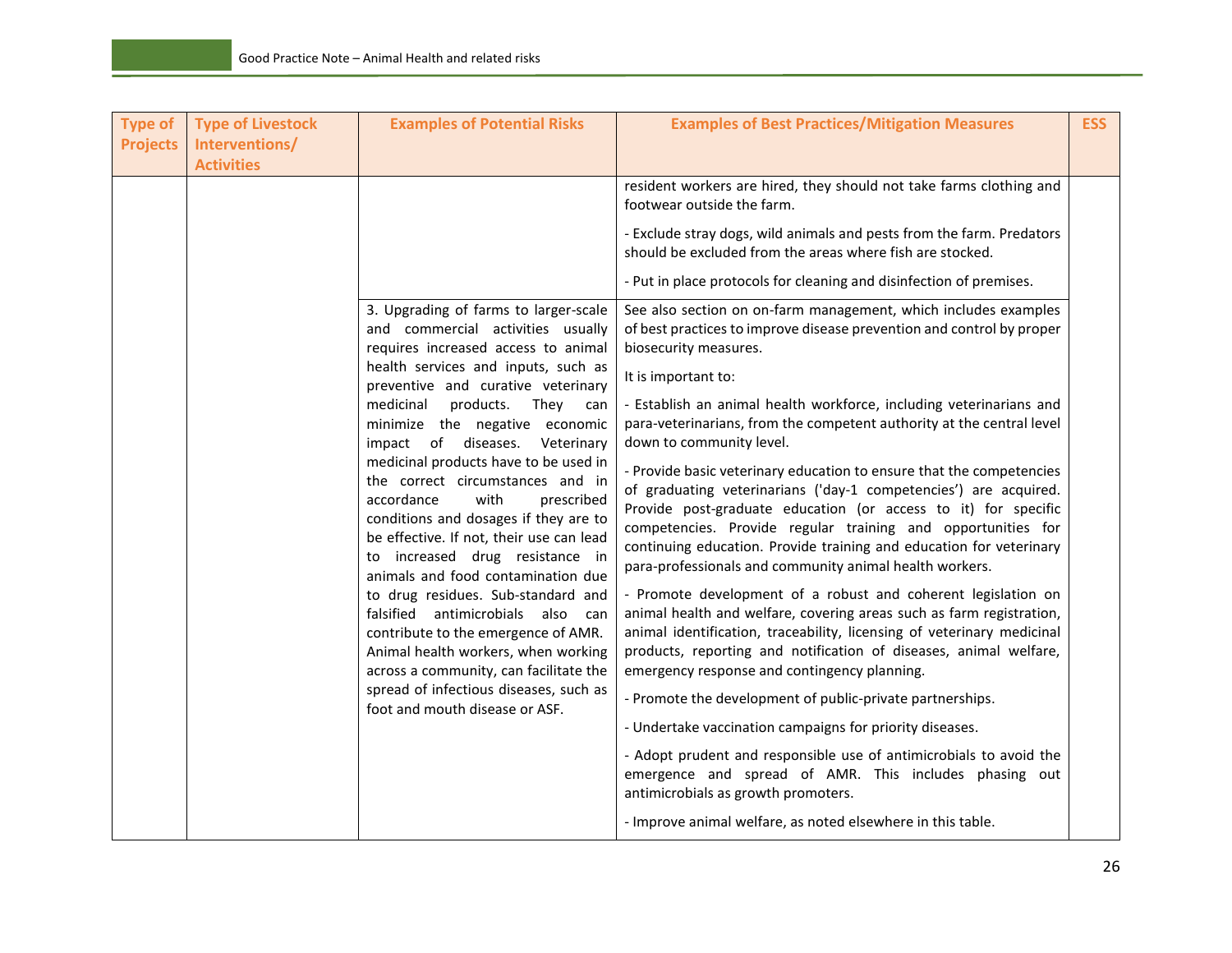| <b>Type of</b><br><b>Projects</b> | <b>Type of Livestock</b><br>Interventions/<br><b>Activities</b>                                                                                                                                                                                                             | <b>Examples of Potential Risks</b>                                                                                                                                                                                                                                                                                                                                                                           | <b>Examples of Best Practices/Mitigation Measures</b>                                                                                                                                                                                                                                                                                | <b>ESS</b> |
|-----------------------------------|-----------------------------------------------------------------------------------------------------------------------------------------------------------------------------------------------------------------------------------------------------------------------------|--------------------------------------------------------------------------------------------------------------------------------------------------------------------------------------------------------------------------------------------------------------------------------------------------------------------------------------------------------------------------------------------------------------|--------------------------------------------------------------------------------------------------------------------------------------------------------------------------------------------------------------------------------------------------------------------------------------------------------------------------------------|------------|
|                                   |                                                                                                                                                                                                                                                                             |                                                                                                                                                                                                                                                                                                                                                                                                              | resident workers are hired, they should not take farms clothing and<br>footwear outside the farm.                                                                                                                                                                                                                                    |            |
|                                   |                                                                                                                                                                                                                                                                             |                                                                                                                                                                                                                                                                                                                                                                                                              | - Exclude stray dogs, wild animals and pests from the farm. Predators<br>should be excluded from the areas where fish are stocked.                                                                                                                                                                                                   |            |
|                                   |                                                                                                                                                                                                                                                                             |                                                                                                                                                                                                                                                                                                                                                                                                              | - Put in place protocols for cleaning and disinfection of premises.                                                                                                                                                                                                                                                                  |            |
|                                   |                                                                                                                                                                                                                                                                             | 3. Upgrading of farms to larger-scale<br>and commercial activities usually<br>requires increased access to animal                                                                                                                                                                                                                                                                                            | See also section on on-farm management, which includes examples<br>of best practices to improve disease prevention and control by proper<br>biosecurity measures.                                                                                                                                                                    |            |
|                                   |                                                                                                                                                                                                                                                                             | health services and inputs, such as<br>preventive and curative veterinary                                                                                                                                                                                                                                                                                                                                    | It is important to:                                                                                                                                                                                                                                                                                                                  |            |
|                                   |                                                                                                                                                                                                                                                                             | products.<br>medicinal<br>They can<br>minimize the negative economic<br>impact of diseases.<br>Veterinary                                                                                                                                                                                                                                                                                                    | - Establish an animal health workforce, including veterinarians and<br>para-veterinarians, from the competent authority at the central level<br>down to community level.                                                                                                                                                             |            |
|                                   | medicinal products have to be used in<br>the correct circumstances and in<br>with<br>accordance<br>prescribed<br>conditions and dosages if they are to<br>be effective. If not, their use can lead<br>to increased drug resistance in<br>animals and food contamination due | - Provide basic veterinary education to ensure that the competencies<br>of graduating veterinarians ('day-1 competencies') are acquired.<br>Provide post-graduate education (or access to it) for specific<br>competencies. Provide regular training and opportunities for<br>continuing education. Provide training and education for veterinary<br>para-professionals and community animal health workers. |                                                                                                                                                                                                                                                                                                                                      |            |
|                                   |                                                                                                                                                                                                                                                                             | to drug residues. Sub-standard and<br>falsified antimicrobials also can<br>contribute to the emergence of AMR.<br>Animal health workers, when working<br>across a community, can facilitate the                                                                                                                                                                                                              | - Promote development of a robust and coherent legislation on<br>animal health and welfare, covering areas such as farm registration,<br>animal identification, traceability, licensing of veterinary medicinal<br>products, reporting and notification of diseases, animal welfare,<br>emergency response and contingency planning. |            |
|                                   |                                                                                                                                                                                                                                                                             | spread of infectious diseases, such as<br>foot and mouth disease or ASF.                                                                                                                                                                                                                                                                                                                                     | - Promote the development of public-private partnerships.                                                                                                                                                                                                                                                                            |            |
|                                   |                                                                                                                                                                                                                                                                             |                                                                                                                                                                                                                                                                                                                                                                                                              | - Undertake vaccination campaigns for priority diseases.                                                                                                                                                                                                                                                                             |            |
|                                   |                                                                                                                                                                                                                                                                             |                                                                                                                                                                                                                                                                                                                                                                                                              | - Adopt prudent and responsible use of antimicrobials to avoid the<br>emergence and spread of AMR. This includes phasing out<br>antimicrobials as growth promoters.                                                                                                                                                                  |            |
|                                   |                                                                                                                                                                                                                                                                             |                                                                                                                                                                                                                                                                                                                                                                                                              | - Improve animal welfare, as noted elsewhere in this table.                                                                                                                                                                                                                                                                          |            |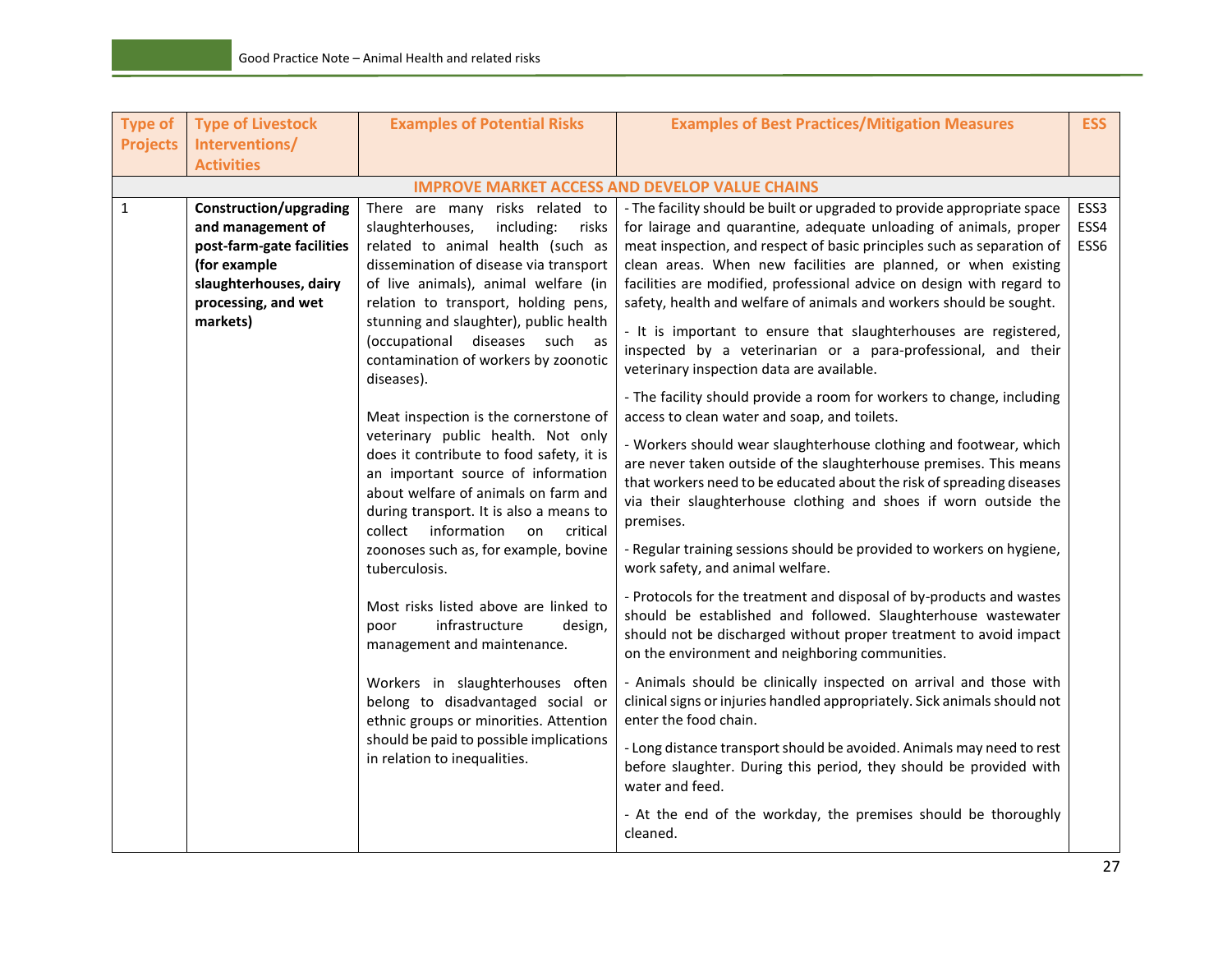| <b>Type of</b>  | <b>Type of Livestock</b>                  | <b>Examples of Potential Risks</b>                                                  | <b>Examples of Best Practices/Mitigation Measures</b>                                                                                    | <b>ESS</b>   |
|-----------------|-------------------------------------------|-------------------------------------------------------------------------------------|------------------------------------------------------------------------------------------------------------------------------------------|--------------|
| <b>Projects</b> | Interventions/                            |                                                                                     |                                                                                                                                          |              |
|                 | <b>Activities</b>                         |                                                                                     |                                                                                                                                          |              |
|                 |                                           |                                                                                     | <b>IMPROVE MARKET ACCESS AND DEVELOP VALUE CHAINS</b>                                                                                    |              |
| $\mathbf{1}$    | Construction/upgrading                    | There are many risks related to                                                     | - The facility should be built or upgraded to provide appropriate space                                                                  | ESS3         |
|                 | and management of                         | slaughterhouses,<br>including:<br>risks<br>related to animal health (such as        | for lairage and quarantine, adequate unloading of animals, proper                                                                        | ESS4<br>ESS6 |
|                 | post-farm-gate facilities<br>(for example | dissemination of disease via transport                                              | meat inspection, and respect of basic principles such as separation of<br>clean areas. When new facilities are planned, or when existing |              |
|                 | slaughterhouses, dairy                    | of live animals), animal welfare (in                                                | facilities are modified, professional advice on design with regard to                                                                    |              |
|                 | processing, and wet                       | relation to transport, holding pens,                                                | safety, health and welfare of animals and workers should be sought.                                                                      |              |
|                 | markets)                                  | stunning and slaughter), public health                                              |                                                                                                                                          |              |
|                 |                                           | (occupational diseases such as                                                      | - It is important to ensure that slaughterhouses are registered,                                                                         |              |
|                 |                                           | contamination of workers by zoonotic<br>diseases).                                  | inspected by a veterinarian or a para-professional, and their<br>veterinary inspection data are available.                               |              |
|                 |                                           |                                                                                     | - The facility should provide a room for workers to change, including                                                                    |              |
|                 |                                           | Meat inspection is the cornerstone of                                               | access to clean water and soap, and toilets.                                                                                             |              |
|                 |                                           | veterinary public health. Not only                                                  | - Workers should wear slaughterhouse clothing and footwear, which                                                                        |              |
|                 |                                           | does it contribute to food safety, it is                                            | are never taken outside of the slaughterhouse premises. This means                                                                       |              |
|                 |                                           | an important source of information                                                  | that workers need to be educated about the risk of spreading diseases                                                                    |              |
|                 |                                           | about welfare of animals on farm and                                                | via their slaughterhouse clothing and shoes if worn outside the                                                                          |              |
|                 |                                           | during transport. It is also a means to<br>information<br>collect<br>critical<br>on | premises.                                                                                                                                |              |
|                 |                                           | zoonoses such as, for example, bovine                                               | - Regular training sessions should be provided to workers on hygiene,                                                                    |              |
|                 |                                           | tuberculosis.                                                                       | work safety, and animal welfare.                                                                                                         |              |
|                 |                                           | Most risks listed above are linked to                                               | - Protocols for the treatment and disposal of by-products and wastes                                                                     |              |
|                 |                                           | infrastructure<br>design,<br>poor                                                   | should be established and followed. Slaughterhouse wastewater                                                                            |              |
|                 |                                           | management and maintenance.                                                         | should not be discharged without proper treatment to avoid impact                                                                        |              |
|                 |                                           |                                                                                     | on the environment and neighboring communities.                                                                                          |              |
|                 |                                           | Workers in slaughterhouses often                                                    | - Animals should be clinically inspected on arrival and those with                                                                       |              |
|                 |                                           | belong to disadvantaged social or                                                   | clinical signs or injuries handled appropriately. Sick animals should not                                                                |              |
|                 |                                           | ethnic groups or minorities. Attention                                              | enter the food chain.                                                                                                                    |              |
|                 |                                           | should be paid to possible implications                                             | - Long distance transport should be avoided. Animals may need to rest                                                                    |              |
|                 |                                           | in relation to inequalities.                                                        | before slaughter. During this period, they should be provided with                                                                       |              |
|                 |                                           |                                                                                     | water and feed.                                                                                                                          |              |
|                 |                                           |                                                                                     | - At the end of the workday, the premises should be thoroughly                                                                           |              |
|                 |                                           |                                                                                     | cleaned.                                                                                                                                 |              |
|                 |                                           |                                                                                     |                                                                                                                                          |              |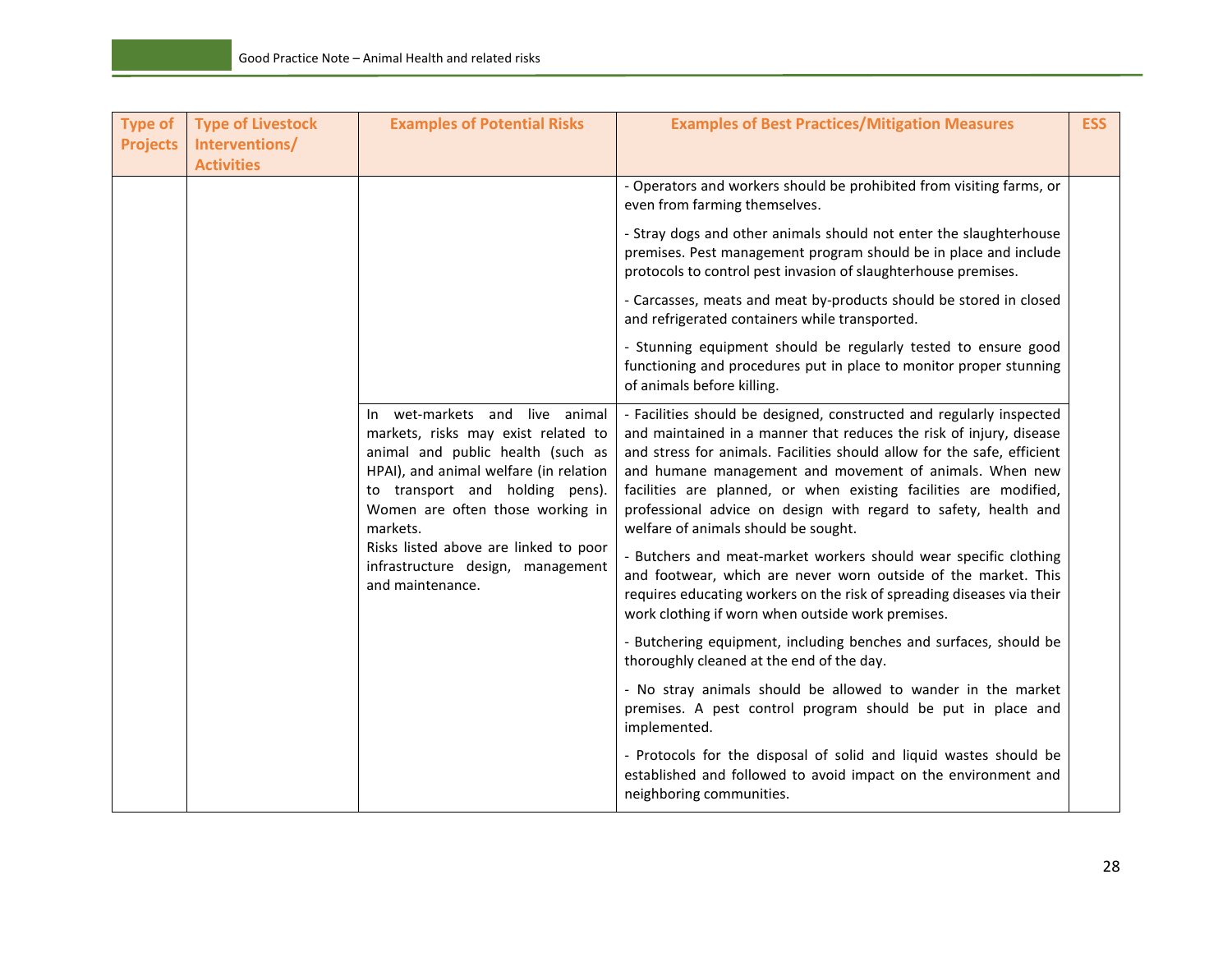| <b>Type of</b><br><b>Projects</b> | <b>Type of Livestock</b><br>Interventions/<br><b>Activities</b> | <b>Examples of Potential Risks</b>                                                                                                                                                                                                      | <b>Examples of Best Practices/Mitigation Measures</b>                                                                                                                                                                                                                                                                                                                                                                                                             | <b>ESS</b> |
|-----------------------------------|-----------------------------------------------------------------|-----------------------------------------------------------------------------------------------------------------------------------------------------------------------------------------------------------------------------------------|-------------------------------------------------------------------------------------------------------------------------------------------------------------------------------------------------------------------------------------------------------------------------------------------------------------------------------------------------------------------------------------------------------------------------------------------------------------------|------------|
|                                   |                                                                 |                                                                                                                                                                                                                                         | - Operators and workers should be prohibited from visiting farms, or<br>even from farming themselves.                                                                                                                                                                                                                                                                                                                                                             |            |
|                                   |                                                                 |                                                                                                                                                                                                                                         | - Stray dogs and other animals should not enter the slaughterhouse<br>premises. Pest management program should be in place and include<br>protocols to control pest invasion of slaughterhouse premises.                                                                                                                                                                                                                                                          |            |
|                                   |                                                                 |                                                                                                                                                                                                                                         | - Carcasses, meats and meat by-products should be stored in closed<br>and refrigerated containers while transported.                                                                                                                                                                                                                                                                                                                                              |            |
|                                   |                                                                 |                                                                                                                                                                                                                                         | - Stunning equipment should be regularly tested to ensure good<br>functioning and procedures put in place to monitor proper stunning<br>of animals before killing.                                                                                                                                                                                                                                                                                                |            |
|                                   |                                                                 | In wet-markets and live animal<br>markets, risks may exist related to<br>animal and public health (such as<br>HPAI), and animal welfare (in relation<br>to transport and holding pens).<br>Women are often those working in<br>markets. | - Facilities should be designed, constructed and regularly inspected<br>and maintained in a manner that reduces the risk of injury, disease<br>and stress for animals. Facilities should allow for the safe, efficient<br>and humane management and movement of animals. When new<br>facilities are planned, or when existing facilities are modified,<br>professional advice on design with regard to safety, health and<br>welfare of animals should be sought. |            |
|                                   |                                                                 | Risks listed above are linked to poor<br>infrastructure design, management<br>and maintenance.                                                                                                                                          | - Butchers and meat-market workers should wear specific clothing<br>and footwear, which are never worn outside of the market. This<br>requires educating workers on the risk of spreading diseases via their<br>work clothing if worn when outside work premises.                                                                                                                                                                                                 |            |
|                                   |                                                                 |                                                                                                                                                                                                                                         | - Butchering equipment, including benches and surfaces, should be<br>thoroughly cleaned at the end of the day.                                                                                                                                                                                                                                                                                                                                                    |            |
|                                   |                                                                 |                                                                                                                                                                                                                                         | - No stray animals should be allowed to wander in the market<br>premises. A pest control program should be put in place and<br>implemented.                                                                                                                                                                                                                                                                                                                       |            |
|                                   |                                                                 |                                                                                                                                                                                                                                         | - Protocols for the disposal of solid and liquid wastes should be<br>established and followed to avoid impact on the environment and<br>neighboring communities.                                                                                                                                                                                                                                                                                                  |            |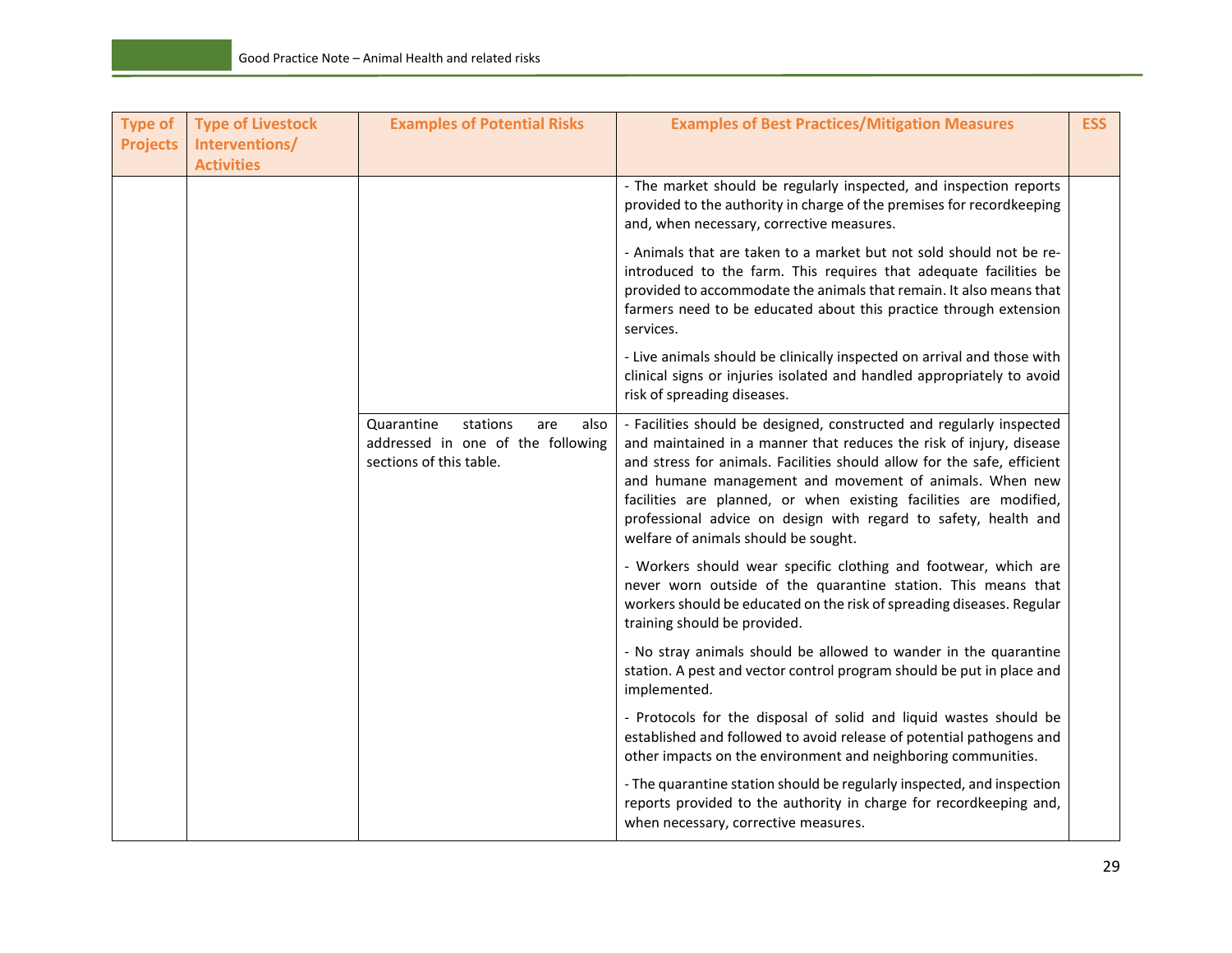| <b>Type of</b><br><b>Projects</b> | <b>Type of Livestock</b><br>Interventions/<br><b>Activities</b> | <b>Examples of Potential Risks</b>                                                                    | <b>Examples of Best Practices/Mitigation Measures</b>                                                                                                                                                                                                                                                                                                                                                                                                             | <b>ESS</b> |
|-----------------------------------|-----------------------------------------------------------------|-------------------------------------------------------------------------------------------------------|-------------------------------------------------------------------------------------------------------------------------------------------------------------------------------------------------------------------------------------------------------------------------------------------------------------------------------------------------------------------------------------------------------------------------------------------------------------------|------------|
|                                   |                                                                 |                                                                                                       | - The market should be regularly inspected, and inspection reports<br>provided to the authority in charge of the premises for recordkeeping<br>and, when necessary, corrective measures.                                                                                                                                                                                                                                                                          |            |
|                                   |                                                                 |                                                                                                       | - Animals that are taken to a market but not sold should not be re-<br>introduced to the farm. This requires that adequate facilities be<br>provided to accommodate the animals that remain. It also means that<br>farmers need to be educated about this practice through extension<br>services.                                                                                                                                                                 |            |
|                                   |                                                                 |                                                                                                       | - Live animals should be clinically inspected on arrival and those with<br>clinical signs or injuries isolated and handled appropriately to avoid<br>risk of spreading diseases.                                                                                                                                                                                                                                                                                  |            |
|                                   |                                                                 | Quarantine<br>stations<br>also<br>are<br>addressed in one of the following<br>sections of this table. | - Facilities should be designed, constructed and regularly inspected<br>and maintained in a manner that reduces the risk of injury, disease<br>and stress for animals. Facilities should allow for the safe, efficient<br>and humane management and movement of animals. When new<br>facilities are planned, or when existing facilities are modified,<br>professional advice on design with regard to safety, health and<br>welfare of animals should be sought. |            |
|                                   |                                                                 |                                                                                                       | - Workers should wear specific clothing and footwear, which are<br>never worn outside of the quarantine station. This means that<br>workers should be educated on the risk of spreading diseases. Regular<br>training should be provided.                                                                                                                                                                                                                         |            |
|                                   |                                                                 |                                                                                                       | - No stray animals should be allowed to wander in the quarantine<br>station. A pest and vector control program should be put in place and<br>implemented.                                                                                                                                                                                                                                                                                                         |            |
|                                   |                                                                 |                                                                                                       | - Protocols for the disposal of solid and liquid wastes should be<br>established and followed to avoid release of potential pathogens and<br>other impacts on the environment and neighboring communities.                                                                                                                                                                                                                                                        |            |
|                                   |                                                                 |                                                                                                       | - The quarantine station should be regularly inspected, and inspection<br>reports provided to the authority in charge for recordkeeping and,<br>when necessary, corrective measures.                                                                                                                                                                                                                                                                              |            |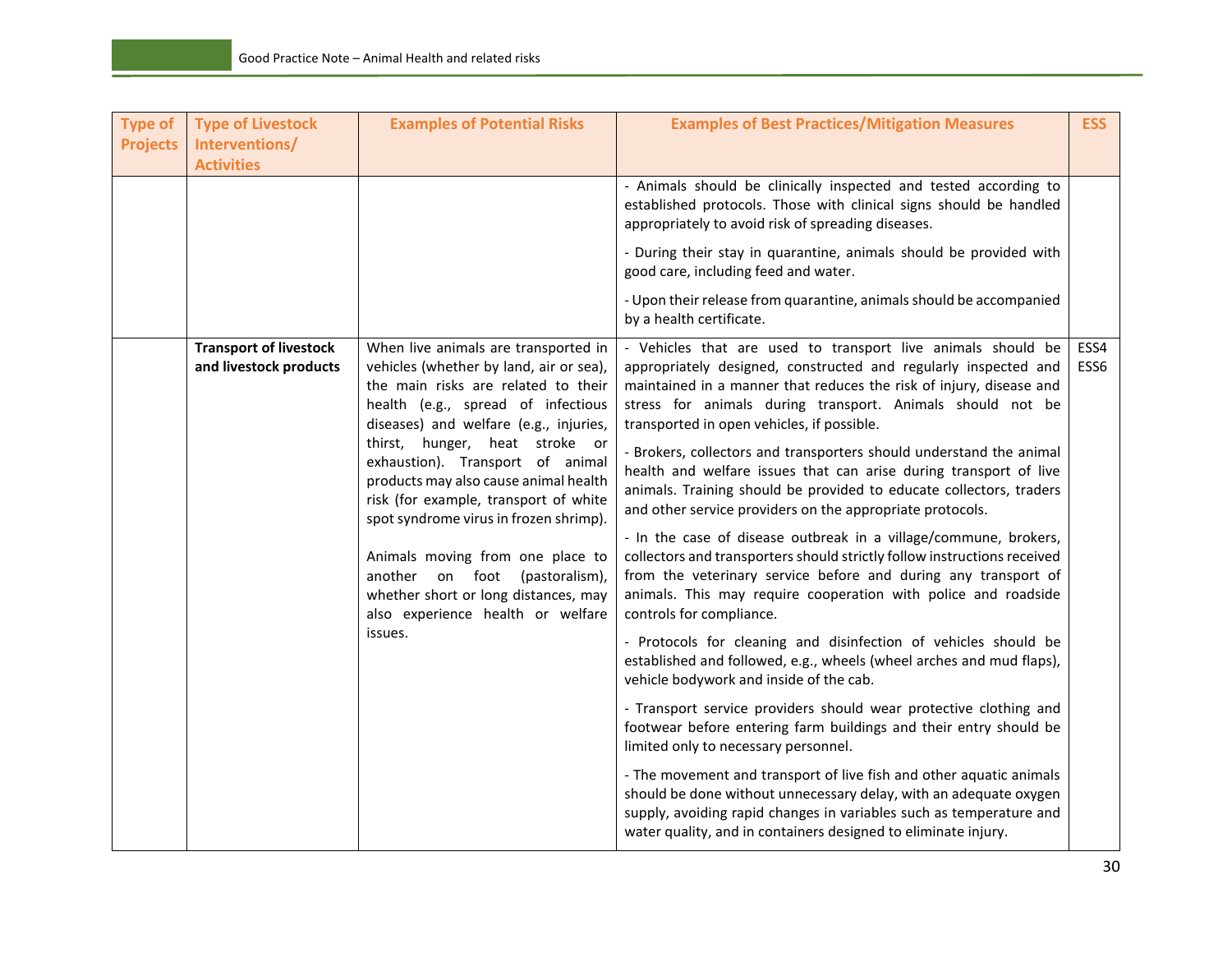| <b>Type of</b><br><b>Projects</b> | <b>Type of Livestock</b><br>Interventions/<br><b>Activities</b> | <b>Examples of Potential Risks</b>                                                                                                                                                                     | <b>Examples of Best Practices/Mitigation Measures</b>                                                                                                                                                                                                                                                              | <b>ESS</b>               |
|-----------------------------------|-----------------------------------------------------------------|--------------------------------------------------------------------------------------------------------------------------------------------------------------------------------------------------------|--------------------------------------------------------------------------------------------------------------------------------------------------------------------------------------------------------------------------------------------------------------------------------------------------------------------|--------------------------|
|                                   |                                                                 |                                                                                                                                                                                                        | - Animals should be clinically inspected and tested according to<br>established protocols. Those with clinical signs should be handled<br>appropriately to avoid risk of spreading diseases.                                                                                                                       |                          |
|                                   |                                                                 |                                                                                                                                                                                                        | - During their stay in quarantine, animals should be provided with<br>good care, including feed and water.                                                                                                                                                                                                         |                          |
|                                   |                                                                 |                                                                                                                                                                                                        | - Upon their release from quarantine, animals should be accompanied<br>by a health certificate.                                                                                                                                                                                                                    |                          |
|                                   | <b>Transport of livestock</b><br>and livestock products         | When live animals are transported in<br>vehicles (whether by land, air or sea),<br>the main risks are related to their<br>health (e.g., spread of infectious<br>diseases) and welfare (e.g., injuries, | - Vehicles that are used to transport live animals should be<br>appropriately designed, constructed and regularly inspected and<br>maintained in a manner that reduces the risk of injury, disease and<br>stress for animals during transport. Animals should not be<br>transported in open vehicles, if possible. | ESS4<br>ESS <sub>6</sub> |
|                                   |                                                                 | thirst, hunger, heat stroke or<br>exhaustion). Transport of animal<br>products may also cause animal health<br>risk (for example, transport of white<br>spot syndrome virus in frozen shrimp).         | - Brokers, collectors and transporters should understand the animal<br>health and welfare issues that can arise during transport of live<br>animals. Training should be provided to educate collectors, traders<br>and other service providers on the appropriate protocols.                                       |                          |
|                                   |                                                                 | Animals moving from one place to<br>another on foot (pastoralism),<br>whether short or long distances, may<br>also experience health or welfare                                                        | - In the case of disease outbreak in a village/commune, brokers,<br>collectors and transporters should strictly follow instructions received<br>from the veterinary service before and during any transport of<br>animals. This may require cooperation with police and roadside<br>controls for compliance.       |                          |
|                                   |                                                                 | issues.                                                                                                                                                                                                | - Protocols for cleaning and disinfection of vehicles should be<br>established and followed, e.g., wheels (wheel arches and mud flaps),<br>vehicle bodywork and inside of the cab.                                                                                                                                 |                          |
|                                   |                                                                 |                                                                                                                                                                                                        | - Transport service providers should wear protective clothing and<br>footwear before entering farm buildings and their entry should be<br>limited only to necessary personnel.                                                                                                                                     |                          |
|                                   |                                                                 |                                                                                                                                                                                                        | - The movement and transport of live fish and other aquatic animals<br>should be done without unnecessary delay, with an adequate oxygen<br>supply, avoiding rapid changes in variables such as temperature and<br>water quality, and in containers designed to eliminate injury.                                  |                          |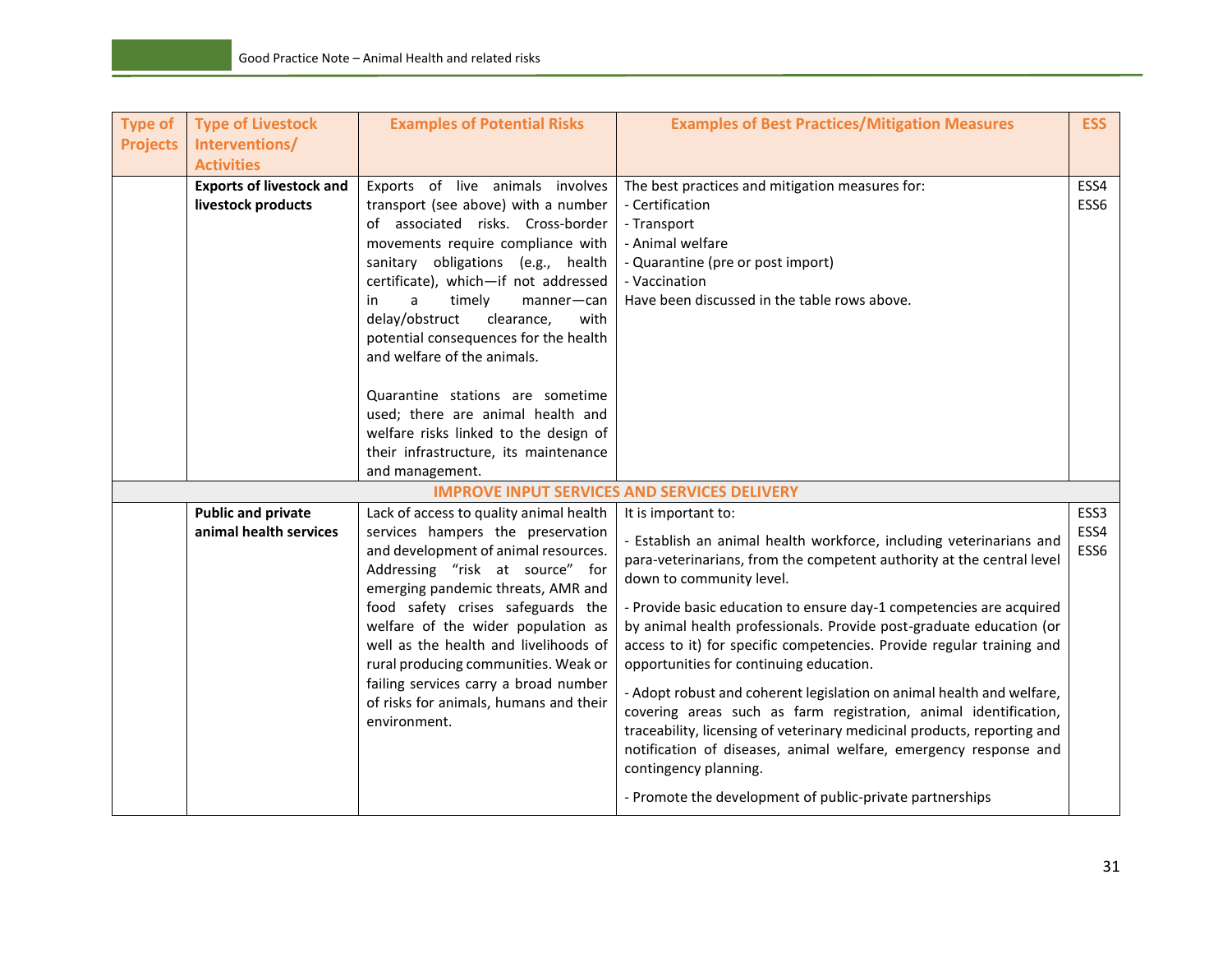| <b>Type of</b>  | <b>Type of Livestock</b><br>Interventions/            | <b>Examples of Potential Risks</b>                                                                                                                                                                                                                                                                                                                                                                                                                                                                                                                               | <b>Examples of Best Practices/Mitigation Measures</b>                                                                                                                                                                                                                                                                                                                                                                                                                                                                                                                                                                                                                                                                                                                                                                                              | <b>ESS</b>           |
|-----------------|-------------------------------------------------------|------------------------------------------------------------------------------------------------------------------------------------------------------------------------------------------------------------------------------------------------------------------------------------------------------------------------------------------------------------------------------------------------------------------------------------------------------------------------------------------------------------------------------------------------------------------|----------------------------------------------------------------------------------------------------------------------------------------------------------------------------------------------------------------------------------------------------------------------------------------------------------------------------------------------------------------------------------------------------------------------------------------------------------------------------------------------------------------------------------------------------------------------------------------------------------------------------------------------------------------------------------------------------------------------------------------------------------------------------------------------------------------------------------------------------|----------------------|
| <b>Projects</b> | <b>Activities</b>                                     |                                                                                                                                                                                                                                                                                                                                                                                                                                                                                                                                                                  |                                                                                                                                                                                                                                                                                                                                                                                                                                                                                                                                                                                                                                                                                                                                                                                                                                                    |                      |
|                 | <b>Exports of livestock and</b><br>livestock products | Exports of live animals involves<br>transport (see above) with a number<br>of associated risks. Cross-border<br>movements require compliance with<br>sanitary obligations (e.g., health<br>certificate), which-if not addressed<br>timely<br>a<br>manner-can<br>in<br>delay/obstruct<br>with<br>clearance,<br>potential consequences for the health<br>and welfare of the animals.<br>Quarantine stations are sometime<br>used; there are animal health and<br>welfare risks linked to the design of<br>their infrastructure, its maintenance<br>and management. | The best practices and mitigation measures for:<br>- Certification<br>- Transport<br>- Animal welfare<br>- Quarantine (pre or post import)<br>- Vaccination<br>Have been discussed in the table rows above.                                                                                                                                                                                                                                                                                                                                                                                                                                                                                                                                                                                                                                        | ESS4<br>ESS6         |
|                 |                                                       |                                                                                                                                                                                                                                                                                                                                                                                                                                                                                                                                                                  | <b>IMPROVE INPUT SERVICES AND SERVICES DELIVERY</b>                                                                                                                                                                                                                                                                                                                                                                                                                                                                                                                                                                                                                                                                                                                                                                                                |                      |
|                 | <b>Public and private</b><br>animal health services   | Lack of access to quality animal health<br>services hampers the preservation<br>and development of animal resources.<br>Addressing "risk at source" for<br>emerging pandemic threats, AMR and<br>food safety crises safeguards the<br>welfare of the wider population as<br>well as the health and livelihoods of<br>rural producing communities. Weak or<br>failing services carry a broad number<br>of risks for animals, humans and their<br>environment.                                                                                                     | It is important to:<br>- Establish an animal health workforce, including veterinarians and<br>para-veterinarians, from the competent authority at the central level<br>down to community level.<br>- Provide basic education to ensure day-1 competencies are acquired<br>by animal health professionals. Provide post-graduate education (or<br>access to it) for specific competencies. Provide regular training and<br>opportunities for continuing education.<br>- Adopt robust and coherent legislation on animal health and welfare,<br>covering areas such as farm registration, animal identification,<br>traceability, licensing of veterinary medicinal products, reporting and<br>notification of diseases, animal welfare, emergency response and<br>contingency planning.<br>- Promote the development of public-private partnerships | ESS3<br>ESS4<br>ESS6 |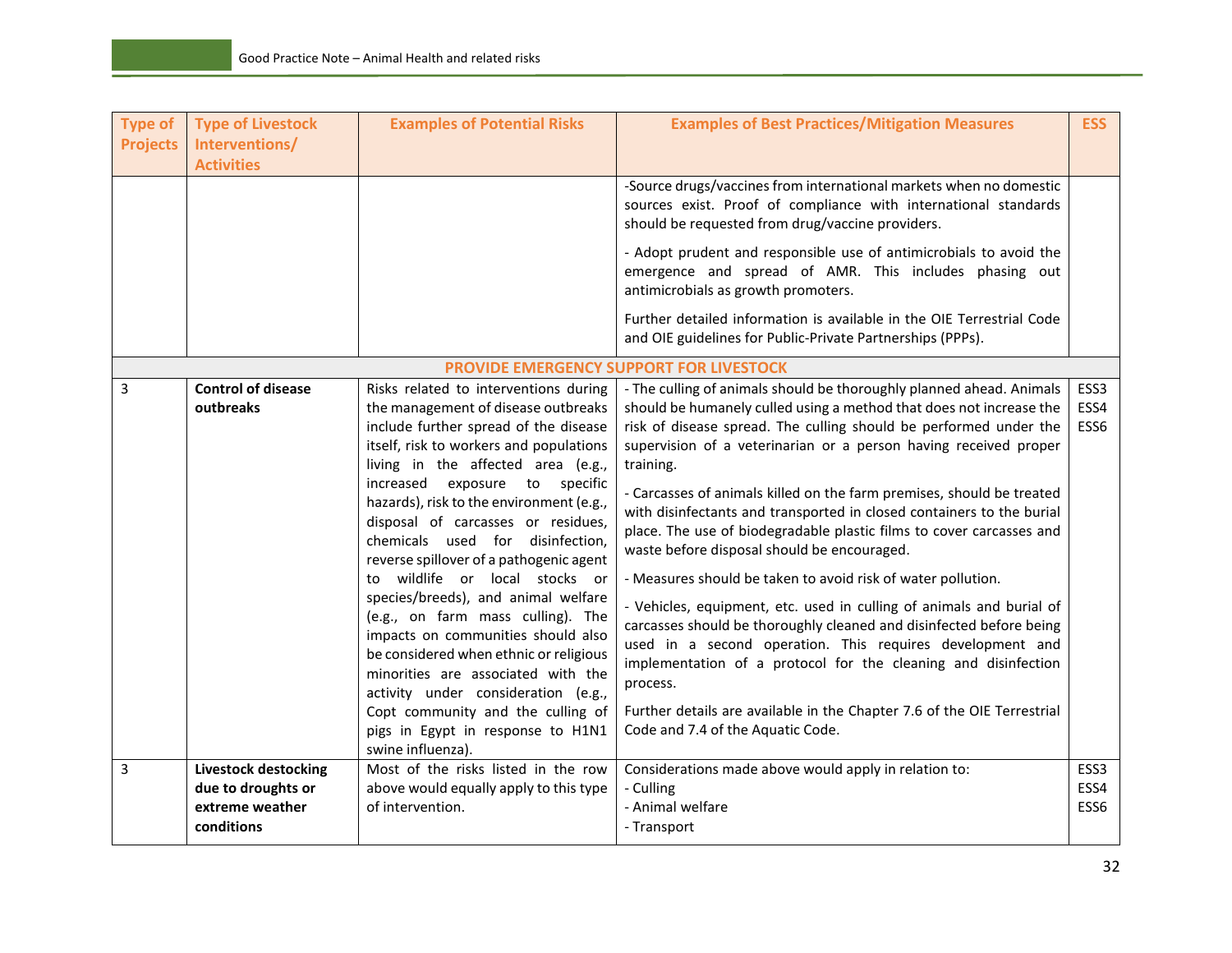| <b>Type of</b><br><b>Projects</b> | <b>Type of Livestock</b><br>Interventions/<br><b>Activities</b>                    | <b>Examples of Potential Risks</b>                                                                                                                                                                                                                                                                                                                                                                                                                                                                                                                                                                                                                                                                                                                                                     | <b>Examples of Best Practices/Mitigation Measures</b><br>-Source drugs/vaccines from international markets when no domestic<br>sources exist. Proof of compliance with international standards<br>should be requested from drug/vaccine providers.<br>- Adopt prudent and responsible use of antimicrobials to avoid the<br>emergence and spread of AMR. This includes phasing out<br>antimicrobials as growth promoters.                                                                                                                                                                                                                                                                                                                                                                                                                                                                                                                                                                                                                            | <b>ESS</b>                       |
|-----------------------------------|------------------------------------------------------------------------------------|----------------------------------------------------------------------------------------------------------------------------------------------------------------------------------------------------------------------------------------------------------------------------------------------------------------------------------------------------------------------------------------------------------------------------------------------------------------------------------------------------------------------------------------------------------------------------------------------------------------------------------------------------------------------------------------------------------------------------------------------------------------------------------------|------------------------------------------------------------------------------------------------------------------------------------------------------------------------------------------------------------------------------------------------------------------------------------------------------------------------------------------------------------------------------------------------------------------------------------------------------------------------------------------------------------------------------------------------------------------------------------------------------------------------------------------------------------------------------------------------------------------------------------------------------------------------------------------------------------------------------------------------------------------------------------------------------------------------------------------------------------------------------------------------------------------------------------------------------|----------------------------------|
|                                   |                                                                                    |                                                                                                                                                                                                                                                                                                                                                                                                                                                                                                                                                                                                                                                                                                                                                                                        | Further detailed information is available in the OIE Terrestrial Code<br>and OIE guidelines for Public-Private Partnerships (PPPs).                                                                                                                                                                                                                                                                                                                                                                                                                                                                                                                                                                                                                                                                                                                                                                                                                                                                                                                  |                                  |
|                                   |                                                                                    |                                                                                                                                                                                                                                                                                                                                                                                                                                                                                                                                                                                                                                                                                                                                                                                        | PROVIDE EMERGENCY SUPPORT FOR LIVESTOCK                                                                                                                                                                                                                                                                                                                                                                                                                                                                                                                                                                                                                                                                                                                                                                                                                                                                                                                                                                                                              |                                  |
| 3                                 | <b>Control of disease</b><br>outbreaks                                             | Risks related to interventions during<br>the management of disease outbreaks<br>include further spread of the disease<br>itself, risk to workers and populations<br>living in the affected area (e.g.,<br>increased exposure to<br>specific<br>hazards), risk to the environment (e.g.,<br>disposal of carcasses or residues,<br>chemicals used for disinfection,<br>reverse spillover of a pathogenic agent<br>to wildlife or local stocks or<br>species/breeds), and animal welfare<br>(e.g., on farm mass culling). The<br>impacts on communities should also<br>be considered when ethnic or religious<br>minorities are associated with the<br>activity under consideration (e.g.,<br>Copt community and the culling of<br>pigs in Egypt in response to H1N1<br>swine influenza). | - The culling of animals should be thoroughly planned ahead. Animals<br>should be humanely culled using a method that does not increase the<br>risk of disease spread. The culling should be performed under the<br>supervision of a veterinarian or a person having received proper<br>training.<br>- Carcasses of animals killed on the farm premises, should be treated<br>with disinfectants and transported in closed containers to the burial<br>place. The use of biodegradable plastic films to cover carcasses and<br>waste before disposal should be encouraged.<br>- Measures should be taken to avoid risk of water pollution.<br>- Vehicles, equipment, etc. used in culling of animals and burial of<br>carcasses should be thoroughly cleaned and disinfected before being<br>used in a second operation. This requires development and<br>implementation of a protocol for the cleaning and disinfection<br>process.<br>Further details are available in the Chapter 7.6 of the OIE Terrestrial<br>Code and 7.4 of the Aquatic Code. | ESS3<br>ESS4<br>ESS6             |
| 3                                 | <b>Livestock destocking</b><br>due to droughts or<br>extreme weather<br>conditions | Most of the risks listed in the row<br>above would equally apply to this type<br>of intervention.                                                                                                                                                                                                                                                                                                                                                                                                                                                                                                                                                                                                                                                                                      | Considerations made above would apply in relation to:<br>- Culling<br>- Animal welfare<br>- Transport                                                                                                                                                                                                                                                                                                                                                                                                                                                                                                                                                                                                                                                                                                                                                                                                                                                                                                                                                | ESS <sub>3</sub><br>ESS4<br>ESS6 |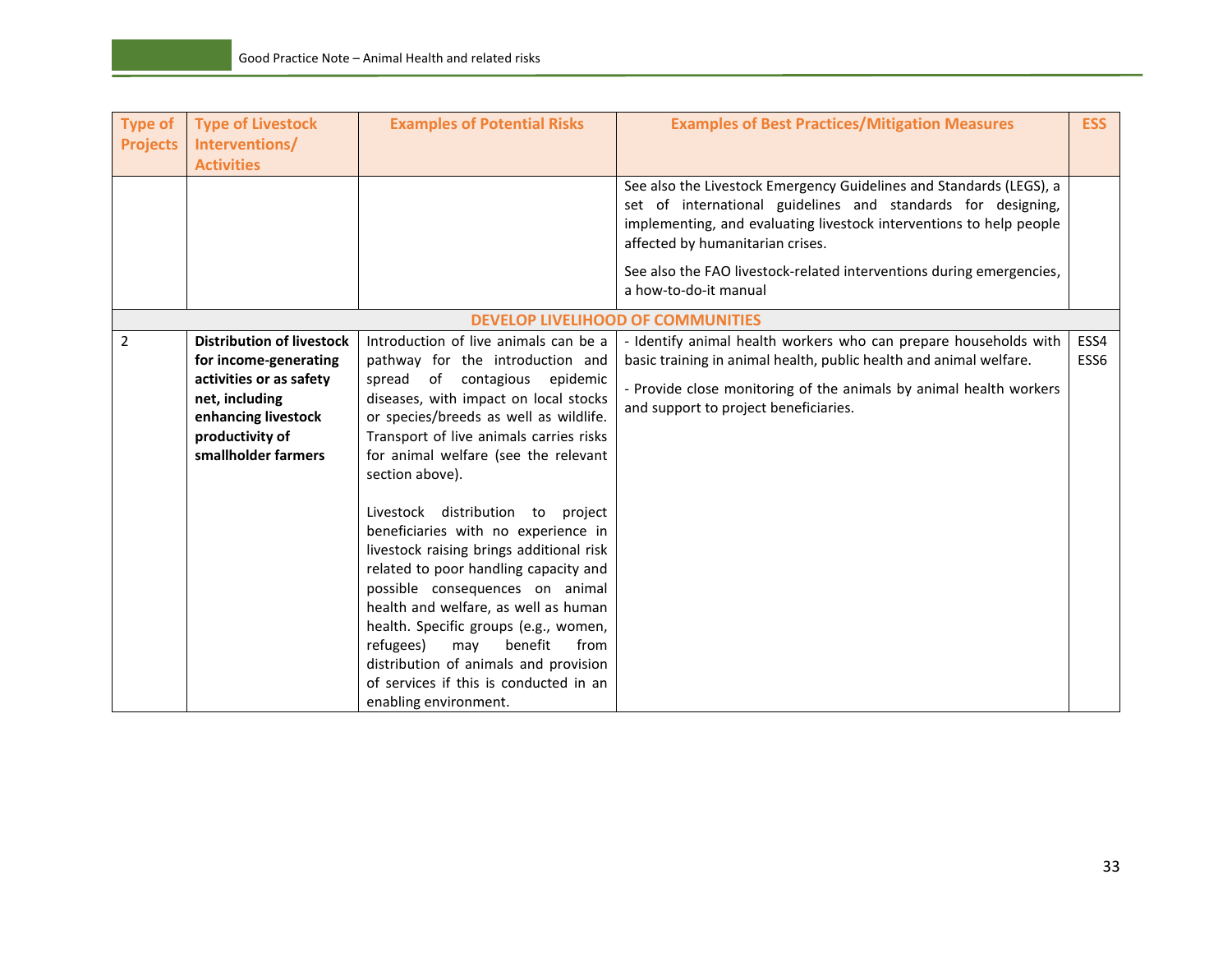| <b>Type of</b><br><b>Projects</b> | <b>Type of Livestock</b><br>Interventions/<br><b>Activities</b>                                                                                                         | <b>Examples of Potential Risks</b>                                                                                                                                                                                                                                                                                                                                                                                                                                                                                                                                                                                                                                                                                                          | <b>Examples of Best Practices/Mitigation Measures</b>                                                                                                                                                                                                                                                                                           | <b>ESS</b>   |
|-----------------------------------|-------------------------------------------------------------------------------------------------------------------------------------------------------------------------|---------------------------------------------------------------------------------------------------------------------------------------------------------------------------------------------------------------------------------------------------------------------------------------------------------------------------------------------------------------------------------------------------------------------------------------------------------------------------------------------------------------------------------------------------------------------------------------------------------------------------------------------------------------------------------------------------------------------------------------------|-------------------------------------------------------------------------------------------------------------------------------------------------------------------------------------------------------------------------------------------------------------------------------------------------------------------------------------------------|--------------|
|                                   |                                                                                                                                                                         |                                                                                                                                                                                                                                                                                                                                                                                                                                                                                                                                                                                                                                                                                                                                             | See also the Livestock Emergency Guidelines and Standards (LEGS), a<br>set of international guidelines and standards for designing,<br>implementing, and evaluating livestock interventions to help people<br>affected by humanitarian crises.<br>See also the FAO livestock-related interventions during emergencies,<br>a how-to-do-it manual |              |
|                                   |                                                                                                                                                                         |                                                                                                                                                                                                                                                                                                                                                                                                                                                                                                                                                                                                                                                                                                                                             | <b>DEVELOP LIVELIHOOD OF COMMUNITIES</b>                                                                                                                                                                                                                                                                                                        |              |
| 2                                 | <b>Distribution of livestock</b><br>for income-generating<br>activities or as safety<br>net, including<br>enhancing livestock<br>productivity of<br>smallholder farmers | Introduction of live animals can be a<br>pathway for the introduction and<br>spread of contagious epidemic<br>diseases, with impact on local stocks<br>or species/breeds as well as wildlife.<br>Transport of live animals carries risks<br>for animal welfare (see the relevant<br>section above).<br>Livestock distribution to project<br>beneficiaries with no experience in<br>livestock raising brings additional risk<br>related to poor handling capacity and<br>possible consequences on animal<br>health and welfare, as well as human<br>health. Specific groups (e.g., women,<br>refugees)<br>benefit<br>may<br>from<br>distribution of animals and provision<br>of services if this is conducted in an<br>enabling environment. | - Identify animal health workers who can prepare households with<br>basic training in animal health, public health and animal welfare.<br>- Provide close monitoring of the animals by animal health workers<br>and support to project beneficiaries.                                                                                           | ESS4<br>ESS6 |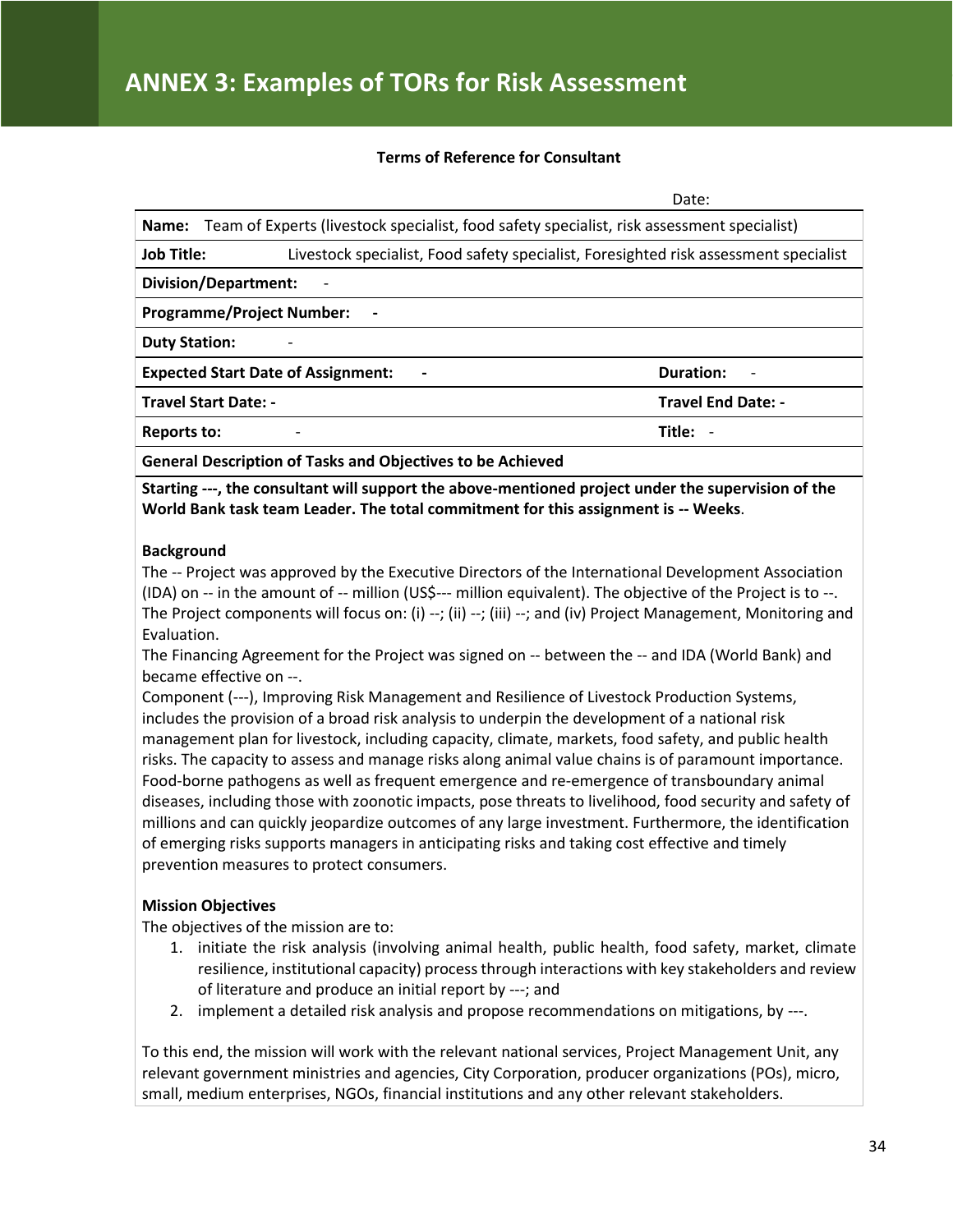#### **Terms of Reference for Consultant**

Date:

| Name: Team of Experts (livestock specialist, food safety specialist, risk assessment specialist)          |                           |  |  |
|-----------------------------------------------------------------------------------------------------------|---------------------------|--|--|
| <b>Job Title:</b><br>Livestock specialist, Food safety specialist, Foresighted risk assessment specialist |                           |  |  |
| <b>Division/Department:</b>                                                                               |                           |  |  |
| <b>Programme/Project Number:</b>                                                                          |                           |  |  |
| <b>Duty Station:</b>                                                                                      |                           |  |  |
| <b>Expected Start Date of Assignment:</b>                                                                 | <b>Duration:</b>          |  |  |
| <b>Travel Start Date: -</b>                                                                               | <b>Travel End Date: -</b> |  |  |
| Reports to:<br>$\overline{\phantom{a}}$                                                                   | Title: -                  |  |  |
|                                                                                                           |                           |  |  |

**General Description of Tasks and Objectives to be Achieved**

**Starting ---, the consultant will support the above-mentioned project under the supervision of the World Bank task team Leader. The total commitment for this assignment is -- Weeks**.

#### **Background**

The -- Project was approved by the Executive Directors of the International Development Association (IDA) on -- in the amount of -- million (US\$--- million equivalent). The objective of the Project is to --. The Project components will focus on: (i) --; (ii) --; (iii) --; and (iv) Project Management, Monitoring and Evaluation.

The Financing Agreement for the Project was signed on -- between the -- and IDA (World Bank) and became effective on --.

Component (---), Improving Risk Management and Resilience of Livestock Production Systems, includes the provision of a broad risk analysis to underpin the development of a national risk management plan for livestock, including capacity, climate, markets, food safety, and public health risks. The capacity to assess and manage risks along animal value chains is of paramount importance. Food-borne pathogens as well as frequent emergence and re-emergence of transboundary animal diseases, including those with zoonotic impacts, pose threats to livelihood, food security and safety of millions and can quickly jeopardize outcomes of any large investment. Furthermore, the identification of emerging risks supports managers in anticipating risks and taking cost effective and timely prevention measures to protect consumers.

#### **Mission Objectives**

The objectives of the mission are to:

- 1. initiate the risk analysis (involving animal health, public health, food safety, market, climate resilience, institutional capacity) process through interactions with key stakeholders and review of literature and produce an initial report by ---; and
- 2. implement a detailed risk analysis and propose recommendations on mitigations, by ---.

To this end, the mission will work with the relevant national services, Project Management Unit, any relevant government ministries and agencies, City Corporation, producer organizations (POs), micro, small, medium enterprises, NGOs, financial institutions and any other relevant stakeholders.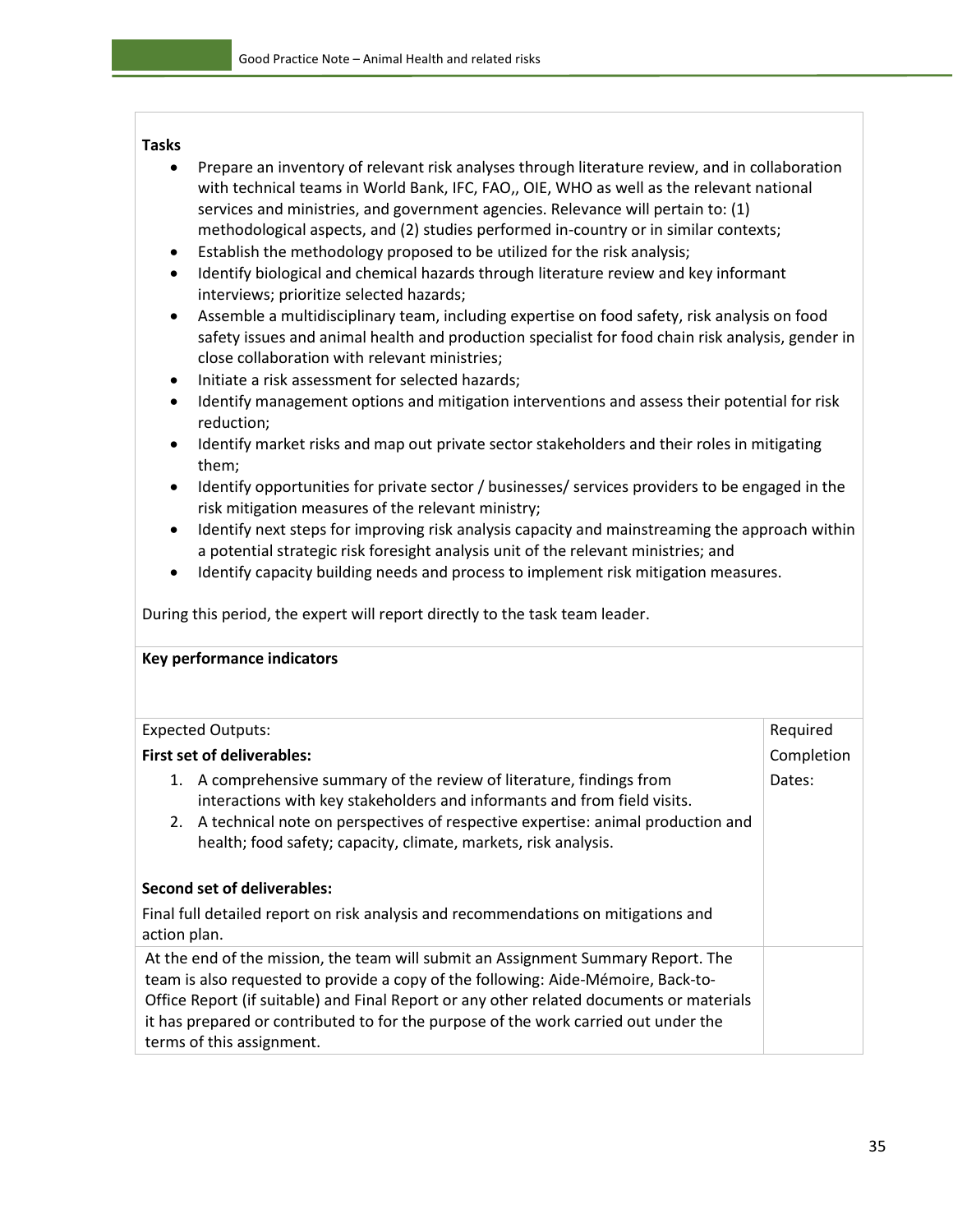#### **Tasks**

- Prepare an inventory of relevant risk analyses through literature review, and in collaboration with technical teams in World Bank, IFC, FAO,, OIE, WHO as well as the relevant national services and ministries, and government agencies. Relevance will pertain to: (1) methodological aspects, and (2) studies performed in-country or in similar contexts;
- Establish the methodology proposed to be utilized for the risk analysis;
- Identify biological and chemical hazards through literature review and key informant interviews; prioritize selected hazards;
- Assemble a multidisciplinary team, including expertise on food safety, risk analysis on food safety issues and animal health and production specialist for food chain risk analysis, gender in close collaboration with relevant ministries;
- Initiate a risk assessment for selected hazards;
- Identify management options and mitigation interventions and assess their potential for risk reduction;
- Identify market risks and map out private sector stakeholders and their roles in mitigating them;
- Identify opportunities for private sector / businesses/ services providers to be engaged in the risk mitigation measures of the relevant ministry;
- Identify next steps for improving risk analysis capacity and mainstreaming the approach within a potential strategic risk foresight analysis unit of the relevant ministries; and
- Identify capacity building needs and process to implement risk mitigation measures.

During this period, the expert will report directly to the task team leader.

| Key performance indicators                                                                                                                                                                                                                                                                                                                                                             |            |  |  |  |  |
|----------------------------------------------------------------------------------------------------------------------------------------------------------------------------------------------------------------------------------------------------------------------------------------------------------------------------------------------------------------------------------------|------------|--|--|--|--|
|                                                                                                                                                                                                                                                                                                                                                                                        |            |  |  |  |  |
| Required<br><b>Expected Outputs:</b>                                                                                                                                                                                                                                                                                                                                                   |            |  |  |  |  |
| <b>First set of deliverables:</b>                                                                                                                                                                                                                                                                                                                                                      | Completion |  |  |  |  |
| 1. A comprehensive summary of the review of literature, findings from<br>interactions with key stakeholders and informants and from field visits.<br>A technical note on perspectives of respective expertise: animal production and<br>2.<br>health; food safety; capacity, climate, markets, risk analysis.                                                                          | Dates:     |  |  |  |  |
| Second set of deliverables:                                                                                                                                                                                                                                                                                                                                                            |            |  |  |  |  |
| Final full detailed report on risk analysis and recommendations on mitigations and<br>action plan.                                                                                                                                                                                                                                                                                     |            |  |  |  |  |
| At the end of the mission, the team will submit an Assignment Summary Report. The<br>team is also requested to provide a copy of the following: Aide-Mémoire, Back-to-<br>Office Report (if suitable) and Final Report or any other related documents or materials<br>it has prepared or contributed to for the purpose of the work carried out under the<br>terms of this assignment. |            |  |  |  |  |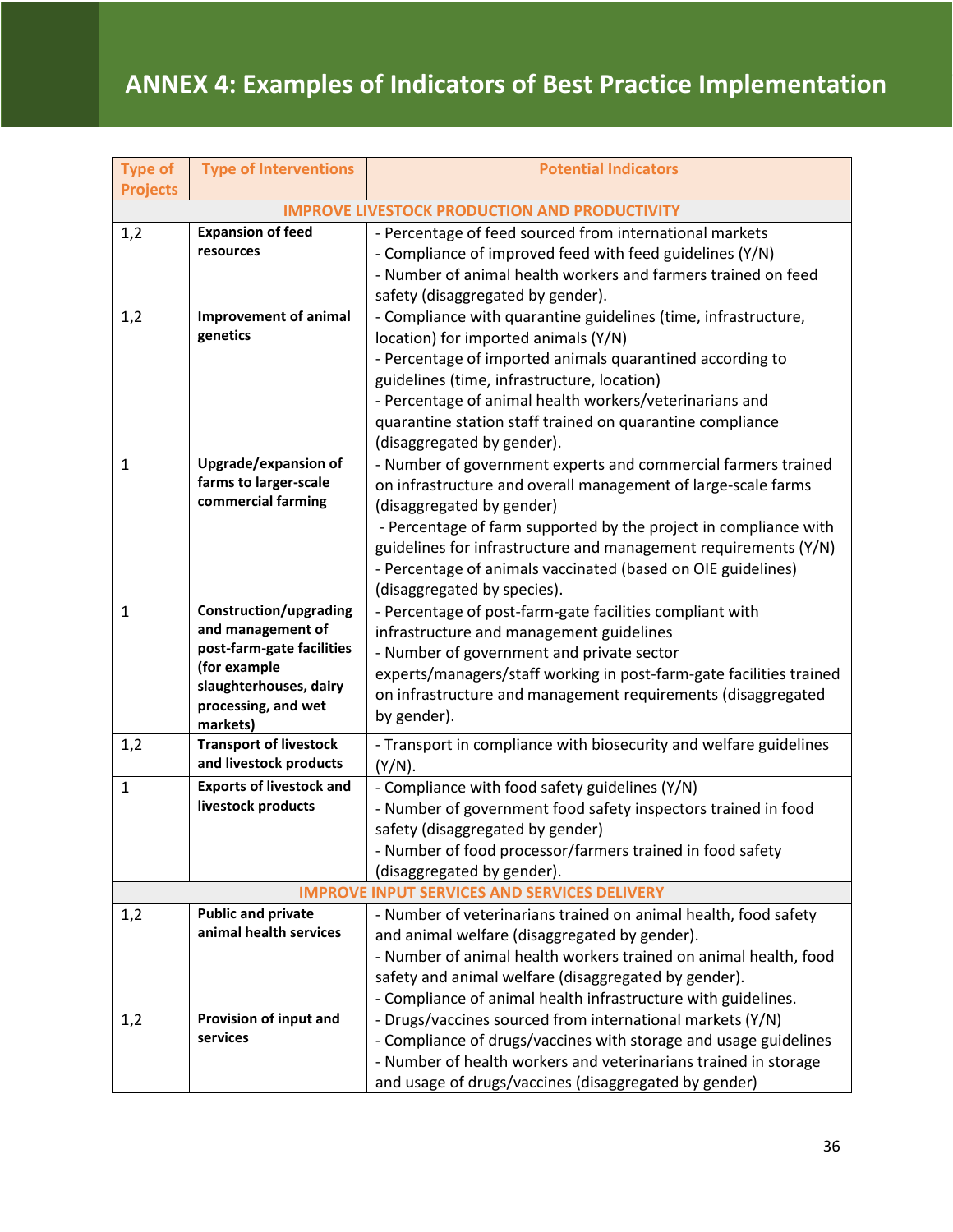## **ANNEX 4: Examples of Indicators of Best Practice Implementation**

| <b>Type of</b>                    | <b>Type of Interventions</b>                                                                                                                                                                                                                                 | <b>Potential Indicators</b>                                                                                                                                                                                                                                                                                                                                                                                                                                                                                                                                                                                                                                                                                                                                                                                                                                                                                                                                                                                                                                                                                                                                                                |  |  |  |
|-----------------------------------|--------------------------------------------------------------------------------------------------------------------------------------------------------------------------------------------------------------------------------------------------------------|--------------------------------------------------------------------------------------------------------------------------------------------------------------------------------------------------------------------------------------------------------------------------------------------------------------------------------------------------------------------------------------------------------------------------------------------------------------------------------------------------------------------------------------------------------------------------------------------------------------------------------------------------------------------------------------------------------------------------------------------------------------------------------------------------------------------------------------------------------------------------------------------------------------------------------------------------------------------------------------------------------------------------------------------------------------------------------------------------------------------------------------------------------------------------------------------|--|--|--|
|                                   | <b>Projects</b><br><b>IMPROVE LIVESTOCK PRODUCTION AND PRODUCTIVITY</b>                                                                                                                                                                                      |                                                                                                                                                                                                                                                                                                                                                                                                                                                                                                                                                                                                                                                                                                                                                                                                                                                                                                                                                                                                                                                                                                                                                                                            |  |  |  |
| 1,2                               | <b>Expansion of feed</b>                                                                                                                                                                                                                                     | - Percentage of feed sourced from international markets                                                                                                                                                                                                                                                                                                                                                                                                                                                                                                                                                                                                                                                                                                                                                                                                                                                                                                                                                                                                                                                                                                                                    |  |  |  |
|                                   | resources                                                                                                                                                                                                                                                    | - Compliance of improved feed with feed guidelines (Y/N)                                                                                                                                                                                                                                                                                                                                                                                                                                                                                                                                                                                                                                                                                                                                                                                                                                                                                                                                                                                                                                                                                                                                   |  |  |  |
|                                   |                                                                                                                                                                                                                                                              | - Number of animal health workers and farmers trained on feed                                                                                                                                                                                                                                                                                                                                                                                                                                                                                                                                                                                                                                                                                                                                                                                                                                                                                                                                                                                                                                                                                                                              |  |  |  |
|                                   |                                                                                                                                                                                                                                                              | safety (disaggregated by gender).                                                                                                                                                                                                                                                                                                                                                                                                                                                                                                                                                                                                                                                                                                                                                                                                                                                                                                                                                                                                                                                                                                                                                          |  |  |  |
| 1,2                               | <b>Improvement of animal</b>                                                                                                                                                                                                                                 | - Compliance with quarantine guidelines (time, infrastructure,                                                                                                                                                                                                                                                                                                                                                                                                                                                                                                                                                                                                                                                                                                                                                                                                                                                                                                                                                                                                                                                                                                                             |  |  |  |
|                                   | genetics                                                                                                                                                                                                                                                     | location) for imported animals (Y/N)                                                                                                                                                                                                                                                                                                                                                                                                                                                                                                                                                                                                                                                                                                                                                                                                                                                                                                                                                                                                                                                                                                                                                       |  |  |  |
|                                   |                                                                                                                                                                                                                                                              | - Percentage of imported animals quarantined according to                                                                                                                                                                                                                                                                                                                                                                                                                                                                                                                                                                                                                                                                                                                                                                                                                                                                                                                                                                                                                                                                                                                                  |  |  |  |
|                                   |                                                                                                                                                                                                                                                              | guidelines (time, infrastructure, location)                                                                                                                                                                                                                                                                                                                                                                                                                                                                                                                                                                                                                                                                                                                                                                                                                                                                                                                                                                                                                                                                                                                                                |  |  |  |
|                                   |                                                                                                                                                                                                                                                              | - Percentage of animal health workers/veterinarians and                                                                                                                                                                                                                                                                                                                                                                                                                                                                                                                                                                                                                                                                                                                                                                                                                                                                                                                                                                                                                                                                                                                                    |  |  |  |
|                                   |                                                                                                                                                                                                                                                              | quarantine station staff trained on quarantine compliance                                                                                                                                                                                                                                                                                                                                                                                                                                                                                                                                                                                                                                                                                                                                                                                                                                                                                                                                                                                                                                                                                                                                  |  |  |  |
|                                   |                                                                                                                                                                                                                                                              | (disaggregated by gender).                                                                                                                                                                                                                                                                                                                                                                                                                                                                                                                                                                                                                                                                                                                                                                                                                                                                                                                                                                                                                                                                                                                                                                 |  |  |  |
| 1                                 | <b>Upgrade/expansion of</b>                                                                                                                                                                                                                                  | - Number of government experts and commercial farmers trained                                                                                                                                                                                                                                                                                                                                                                                                                                                                                                                                                                                                                                                                                                                                                                                                                                                                                                                                                                                                                                                                                                                              |  |  |  |
|                                   | farms to larger-scale<br>commercial farming                                                                                                                                                                                                                  | on infrastructure and overall management of large-scale farms                                                                                                                                                                                                                                                                                                                                                                                                                                                                                                                                                                                                                                                                                                                                                                                                                                                                                                                                                                                                                                                                                                                              |  |  |  |
|                                   |                                                                                                                                                                                                                                                              | (disaggregated by gender)                                                                                                                                                                                                                                                                                                                                                                                                                                                                                                                                                                                                                                                                                                                                                                                                                                                                                                                                                                                                                                                                                                                                                                  |  |  |  |
|                                   |                                                                                                                                                                                                                                                              | - Percentage of farm supported by the project in compliance with                                                                                                                                                                                                                                                                                                                                                                                                                                                                                                                                                                                                                                                                                                                                                                                                                                                                                                                                                                                                                                                                                                                           |  |  |  |
|                                   |                                                                                                                                                                                                                                                              | guidelines for infrastructure and management requirements (Y/N)                                                                                                                                                                                                                                                                                                                                                                                                                                                                                                                                                                                                                                                                                                                                                                                                                                                                                                                                                                                                                                                                                                                            |  |  |  |
|                                   |                                                                                                                                                                                                                                                              |                                                                                                                                                                                                                                                                                                                                                                                                                                                                                                                                                                                                                                                                                                                                                                                                                                                                                                                                                                                                                                                                                                                                                                                            |  |  |  |
|                                   |                                                                                                                                                                                                                                                              |                                                                                                                                                                                                                                                                                                                                                                                                                                                                                                                                                                                                                                                                                                                                                                                                                                                                                                                                                                                                                                                                                                                                                                                            |  |  |  |
|                                   |                                                                                                                                                                                                                                                              |                                                                                                                                                                                                                                                                                                                                                                                                                                                                                                                                                                                                                                                                                                                                                                                                                                                                                                                                                                                                                                                                                                                                                                                            |  |  |  |
|                                   | post-farm-gate facilities                                                                                                                                                                                                                                    |                                                                                                                                                                                                                                                                                                                                                                                                                                                                                                                                                                                                                                                                                                                                                                                                                                                                                                                                                                                                                                                                                                                                                                                            |  |  |  |
|                                   | (for example                                                                                                                                                                                                                                                 |                                                                                                                                                                                                                                                                                                                                                                                                                                                                                                                                                                                                                                                                                                                                                                                                                                                                                                                                                                                                                                                                                                                                                                                            |  |  |  |
|                                   |                                                                                                                                                                                                                                                              |                                                                                                                                                                                                                                                                                                                                                                                                                                                                                                                                                                                                                                                                                                                                                                                                                                                                                                                                                                                                                                                                                                                                                                                            |  |  |  |
|                                   |                                                                                                                                                                                                                                                              | by gender).                                                                                                                                                                                                                                                                                                                                                                                                                                                                                                                                                                                                                                                                                                                                                                                                                                                                                                                                                                                                                                                                                                                                                                                |  |  |  |
|                                   |                                                                                                                                                                                                                                                              |                                                                                                                                                                                                                                                                                                                                                                                                                                                                                                                                                                                                                                                                                                                                                                                                                                                                                                                                                                                                                                                                                                                                                                                            |  |  |  |
|                                   | and livestock products                                                                                                                                                                                                                                       | $(Y/N)$ .                                                                                                                                                                                                                                                                                                                                                                                                                                                                                                                                                                                                                                                                                                                                                                                                                                                                                                                                                                                                                                                                                                                                                                                  |  |  |  |
| $\mathbf{1}$                      | <b>Exports of livestock and</b>                                                                                                                                                                                                                              | - Compliance with food safety guidelines (Y/N)                                                                                                                                                                                                                                                                                                                                                                                                                                                                                                                                                                                                                                                                                                                                                                                                                                                                                                                                                                                                                                                                                                                                             |  |  |  |
|                                   |                                                                                                                                                                                                                                                              | - Number of government food safety inspectors trained in food                                                                                                                                                                                                                                                                                                                                                                                                                                                                                                                                                                                                                                                                                                                                                                                                                                                                                                                                                                                                                                                                                                                              |  |  |  |
|                                   |                                                                                                                                                                                                                                                              | safety (disaggregated by gender)                                                                                                                                                                                                                                                                                                                                                                                                                                                                                                                                                                                                                                                                                                                                                                                                                                                                                                                                                                                                                                                                                                                                                           |  |  |  |
|                                   |                                                                                                                                                                                                                                                              |                                                                                                                                                                                                                                                                                                                                                                                                                                                                                                                                                                                                                                                                                                                                                                                                                                                                                                                                                                                                                                                                                                                                                                                            |  |  |  |
|                                   |                                                                                                                                                                                                                                                              |                                                                                                                                                                                                                                                                                                                                                                                                                                                                                                                                                                                                                                                                                                                                                                                                                                                                                                                                                                                                                                                                                                                                                                                            |  |  |  |
|                                   |                                                                                                                                                                                                                                                              |                                                                                                                                                                                                                                                                                                                                                                                                                                                                                                                                                                                                                                                                                                                                                                                                                                                                                                                                                                                                                                                                                                                                                                                            |  |  |  |
|                                   |                                                                                                                                                                                                                                                              |                                                                                                                                                                                                                                                                                                                                                                                                                                                                                                                                                                                                                                                                                                                                                                                                                                                                                                                                                                                                                                                                                                                                                                                            |  |  |  |
|                                   |                                                                                                                                                                                                                                                              |                                                                                                                                                                                                                                                                                                                                                                                                                                                                                                                                                                                                                                                                                                                                                                                                                                                                                                                                                                                                                                                                                                                                                                                            |  |  |  |
|                                   |                                                                                                                                                                                                                                                              |                                                                                                                                                                                                                                                                                                                                                                                                                                                                                                                                                                                                                                                                                                                                                                                                                                                                                                                                                                                                                                                                                                                                                                                            |  |  |  |
|                                   |                                                                                                                                                                                                                                                              |                                                                                                                                                                                                                                                                                                                                                                                                                                                                                                                                                                                                                                                                                                                                                                                                                                                                                                                                                                                                                                                                                                                                                                                            |  |  |  |
|                                   |                                                                                                                                                                                                                                                              |                                                                                                                                                                                                                                                                                                                                                                                                                                                                                                                                                                                                                                                                                                                                                                                                                                                                                                                                                                                                                                                                                                                                                                                            |  |  |  |
|                                   |                                                                                                                                                                                                                                                              |                                                                                                                                                                                                                                                                                                                                                                                                                                                                                                                                                                                                                                                                                                                                                                                                                                                                                                                                                                                                                                                                                                                                                                                            |  |  |  |
|                                   |                                                                                                                                                                                                                                                              |                                                                                                                                                                                                                                                                                                                                                                                                                                                                                                                                                                                                                                                                                                                                                                                                                                                                                                                                                                                                                                                                                                                                                                                            |  |  |  |
|                                   |                                                                                                                                                                                                                                                              |                                                                                                                                                                                                                                                                                                                                                                                                                                                                                                                                                                                                                                                                                                                                                                                                                                                                                                                                                                                                                                                                                                                                                                                            |  |  |  |
| $\mathbf{1}$<br>1,2<br>1,2<br>1,2 | Construction/upgrading<br>and management of<br>slaughterhouses, dairy<br>processing, and wet<br>markets)<br><b>Transport of livestock</b><br>livestock products<br><b>Public and private</b><br>animal health services<br>Provision of input and<br>services | - Percentage of animals vaccinated (based on OIE guidelines)<br>(disaggregated by species).<br>- Percentage of post-farm-gate facilities compliant with<br>infrastructure and management guidelines<br>- Number of government and private sector<br>experts/managers/staff working in post-farm-gate facilities trained<br>on infrastructure and management requirements (disaggregated<br>- Transport in compliance with biosecurity and welfare guidelines<br>Number of food processor/farmers trained in food safety<br>(disaggregated by gender).<br><b>IMPROVE INPUT SERVICES AND SERVICES DELIVERY</b><br>- Number of veterinarians trained on animal health, food safety<br>and animal welfare (disaggregated by gender).<br>- Number of animal health workers trained on animal health, food<br>safety and animal welfare (disaggregated by gender).<br>- Compliance of animal health infrastructure with guidelines.<br>- Drugs/vaccines sourced from international markets (Y/N)<br>- Compliance of drugs/vaccines with storage and usage guidelines<br>- Number of health workers and veterinarians trained in storage<br>and usage of drugs/vaccines (disaggregated by gender) |  |  |  |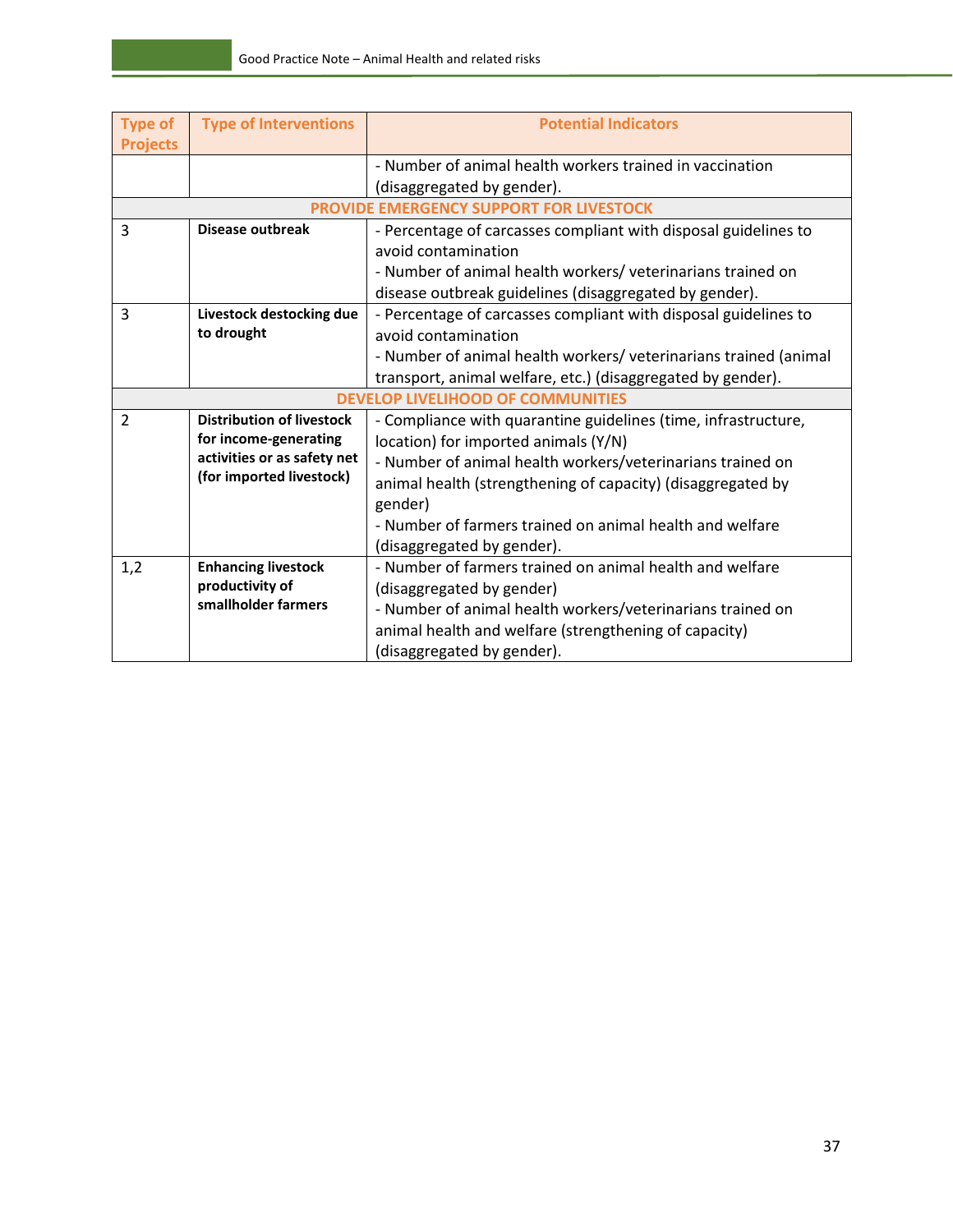| <b>Type of</b>                           | <b>Type of Interventions</b>     | <b>Potential Indicators</b>                                      |  |  |
|------------------------------------------|----------------------------------|------------------------------------------------------------------|--|--|
| <b>Projects</b>                          |                                  |                                                                  |  |  |
|                                          |                                  | - Number of animal health workers trained in vaccination         |  |  |
|                                          |                                  | (disaggregated by gender).                                       |  |  |
| PROVIDE EMERGENCY SUPPORT FOR LIVESTOCK  |                                  |                                                                  |  |  |
| $\overline{3}$                           | <b>Disease outbreak</b>          | - Percentage of carcasses compliant with disposal guidelines to  |  |  |
|                                          |                                  | avoid contamination                                              |  |  |
|                                          |                                  | - Number of animal health workers/ veterinarians trained on      |  |  |
|                                          |                                  | disease outbreak guidelines (disaggregated by gender).           |  |  |
| 3                                        | Livestock destocking due         | - Percentage of carcasses compliant with disposal guidelines to  |  |  |
|                                          | to drought                       | avoid contamination                                              |  |  |
|                                          |                                  | - Number of animal health workers/ veterinarians trained (animal |  |  |
|                                          |                                  | transport, animal welfare, etc.) (disaggregated by gender).      |  |  |
| <b>DEVELOP LIVELIHOOD OF COMMUNITIES</b> |                                  |                                                                  |  |  |
| $\overline{2}$                           | <b>Distribution of livestock</b> | - Compliance with quarantine guidelines (time, infrastructure,   |  |  |
|                                          | for income-generating            | location) for imported animals (Y/N)                             |  |  |
|                                          | activities or as safety net      | - Number of animal health workers/veterinarians trained on       |  |  |
|                                          | (for imported livestock)         | animal health (strengthening of capacity) (disaggregated by      |  |  |
|                                          |                                  | gender)                                                          |  |  |
|                                          |                                  | - Number of farmers trained on animal health and welfare         |  |  |
|                                          |                                  | (disaggregated by gender).                                       |  |  |
| 1,2                                      | <b>Enhancing livestock</b>       | - Number of farmers trained on animal health and welfare         |  |  |
|                                          | productivity of                  | (disaggregated by gender)                                        |  |  |
|                                          | smallholder farmers              | - Number of animal health workers/veterinarians trained on       |  |  |
|                                          |                                  | animal health and welfare (strengthening of capacity)            |  |  |
|                                          |                                  | (disaggregated by gender).                                       |  |  |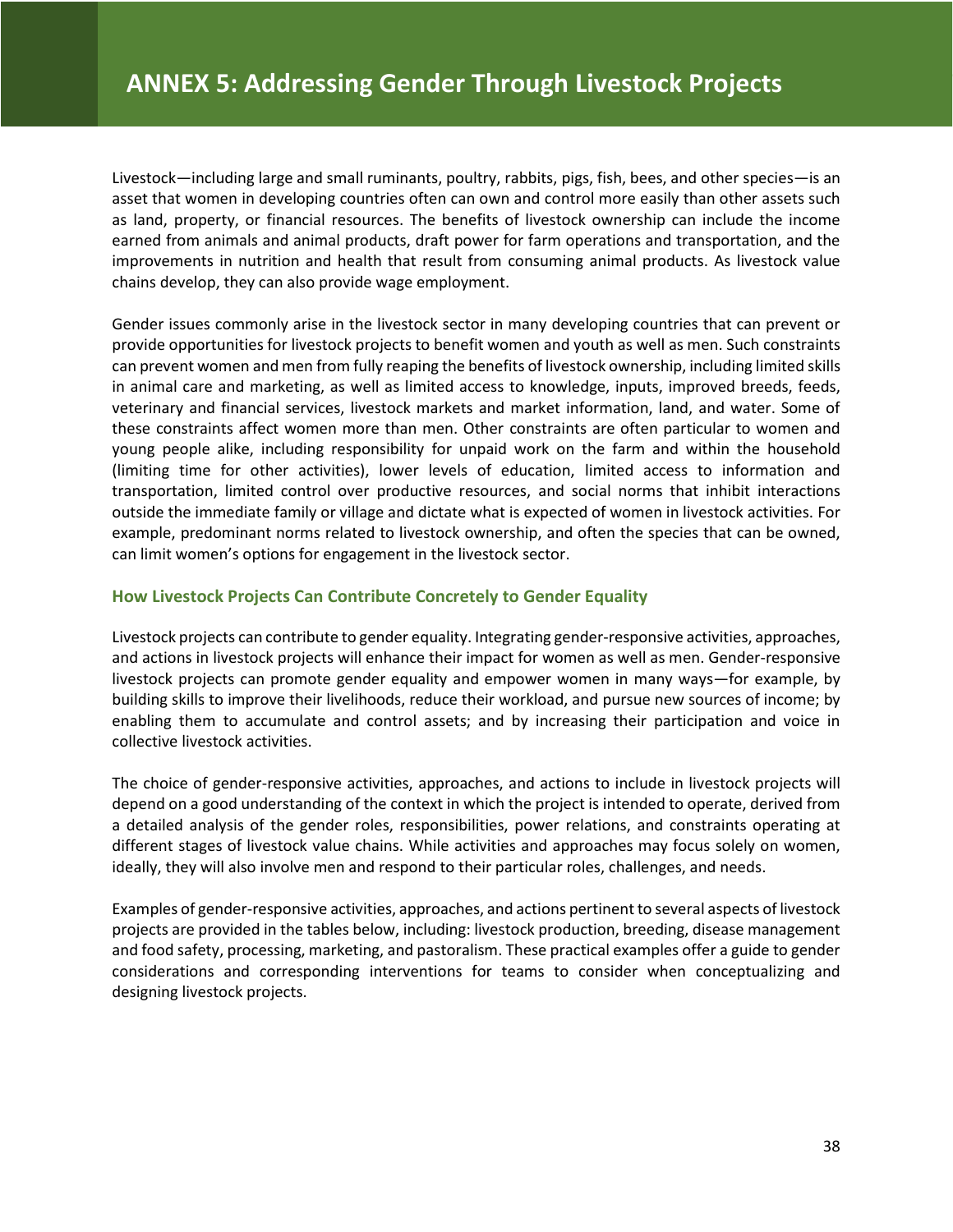Livestock—including large and small ruminants, poultry, rabbits, pigs, fish, bees, and other species—is an asset that women in developing countries often can own and control more easily than other assets such as land, property, or financial resources. The benefits of livestock ownership can include the income earned from animals and animal products, draft power for farm operations and transportation, and the improvements in nutrition and health that result from consuming animal products. As livestock value chains develop, they can also provide wage employment.

Gender issues commonly arise in the livestock sector in many developing countries that can prevent or provide opportunities for livestock projects to benefit women and youth as well as men. Such constraints can prevent women and men from fully reaping the benefits of livestock ownership, including limited skills in animal care and marketing, as well as limited access to knowledge, inputs, improved breeds, feeds, veterinary and financial services, livestock markets and market information, land, and water. Some of these constraints affect women more than men. Other constraints are often particular to women and young people alike, including responsibility for unpaid work on the farm and within the household (limiting time for other activities), lower levels of education, limited access to information and transportation, limited control over productive resources, and social norms that inhibit interactions outside the immediate family or village and dictate what is expected of women in livestock activities. For example, predominant norms related to livestock ownership, and often the species that can be owned, can limit women's options for engagement in the livestock sector.

#### **How Livestock Projects Can Contribute Concretely to Gender Equality**

Livestock projects can contribute to gender equality. Integrating gender-responsive activities, approaches, and actions in livestock projects will enhance their impact for women as well as men. Gender-responsive livestock projects can promote gender equality and empower women in many ways—for example, by building skills to improve their livelihoods, reduce their workload, and pursue new sources of income; by enabling them to accumulate and control assets; and by increasing their participation and voice in collective livestock activities.

The choice of gender-responsive activities, approaches, and actions to include in livestock projects will depend on a good understanding of the context in which the project is intended to operate, derived from a detailed analysis of the gender roles, responsibilities, power relations, and constraints operating at different stages of livestock value chains. While activities and approaches may focus solely on women, ideally, they will also involve men and respond to their particular roles, challenges, and needs.

Examples of gender-responsive activities, approaches, and actions pertinent to several aspects of livestock projects are provided in the tables below, including: livestock production, breeding, disease management and food safety, processing, marketing, and pastoralism. These practical examples offer a guide to gender considerations and corresponding interventions for teams to consider when conceptualizing and designing livestock projects.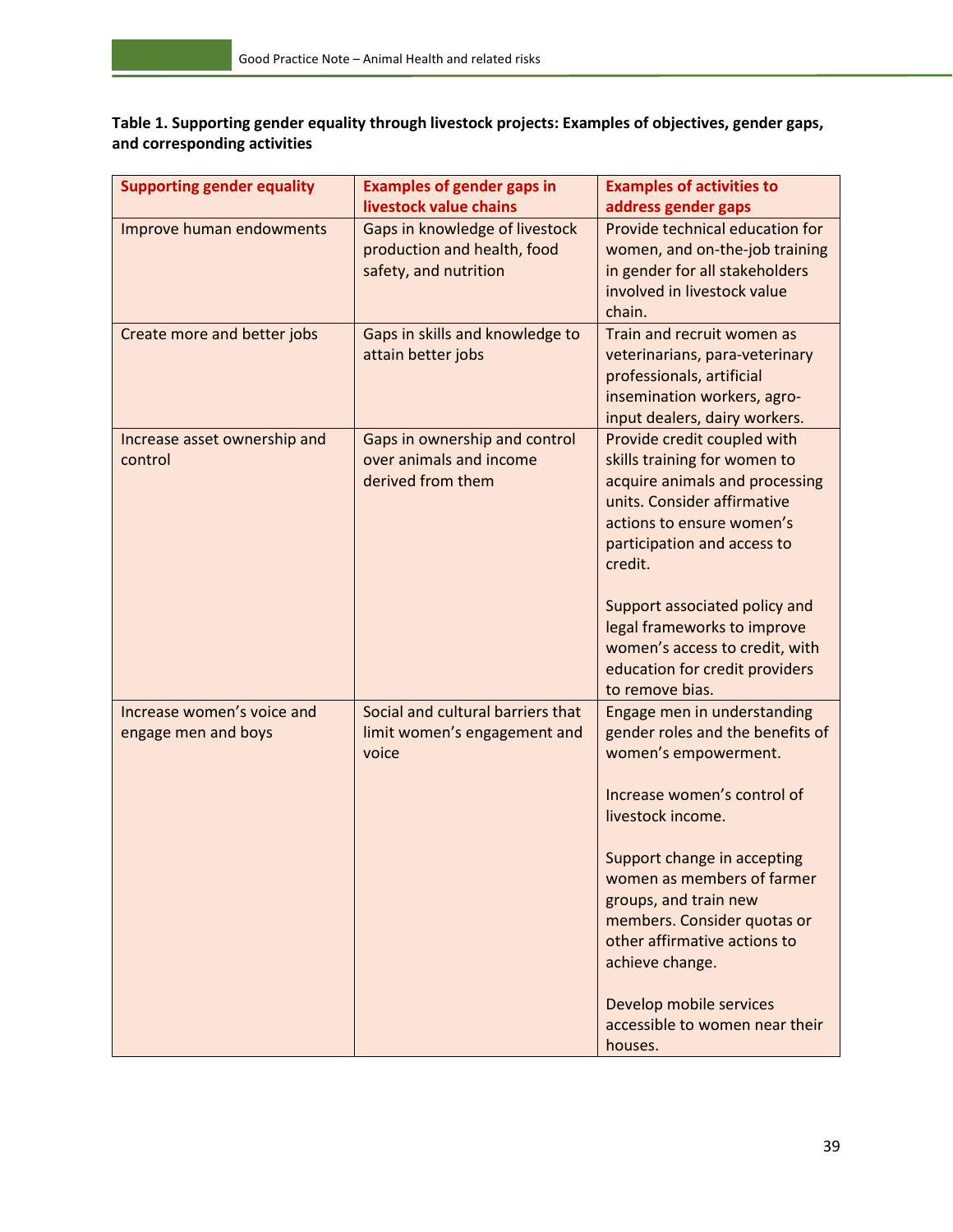**Table 1. Supporting gender equality through livestock projects: Examples of objectives, gender gaps, and corresponding activities**

| <b>Supporting gender equality</b> | <b>Examples of gender gaps in</b> | <b>Examples of activities to</b> |
|-----------------------------------|-----------------------------------|----------------------------------|
|                                   | livestock value chains            | address gender gaps              |
| Improve human endowments          | Gaps in knowledge of livestock    | Provide technical education for  |
|                                   | production and health, food       | women, and on-the-job training   |
|                                   | safety, and nutrition             | in gender for all stakeholders   |
|                                   |                                   | involved in livestock value      |
|                                   |                                   | chain.                           |
| Create more and better jobs       | Gaps in skills and knowledge to   | Train and recruit women as       |
|                                   | attain better jobs                | veterinarians, para-veterinary   |
|                                   |                                   | professionals, artificial        |
|                                   |                                   | insemination workers, agro-      |
|                                   |                                   | input dealers, dairy workers.    |
| Increase asset ownership and      | Gaps in ownership and control     | Provide credit coupled with      |
| control                           | over animals and income           | skills training for women to     |
|                                   | derived from them                 | acquire animals and processing   |
|                                   |                                   | units. Consider affirmative      |
|                                   |                                   | actions to ensure women's        |
|                                   |                                   | participation and access to      |
|                                   |                                   | credit.                          |
|                                   |                                   | Support associated policy and    |
|                                   |                                   | legal frameworks to improve      |
|                                   |                                   | women's access to credit, with   |
|                                   |                                   | education for credit providers   |
|                                   |                                   | to remove bias.                  |
| Increase women's voice and        | Social and cultural barriers that | Engage men in understanding      |
| engage men and boys               | limit women's engagement and      | gender roles and the benefits of |
|                                   | voice                             | women's empowerment.             |
|                                   |                                   |                                  |
|                                   |                                   | Increase women's control of      |
|                                   |                                   | livestock income.                |
|                                   |                                   |                                  |
|                                   |                                   | Support change in accepting      |
|                                   |                                   | women as members of farmer       |
|                                   |                                   | groups, and train new            |
|                                   |                                   | members. Consider quotas or      |
|                                   |                                   | other affirmative actions to     |
|                                   |                                   | achieve change.                  |
|                                   |                                   |                                  |
|                                   |                                   | Develop mobile services          |
|                                   |                                   | accessible to women near their   |
|                                   |                                   | houses.                          |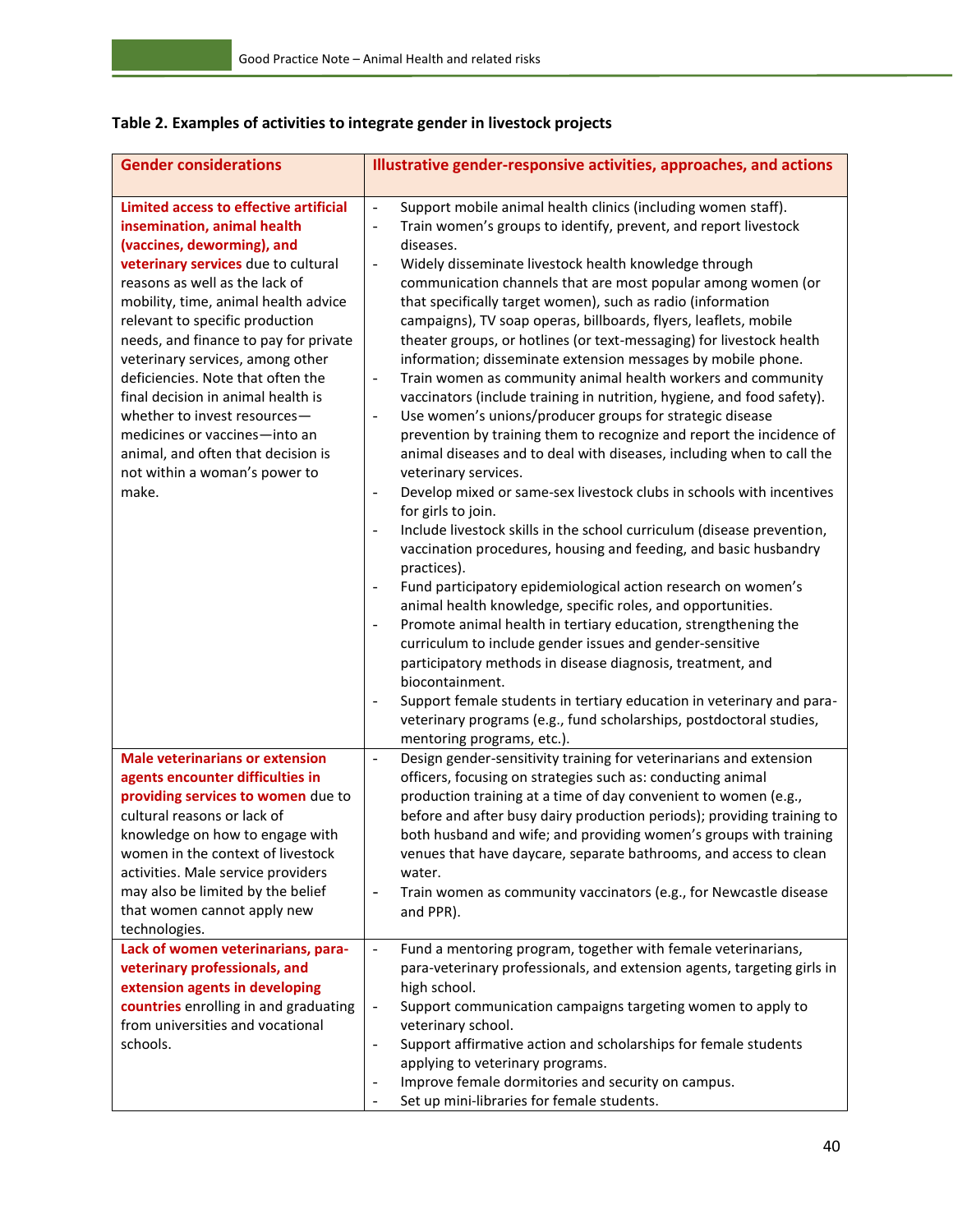| <b>Gender considerations</b>                                                                                                                                                                                                                                                                                                                                                                                                                                                                                                                                     | Illustrative gender-responsive activities, approaches, and actions                                                                                                                                                                                                                                                                                                                                                                                                                                                                                                                                                                                                                                                                                                                                                                                                                                                                                                                                                                                                                                                                                                                                                                                                                                                                                                                                                                                                                                                                                                                                                                                                                                                                                                                                                                                                                                                  |
|------------------------------------------------------------------------------------------------------------------------------------------------------------------------------------------------------------------------------------------------------------------------------------------------------------------------------------------------------------------------------------------------------------------------------------------------------------------------------------------------------------------------------------------------------------------|---------------------------------------------------------------------------------------------------------------------------------------------------------------------------------------------------------------------------------------------------------------------------------------------------------------------------------------------------------------------------------------------------------------------------------------------------------------------------------------------------------------------------------------------------------------------------------------------------------------------------------------------------------------------------------------------------------------------------------------------------------------------------------------------------------------------------------------------------------------------------------------------------------------------------------------------------------------------------------------------------------------------------------------------------------------------------------------------------------------------------------------------------------------------------------------------------------------------------------------------------------------------------------------------------------------------------------------------------------------------------------------------------------------------------------------------------------------------------------------------------------------------------------------------------------------------------------------------------------------------------------------------------------------------------------------------------------------------------------------------------------------------------------------------------------------------------------------------------------------------------------------------------------------------|
| Limited access to effective artificial<br>insemination, animal health<br>(vaccines, deworming), and<br>veterinary services due to cultural<br>reasons as well as the lack of<br>mobility, time, animal health advice<br>relevant to specific production<br>needs, and finance to pay for private<br>veterinary services, among other<br>deficiencies. Note that often the<br>final decision in animal health is<br>whether to invest resources-<br>medicines or vaccines-into an<br>animal, and often that decision is<br>not within a woman's power to<br>make. | Support mobile animal health clinics (including women staff).<br>$\Box$<br>Train women's groups to identify, prevent, and report livestock<br>$\overline{\phantom{0}}$<br>diseases.<br>Widely disseminate livestock health knowledge through<br>$\qquad \qquad \blacksquare$<br>communication channels that are most popular among women (or<br>that specifically target women), such as radio (information<br>campaigns), TV soap operas, billboards, flyers, leaflets, mobile<br>theater groups, or hotlines (or text-messaging) for livestock health<br>information; disseminate extension messages by mobile phone.<br>Train women as community animal health workers and community<br>$\blacksquare$<br>vaccinators (include training in nutrition, hygiene, and food safety).<br>Use women's unions/producer groups for strategic disease<br>$\overline{\phantom{0}}$<br>prevention by training them to recognize and report the incidence of<br>animal diseases and to deal with diseases, including when to call the<br>veterinary services.<br>Develop mixed or same-sex livestock clubs in schools with incentives<br>$\frac{1}{2}$<br>for girls to join.<br>Include livestock skills in the school curriculum (disease prevention,<br>$\overline{a}$<br>vaccination procedures, housing and feeding, and basic husbandry<br>practices).<br>Fund participatory epidemiological action research on women's<br>animal health knowledge, specific roles, and opportunities.<br>Promote animal health in tertiary education, strengthening the<br>$\overline{a}$<br>curriculum to include gender issues and gender-sensitive<br>participatory methods in disease diagnosis, treatment, and<br>biocontainment.<br>Support female students in tertiary education in veterinary and para-<br>$\overline{a}$<br>veterinary programs (e.g., fund scholarships, postdoctoral studies,<br>mentoring programs, etc.). |
| <b>Male veterinarians or extension</b><br>agents encounter difficulties in<br>providing services to women due to<br>cultural reasons or lack of<br>knowledge on how to engage with<br>women in the context of livestock<br>activities. Male service providers<br>may also be limited by the belief<br>that women cannot apply new<br>technologies.<br>Lack of women veterinarians, para-                                                                                                                                                                         | Design gender-sensitivity training for veterinarians and extension<br>$\blacksquare$<br>officers, focusing on strategies such as: conducting animal<br>production training at a time of day convenient to women (e.g.,<br>before and after busy dairy production periods); providing training to<br>both husband and wife; and providing women's groups with training<br>venues that have daycare, separate bathrooms, and access to clean<br>water.<br>Train women as community vaccinators (e.g., for Newcastle disease<br>$\blacksquare$<br>and PPR).<br>Fund a mentoring program, together with female veterinarians,<br>$\blacksquare$                                                                                                                                                                                                                                                                                                                                                                                                                                                                                                                                                                                                                                                                                                                                                                                                                                                                                                                                                                                                                                                                                                                                                                                                                                                                         |
| veterinary professionals, and<br>extension agents in developing<br>countries enrolling in and graduating<br>from universities and vocational<br>schools.                                                                                                                                                                                                                                                                                                                                                                                                         | para-veterinary professionals, and extension agents, targeting girls in<br>high school.<br>Support communication campaigns targeting women to apply to<br>$\overline{\phantom{a}}$<br>veterinary school.<br>Support affirmative action and scholarships for female students<br>$\overline{\phantom{0}}$<br>applying to veterinary programs.<br>Improve female dormitories and security on campus.<br>Set up mini-libraries for female students.                                                                                                                                                                                                                                                                                                                                                                                                                                                                                                                                                                                                                                                                                                                                                                                                                                                                                                                                                                                                                                                                                                                                                                                                                                                                                                                                                                                                                                                                     |

## **Table 2. Examples of activities to integrate gender in livestock projects**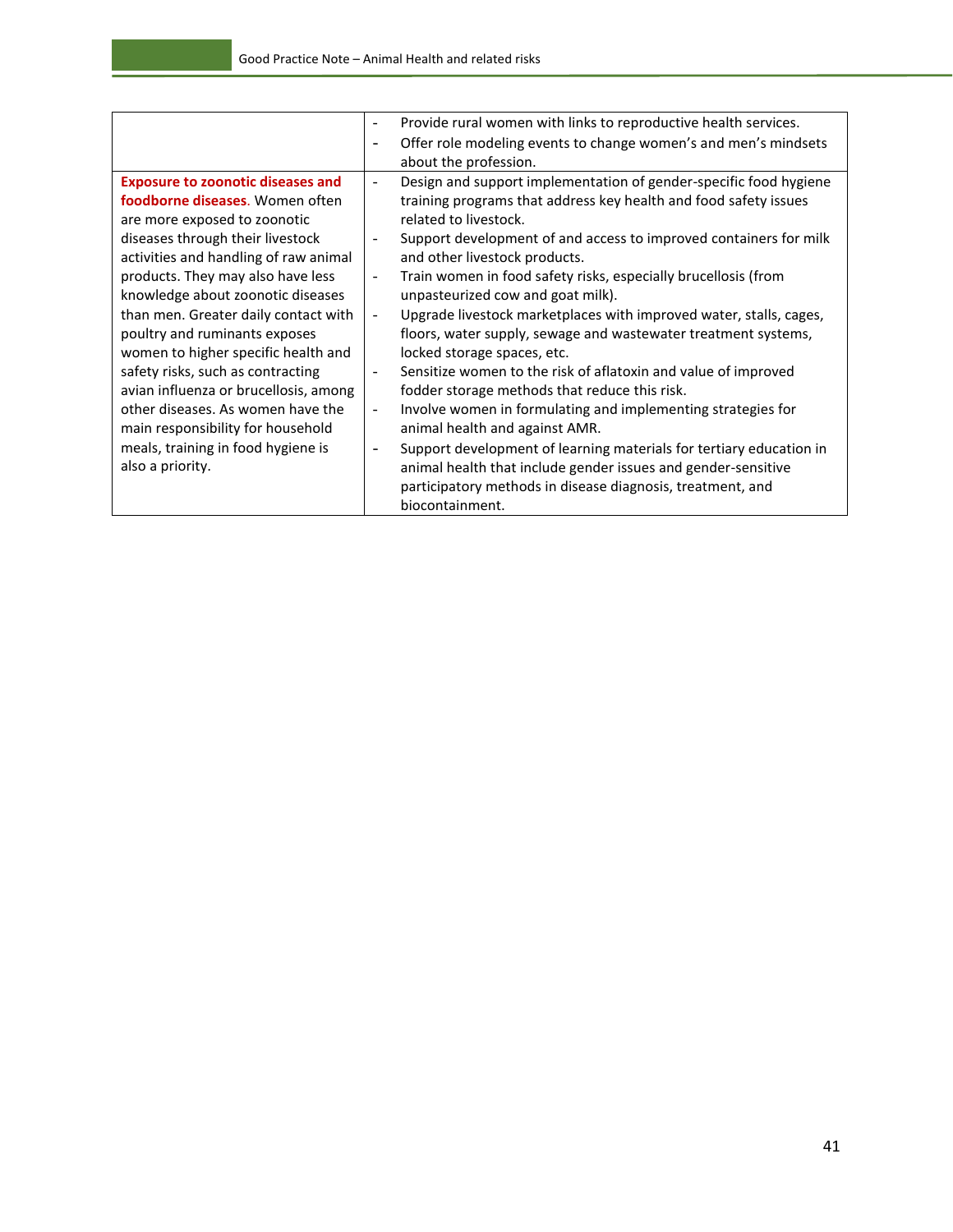|                                          | Provide rural women with links to reproductive health services.                                 |
|------------------------------------------|-------------------------------------------------------------------------------------------------|
|                                          | Offer role modeling events to change women's and men's mindsets                                 |
|                                          | about the profession.                                                                           |
| <b>Exposure to zoonotic diseases and</b> | Design and support implementation of gender-specific food hygiene<br>$\overline{\phantom{a}}$   |
| foodborne diseases. Women often          | training programs that address key health and food safety issues                                |
| are more exposed to zoonotic             | related to livestock.                                                                           |
| diseases through their livestock         | Support development of and access to improved containers for milk                               |
| activities and handling of raw animal    | and other livestock products.                                                                   |
| products. They may also have less        | Train women in food safety risks, especially brucellosis (from<br>$\overline{\phantom{a}}$      |
| knowledge about zoonotic diseases        | unpasteurized cow and goat milk).                                                               |
| than men. Greater daily contact with     | Upgrade livestock marketplaces with improved water, stalls, cages,<br>$\overline{\phantom{a}}$  |
| poultry and ruminants exposes            | floors, water supply, sewage and wastewater treatment systems,                                  |
| women to higher specific health and      | locked storage spaces, etc.                                                                     |
| safety risks, such as contracting        | Sensitize women to the risk of aflatoxin and value of improved<br>$\blacksquare$                |
| avian influenza or brucellosis, among    | fodder storage methods that reduce this risk.                                                   |
| other diseases. As women have the        | Involve women in formulating and implementing strategies for<br>$\overline{\phantom{a}}$        |
| main responsibility for household        | animal health and against AMR.                                                                  |
| meals, training in food hygiene is       | Support development of learning materials for tertiary education in<br>$\overline{\phantom{a}}$ |
| also a priority.                         | animal health that include gender issues and gender-sensitive                                   |
|                                          | participatory methods in disease diagnosis, treatment, and                                      |
|                                          | biocontainment.                                                                                 |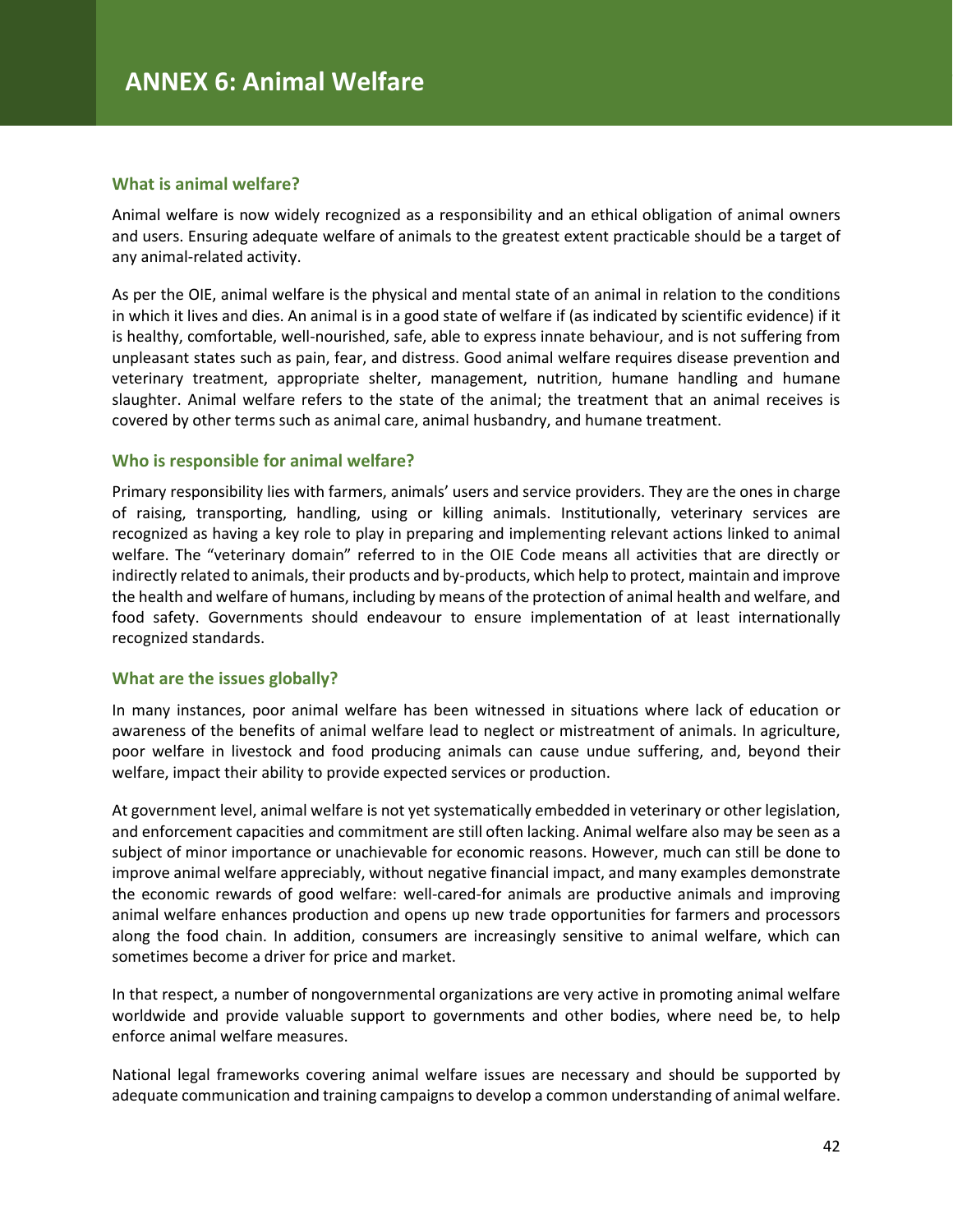#### **What is animal welfare?**

Animal welfare is now widely recognized as a responsibility and an ethical obligation of animal owners and users. Ensuring adequate welfare of animals to the greatest extent practicable should be a target of any animal-related activity.

As per the OIE, animal welfare is the physical and mental state of an animal in relation to the conditions in which it lives and dies. An animal is in a good state of welfare if (as indicated by scientific evidence) if it is healthy, comfortable, well-nourished, safe, able to express innate behaviour, and is not suffering from unpleasant states such as pain, fear, and distress. Good animal welfare requires disease prevention and veterinary treatment, appropriate shelter, management, nutrition, humane handling and humane slaughter. Animal welfare refers to the state of the animal; the treatment that an animal receives is covered by other terms such as animal care, animal husbandry, and humane treatment.

#### **Who is responsible for animal welfare?**

Primary responsibility lies with farmers, animals' users and service providers. They are the ones in charge of raising, transporting, handling, using or killing animals. Institutionally, veterinary services are recognized as having a key role to play in preparing and implementing relevant actions linked to animal welfare. The "veterinary domain" referred to in the OIE Code means all activities that are directly or indirectly related to animals, their products and by-products, which help to protect, maintain and improve the health and welfare of humans, including by means of the protection of animal health and welfare, and food safety. Governments should endeavour to ensure implementation of at least internationally recognized standards.

#### **What are the issues globally?**

In many instances, poor animal welfare has been witnessed in situations where lack of education or awareness of the benefits of animal welfare lead to neglect or mistreatment of animals. In agriculture, poor welfare in livestock and food producing animals can cause undue suffering, and, beyond their welfare, impact their ability to provide expected services or production.

At government level, animal welfare is not yet systematically embedded in veterinary or other legislation, and enforcement capacities and commitment are still often lacking. Animal welfare also may be seen as a subject of minor importance or unachievable for economic reasons. However, much can still be done to improve animal welfare appreciably, without negative financial impact, and many examples demonstrate the economic rewards of good welfare: well-cared-for animals are productive animals and improving animal welfare enhances production and opens up new trade opportunities for farmers and processors along the food chain. In addition, consumers are increasingly sensitive to animal welfare, which can sometimes become a driver for price and market.

In that respect, a number of nongovernmental organizations are very active in promoting animal welfare worldwide and provide valuable support to governments and other bodies, where need be, to help enforce animal welfare measures.

National legal frameworks covering animal welfare issues are necessary and should be supported by adequate communication and training campaigns to develop a common understanding of animal welfare.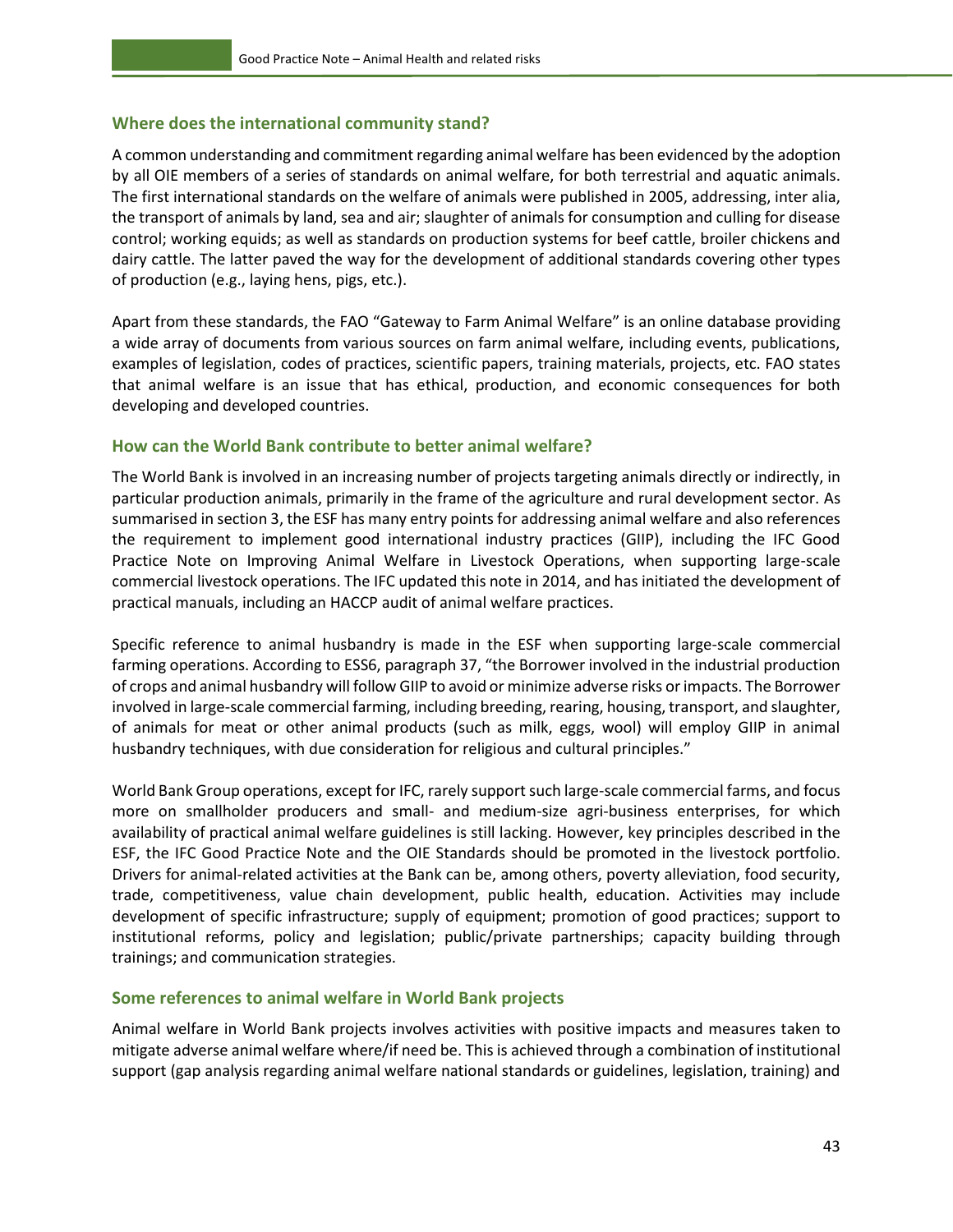#### **Where does the international community stand?**

A common understanding and commitment regarding animal welfare has been evidenced by the adoption by all OIE members of a series of standards on animal welfare, for both terrestrial and aquatic animals. The first international standards on the welfare of animals were published in 2005, addressing, inter alia, the transport of animals by land, sea and air; slaughter of animals for consumption and culling for disease control; working equids; as well as standards on production systems for beef cattle, broiler chickens and dairy cattle. The latter paved the way for the development of additional standards covering other types of production (e.g., laying hens, pigs, etc.).

Apart from these standards, the FAO "Gateway to Farm Animal Welfare" is an online database providing a wide array of documents from various sources on farm animal welfare, including events, publications, examples of legislation, codes of practices, scientific papers, training materials, projects, etc. FAO states that animal welfare is an issue that has ethical, production, and economic consequences for both developing and developed countries.

#### **How can the World Bank contribute to better animal welfare?**

The World Bank is involved in an increasing number of projects targeting animals directly or indirectly, in particular production animals, primarily in the frame of the agriculture and rural development sector. As summarised in section 3, the ESF has many entry points for addressing animal welfare and also references the requirement to implement good international industry practices (GIIP), including the IFC Good Practice Note on Improving Animal Welfare in Livestock Operations, when supporting large-scale commercial livestock operations. The IFC updated this note in 2014, and has initiated the development of practical manuals, including an HACCP audit of animal welfare practices.

Specific reference to animal husbandry is made in the ESF when supporting large-scale commercial farming operations. According to ESS6, paragraph 37, "the Borrower involved in the industrial production of crops and animal husbandry will follow GIIP to avoid or minimize adverse risks or impacts. The Borrower involved in large-scale commercial farming, including breeding, rearing, housing, transport, and slaughter, of animals for meat or other animal products (such as milk, eggs, wool) will employ GIIP in animal husbandry techniques, with due consideration for religious and cultural principles."

World Bank Group operations, except for IFC, rarely support such large-scale commercial farms, and focus more on smallholder producers and small- and medium-size agri-business enterprises, for which availability of practical animal welfare guidelines is still lacking. However, key principles described in the ESF, the IFC Good Practice Note and the OIE Standards should be promoted in the livestock portfolio. Drivers for animal-related activities at the Bank can be, among others, poverty alleviation, food security, trade, competitiveness, value chain development, public health, education. Activities may include development of specific infrastructure; supply of equipment; promotion of good practices; support to institutional reforms, policy and legislation; public/private partnerships; capacity building through trainings; and communication strategies.

#### **Some references to animal welfare in World Bank projects**

Animal welfare in World Bank projects involves activities with positive impacts and measures taken to mitigate adverse animal welfare where/if need be. This is achieved through a combination of institutional support (gap analysis regarding animal welfare national standards or guidelines, legislation, training) and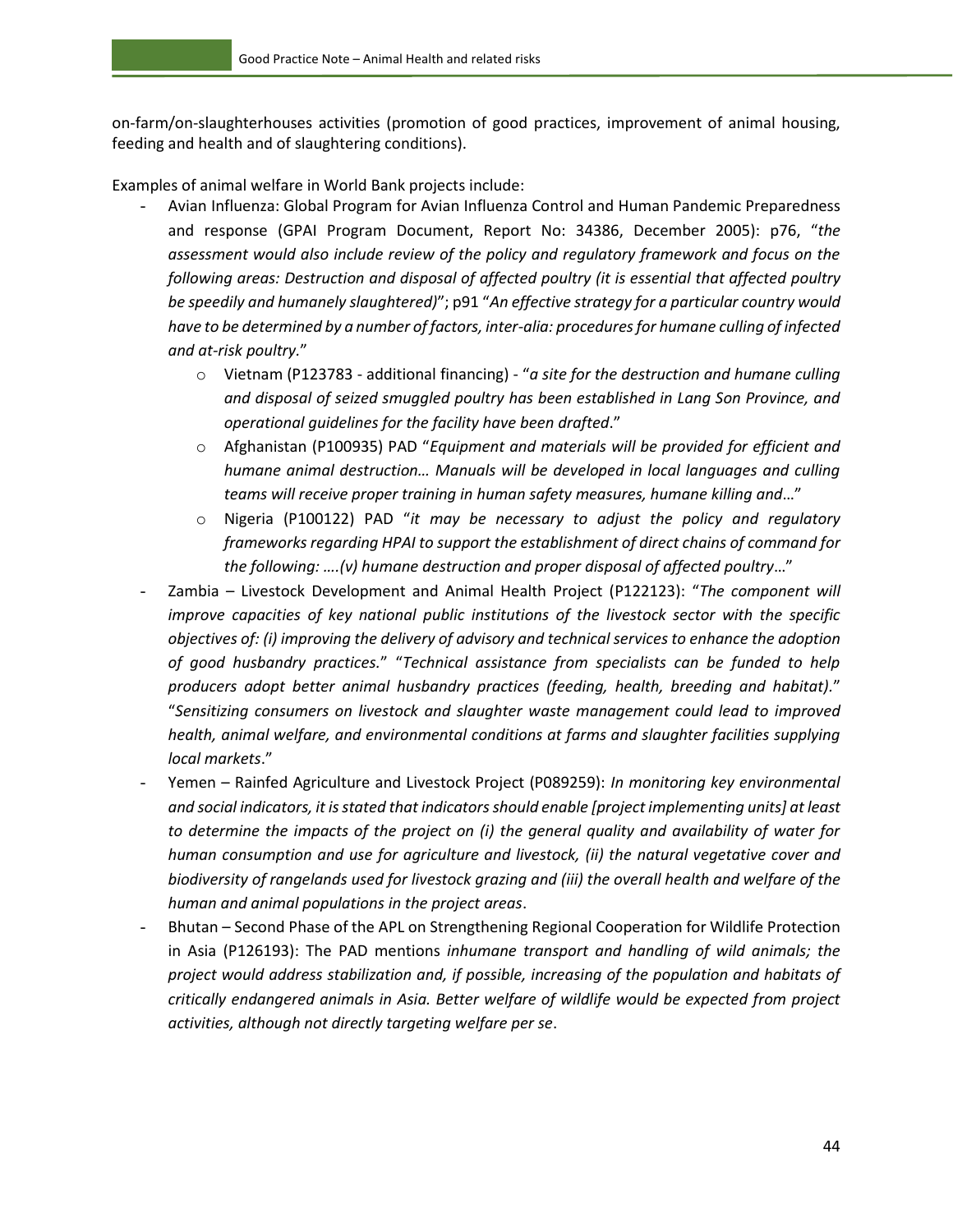on-farm/on-slaughterhouses activities (promotion of good practices, improvement of animal housing, feeding and health and of slaughtering conditions).

Examples of animal welfare in World Bank projects include:

- Avian Influenza: Global Program for Avian Influenza Control and Human Pandemic Preparedness and response (GPAI Program Document, Report No: 34386, December 2005): p76, "*the assessment would also include review of the policy and regulatory framework and focus on the following areas: Destruction and disposal of affected poultry (it is essential that affected poultry be speedily and humanely slaughtered)*"; p91 "*An effective strategy for a particular country would have to be determined by a number of factors, inter-alia: procedures for humane culling of infected and at-risk poultry.*"
	- o Vietnam (P123783 additional financing) "*a site for the destruction and humane culling and disposal of seized smuggled poultry has been established in Lang Son Province, and operational guidelines for the facility have been drafted*."
	- o Afghanistan (P100935) PAD "*Equipment and materials will be provided for efficient and humane animal destruction… Manuals will be developed in local languages and culling teams will receive proper training in human safety measures, humane killing and*…"
	- o Nigeria (P100122) PAD "*it may be necessary to adjust the policy and regulatory frameworks regarding HPAI to support the establishment of direct chains of command for the following: ….(v) humane destruction and proper disposal of affected poultry*…"
- Zambia Livestock Development and Animal Health Project (P122123): "*The component will improve capacities of key national public institutions of the livestock sector with the specific objectives of: (i) improving the delivery of advisory and technical services to enhance the adoption of good husbandry practices.*" "*Technical assistance from specialists can be funded to help producers adopt better animal husbandry practices (feeding, health, breeding and habitat).*" "*Sensitizing consumers on livestock and slaughter waste management could lead to improved health, animal welfare, and environmental conditions at farms and slaughter facilities supplying local markets*."
- Yemen Rainfed Agriculture and Livestock Project (P089259): *In monitoring key environmental and social indicators, it is stated that indicators should enable [project implementing units] at least to determine the impacts of the project on (i) the general quality and availability of water for human consumption and use for agriculture and livestock, (ii) the natural vegetative cover and biodiversity of rangelands used for livestock grazing and (iii) the overall health and welfare of the human and animal populations in the project areas*.
- Bhutan Second Phase of the APL on Strengthening Regional Cooperation for Wildlife Protection in Asia (P126193): The PAD mentions *inhumane transport and handling of wild animals; the project would address stabilization and, if possible, increasing of the population and habitats of critically endangered animals in Asia. Better welfare of wildlife would be expected from project activities, although not directly targeting welfare per se*.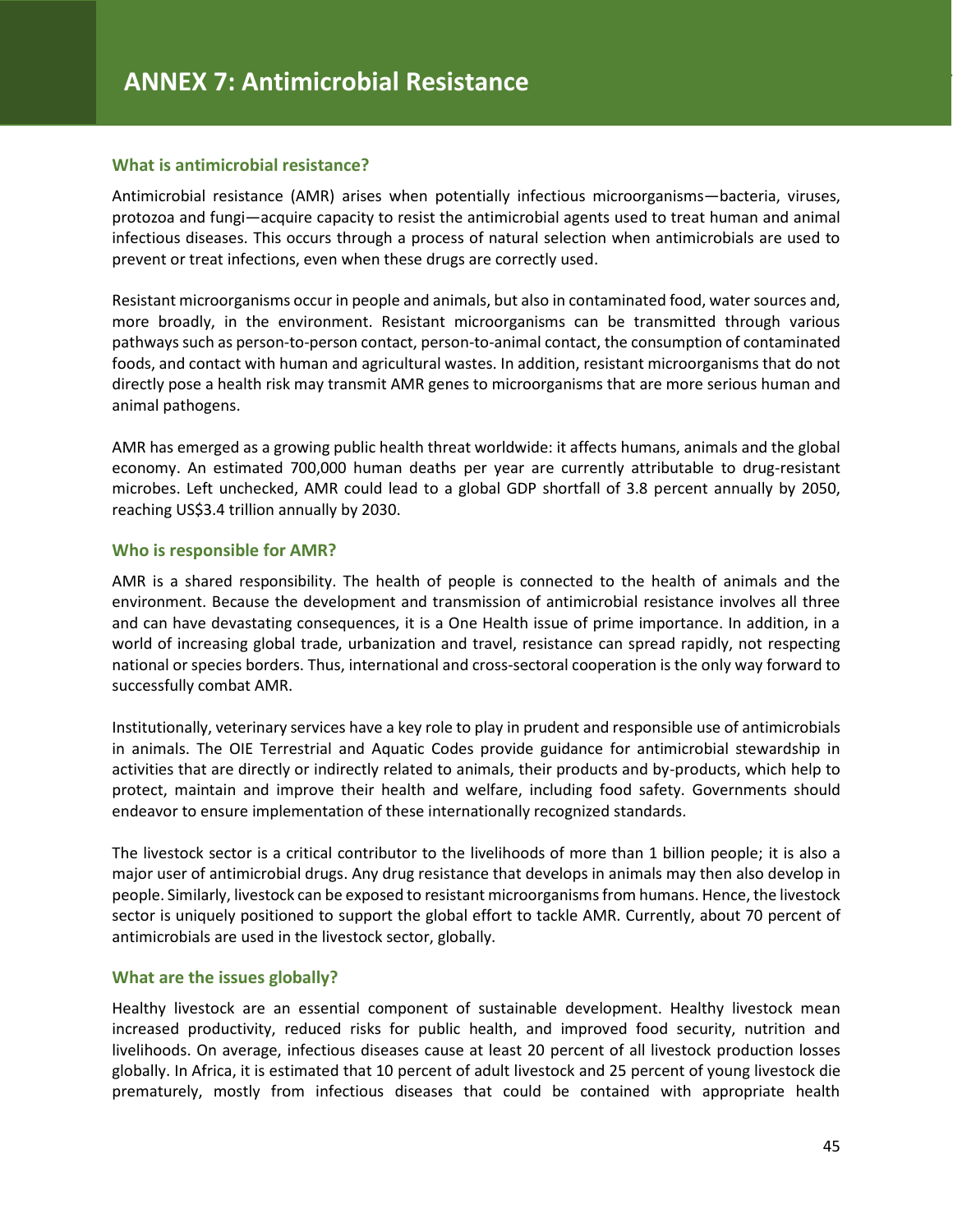#### **What is antimicrobial resistance?**

Antimicrobial resistance (AMR) arises when potentially infectious microorganisms—bacteria, viruses, protozoa and fungi—acquire capacity to resist the antimicrobial agents used to treat human and animal infectious diseases. This occurs through a process of natural selection when antimicrobials are used to prevent or treat infections, even when these drugs are correctly used.

Resistant microorganisms occur in people and animals, but also in contaminated food, water sources and, more broadly, in the environment. Resistant microorganisms can be transmitted through various pathways such as person-to-person contact, person-to-animal contact, the consumption of contaminated foods, and contact with human and agricultural wastes. In addition, resistant microorganisms that do not directly pose a health risk may transmit AMR genes to microorganisms that are more serious human and animal pathogens.

AMR has emerged as a growing public health threat worldwide: it affects humans, animals and the global economy. An estimated 700,000 human deaths per year are currently attributable to drug-resistant microbes. Left unchecked, AMR could lead to a global GDP shortfall of 3.8 percent annually by 2050, reaching US\$3.4 trillion annually by 2030.

#### **Who is responsible for AMR?**

AMR is a shared responsibility. The health of people is connected to the health of animals and the environment. Because the development and transmission of antimicrobial resistance involves all three and can have devastating consequences, it is a One Health issue of prime importance. In addition, in a world of increasing global trade, urbanization and travel, resistance can spread rapidly, not respecting national or species borders. Thus, international and cross-sectoral cooperation is the only way forward to successfully combat AMR.

Institutionally, veterinary services have a key role to play in prudent and responsible use of antimicrobials in animals. The OIE Terrestrial and Aquatic Codes provide guidance for antimicrobial stewardship in activities that are directly or indirectly related to animals, their products and by-products, which help to protect, maintain and improve their health and welfare, including food safety. Governments should endeavor to ensure implementation of these internationally recognized standards.

The livestock sector is a critical contributor to the livelihoods of more than 1 billion people; it is also a major user of antimicrobial drugs. Any drug resistance that develops in animals may then also develop in people. Similarly, livestock can be exposed to resistant microorganisms from humans. Hence, the livestock sector is uniquely positioned to support the global effort to tackle AMR. Currently, about 70 percent of antimicrobials are used in the livestock sector, globally.

#### **What are the issues globally?**

Healthy livestock are an essential component of sustainable development. Healthy livestock mean increased productivity, reduced risks for public health, and improved food security, nutrition and livelihoods. On average, infectious diseases cause at least 20 percent of all livestock production losses globally. In Africa, it is estimated that 10 percent of adult livestock and 25 percent of young livestock die prematurely, mostly from infectious diseases that could be contained with appropriate health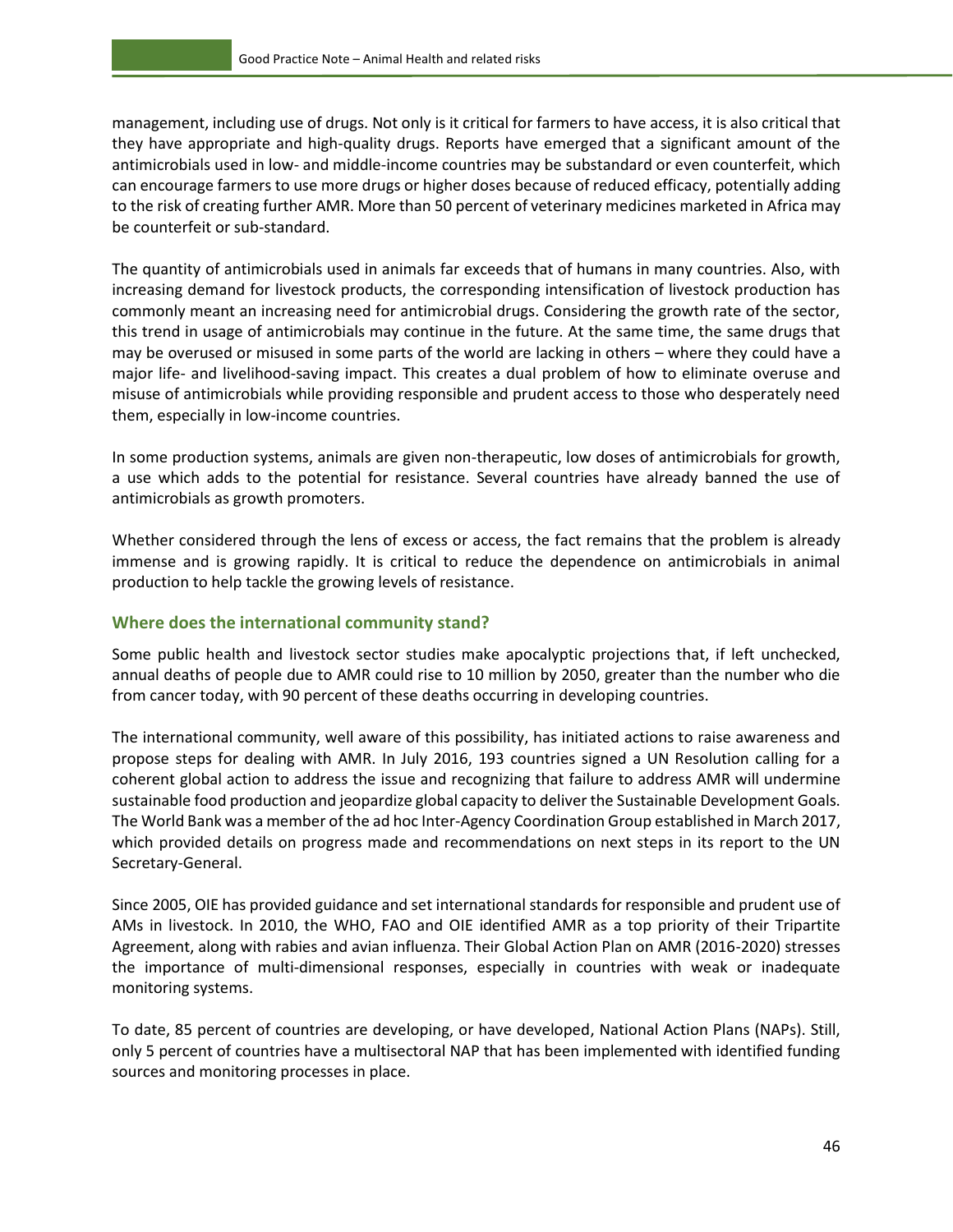management, including use of drugs. Not only is it critical for farmers to have access, it is also critical that they have appropriate and high-quality drugs. Reports have emerged that a significant amount of the antimicrobials used in low- and middle-income countries may be substandard or even counterfeit, which can encourage farmers to use more drugs or higher doses because of reduced efficacy, potentially adding to the risk of creating further AMR. More than 50 percent of veterinary medicines marketed in Africa may be counterfeit or sub-standard.

The quantity of antimicrobials used in animals far exceeds that of humans in many countries. Also, with increasing demand for livestock products, the corresponding intensification of livestock production has commonly meant an increasing need for antimicrobial drugs. Considering the growth rate of the sector, this trend in usage of antimicrobials may continue in the future. At the same time, the same drugs that may be overused or misused in some parts of the world are lacking in others – where they could have a major life- and livelihood-saving impact. This creates a dual problem of how to eliminate overuse and misuse of antimicrobials while providing responsible and prudent access to those who desperately need them, especially in low-income countries.

In some production systems, animals are given non-therapeutic, low doses of antimicrobials for growth, a use which adds to the potential for resistance. Several countries have already banned the use of antimicrobials as growth promoters.

Whether considered through the lens of excess or access, the fact remains that the problem is already immense and is growing rapidly. It is critical to reduce the dependence on antimicrobials in animal production to help tackle the growing levels of resistance.

#### **Where does the international community stand?**

Some public health and livestock sector studies make apocalyptic projections that, if left unchecked, annual deaths of people due to AMR could rise to 10 million by 2050, greater than the number who die from cancer today, with 90 percent of these deaths occurring in developing countries.

The international community, well aware of this possibility, has initiated actions to raise awareness and propose steps for dealing with AMR. In July 2016, 193 countries signed a UN Resolution calling for a coherent global action to address the issue and recognizing that failure to address AMR will undermine sustainable food production and jeopardize global capacity to deliver the Sustainable Development Goals. The World Bank was a member of the ad hoc Inter-Agency Coordination Group established in March 2017, which provided details on progress made and recommendations on next steps in its report to the UN Secretary-General.

Since 2005, OIE has provided guidance and set international standards for responsible and prudent use of AMs in livestock. In 2010, the WHO, FAO and OIE identified AMR as a top priority of their Tripartite Agreement, along with rabies and avian influenza. Their Global Action Plan on AMR (2016-2020) stresses the importance of multi-dimensional responses, especially in countries with weak or inadequate monitoring systems.

To date, 85 percent of countries are developing, or have developed, National Action Plans (NAPs). Still, only 5 percent of countries have a multisectoral NAP that has been implemented with identified funding sources and monitoring processes in place.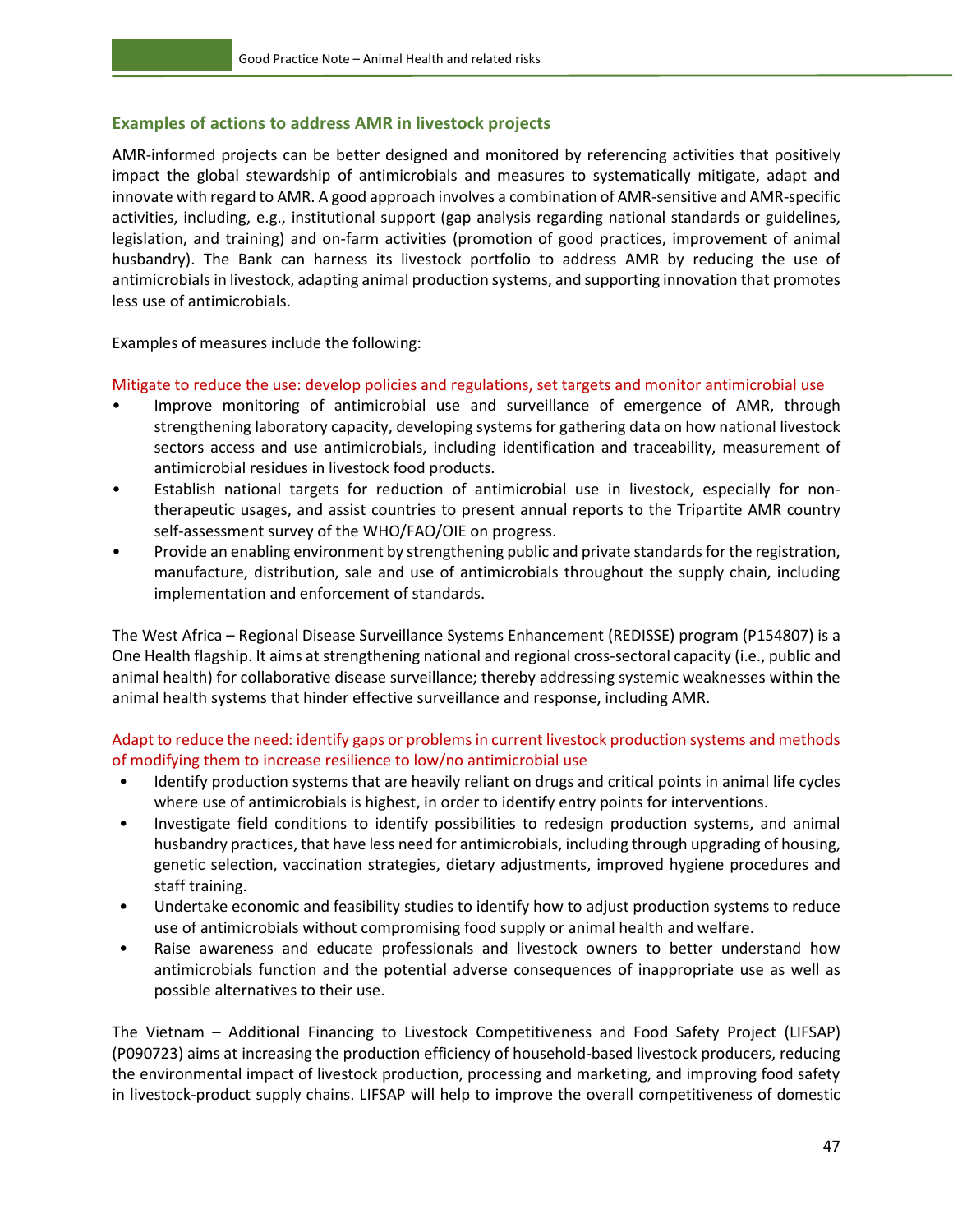#### **Examples of actions to address AMR in livestock projects**

AMR-informed projects can be better designed and monitored by referencing activities that positively impact the global stewardship of antimicrobials and measures to systematically mitigate, adapt and innovate with regard to AMR. A good approach involves a combination of AMR-sensitive and AMR-specific activities, including, e.g., institutional support (gap analysis regarding national standards or guidelines, legislation, and training) and on-farm activities (promotion of good practices, improvement of animal husbandry). The Bank can harness its livestock portfolio to address AMR by reducing the use of antimicrobials in livestock, adapting animal production systems, and supporting innovation that promotes less use of antimicrobials.

Examples of measures include the following:

Mitigate to reduce the use: develop policies and regulations, set targets and monitor antimicrobial use

- Improve monitoring of antimicrobial use and surveillance of emergence of AMR, through strengthening laboratory capacity, developing systems for gathering data on how national livestock sectors access and use antimicrobials, including identification and traceability, measurement of antimicrobial residues in livestock food products.
- Establish national targets for reduction of antimicrobial use in livestock, especially for nontherapeutic usages, and assist countries to present annual reports to the Tripartite AMR country self-assessment survey of the WHO/FAO/OIE on progress.
- Provide an enabling environment by strengthening public and private standards for the registration, manufacture, distribution, sale and use of antimicrobials throughout the supply chain, including implementation and enforcement of standards.

The West Africa – Regional Disease Surveillance Systems Enhancement (REDISSE) program (P154807) is a One Health flagship. It aims at strengthening national and regional cross-sectoral capacity (i.e., public and animal health) for collaborative disease surveillance; thereby addressing systemic weaknesses within the animal health systems that hinder effective surveillance and response, including AMR.

Adapt to reduce the need: identify gaps or problems in current livestock production systems and methods of modifying them to increase resilience to low/no antimicrobial use

- Identify production systems that are heavily reliant on drugs and critical points in animal life cycles where use of antimicrobials is highest, in order to identify entry points for interventions.
- Investigate field conditions to identify possibilities to redesign production systems, and animal husbandry practices, that have less need for antimicrobials, including through upgrading of housing, genetic selection, vaccination strategies, dietary adjustments, improved hygiene procedures and staff training.
- Undertake economic and feasibility studies to identify how to adjust production systems to reduce use of antimicrobials without compromising food supply or animal health and welfare.
- Raise awareness and educate professionals and livestock owners to better understand how antimicrobials function and the potential adverse consequences of inappropriate use as well as possible alternatives to their use.

The Vietnam – Additional Financing to Livestock Competitiveness and Food Safety Project (LIFSAP) (P090723) aims at increasing the production efficiency of household-based livestock producers, reducing the environmental impact of livestock production, processing and marketing, and improving food safety in livestock-product supply chains. LIFSAP will help to improve the overall competitiveness of domestic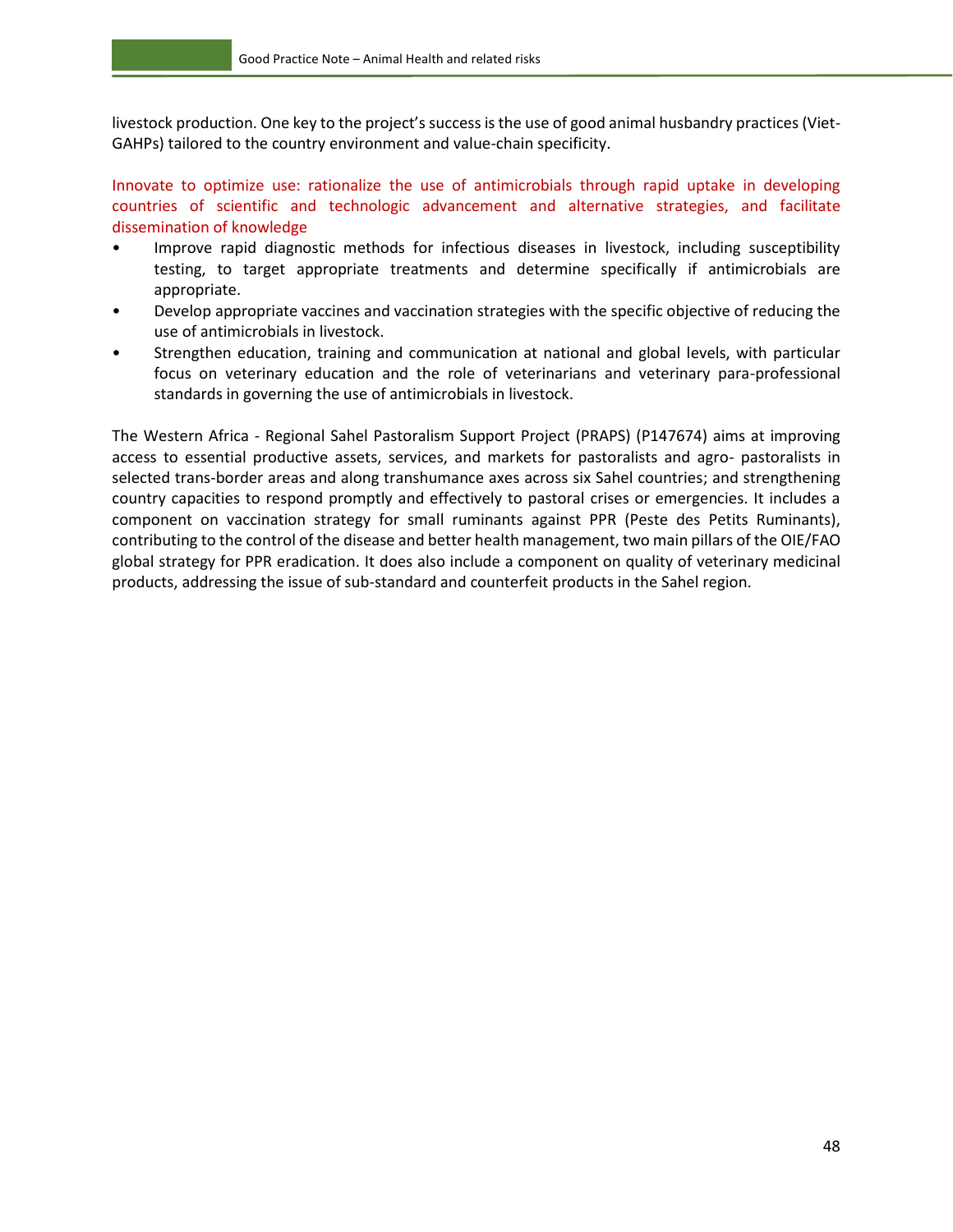livestock production. One key to the project's success is the use of good animal husbandry practices (Viet-GAHPs) tailored to the country environment and value-chain specificity.

Innovate to optimize use: rationalize the use of antimicrobials through rapid uptake in developing countries of scientific and technologic advancement and alternative strategies, and facilitate dissemination of knowledge

- Improve rapid diagnostic methods for infectious diseases in livestock, including susceptibility testing, to target appropriate treatments and determine specifically if antimicrobials are appropriate.
- Develop appropriate vaccines and vaccination strategies with the specific objective of reducing the use of antimicrobials in livestock.
- Strengthen education, training and communication at national and global levels, with particular focus on veterinary education and the role of veterinarians and veterinary para-professional standards in governing the use of antimicrobials in livestock.

The Western Africa - Regional Sahel Pastoralism Support Project (PRAPS) (P147674) aims at improving access to essential productive assets, services, and markets for pastoralists and agro- pastoralists in selected trans-border areas and along transhumance axes across six Sahel countries; and strengthening country capacities to respond promptly and effectively to pastoral crises or emergencies. It includes a component on vaccination strategy for small ruminants against PPR (Peste des Petits Ruminants), contributing to the control of the disease and better health management, two main pillars of the OIE/FAO global strategy for PPR eradication. It does also include a component on quality of veterinary medicinal products, addressing the issue of sub-standard and counterfeit products in the Sahel region.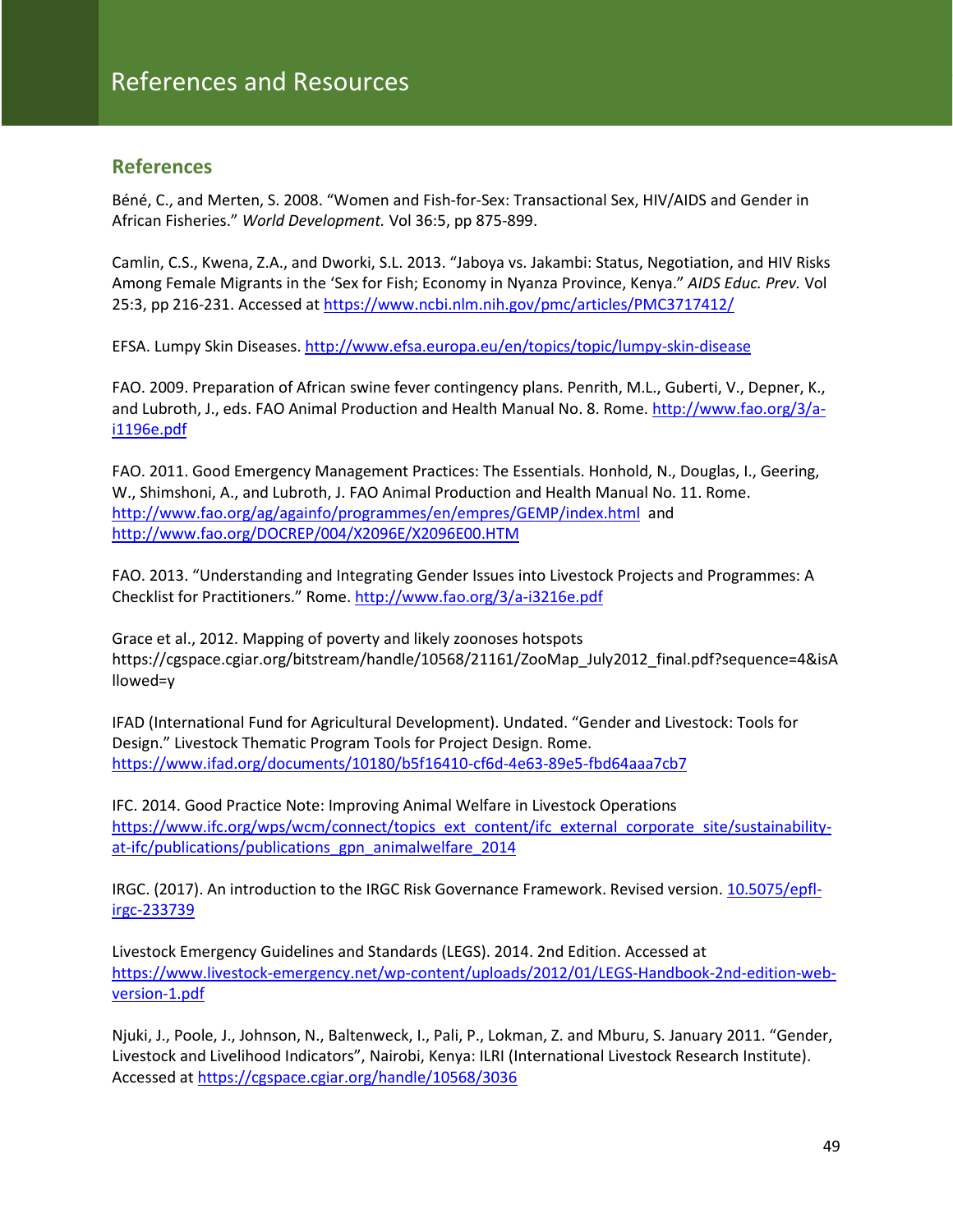### <span id="page-54-0"></span>**References**

Béné, C., and Merten, S. 2008. "Women and Fish-for-Sex: Transactional Sex, HIV/AIDS and Gender in African Fisheries." *World Development.* Vol 36:5, pp 875-899.

Camlin, C.S., Kwena, Z.A., and Dworki, S.L. 2013. "Jaboya vs. Jakambi: Status, Negotiation, and HIV Risks Among Female Migrants in the 'Sex for Fish; Economy in Nyanza Province, Kenya." *AIDS Educ. Prev.* Vol 25:3, pp 216-231. Accessed at <https://www.ncbi.nlm.nih.gov/pmc/articles/PMC3717412/>

EFSA. Lumpy Skin Diseases.<http://www.efsa.europa.eu/en/topics/topic/lumpy-skin-disease>

FAO. 2009. Preparation of African swine fever contingency plans. Penrith, M.L., Guberti, V., Depner, K., and Lubroth, J., eds. FAO Animal Production and Health Manual No. 8. Rome. [http://www.fao.org/3/a](http://www.fao.org/3/a-i1196e.pdf)[i1196e.pdf](http://www.fao.org/3/a-i1196e.pdf)

FAO. 2011. Good Emergency Management Practices: The Essentials. Honhold, N., Douglas, I., Geering, W., Shimshoni, A., and Lubroth, J. FAO Animal Production and Health Manual No. 11. Rome. <http://www.fao.org/ag/againfo/programmes/en/empres/GEMP/index.html>and <http://www.fao.org/DOCREP/004/X2096E/X2096E00.HTM>

FAO. 2013. "Understanding and Integrating Gender Issues into Livestock Projects and Programmes: A Checklist for Practitioners." Rome.<http://www.fao.org/3/a-i3216e.pdf>

Grace et al., 2012. Mapping of poverty and likely zoonoses hotspots https://cgspace.cgiar.org/bitstream/handle/10568/21161/ZooMap\_July2012\_final.pdf?sequence=4&isA llowed=y

IFAD (International Fund for Agricultural Development). Undated. "Gender and Livestock: Tools for Design." Livestock Thematic Program Tools for Project Design. Rome. <https://www.ifad.org/documents/10180/b5f16410-cf6d-4e63-89e5-fbd64aaa7cb7>

IFC. 2014. Good Practice Note: Improving Animal Welfare in Livestock Operations [https://www.ifc.org/wps/wcm/connect/topics\\_ext\\_content/ifc\\_external\\_corporate\\_site/sustainability](https://www.ifc.org/wps/wcm/connect/topics_ext_content/ifc_external_corporate_site/sustainability-at-ifc/publications/publications_gpn_animalwelfare_2014)[at-ifc/publications/publications\\_gpn\\_animalwelfare\\_2014](https://www.ifc.org/wps/wcm/connect/topics_ext_content/ifc_external_corporate_site/sustainability-at-ifc/publications/publications_gpn_animalwelfare_2014)

IRGC. (2017). An introduction to the IRGC Risk Governance Framework. Revised version. [10.5075/epfl](https://infoscience.epfl.ch/record/233739/files/IRGC.%20%282017%29.%20An%20introduction%20to%20the%20IRGC%20Risk%20Governance%20Framework.%20Revised%20version..pdf)[irgc-233739](https://infoscience.epfl.ch/record/233739/files/IRGC.%20%282017%29.%20An%20introduction%20to%20the%20IRGC%20Risk%20Governance%20Framework.%20Revised%20version..pdf)

Livestock Emergency Guidelines and Standards (LEGS). 2014. 2nd Edition. Accessed at [https://www.livestock-emergency.net/wp-content/uploads/2012/01/LEGS-Handbook-2nd-edition-web](https://www.livestock-emergency.net/wp-content/uploads/2012/01/LEGS-Handbook-2nd-edition-web-version-1.pdf)[version-1.pdf](https://www.livestock-emergency.net/wp-content/uploads/2012/01/LEGS-Handbook-2nd-edition-web-version-1.pdf)

Njuki, J., Poole, J., Johnson, N., Baltenweck, I., Pali, P., Lokman, Z. and Mburu, S. January 2011. "Gender, Livestock and Livelihood Indicators", Nairobi, Kenya: ILRI (International Livestock Research Institute). Accessed at<https://cgspace.cgiar.org/handle/10568/3036>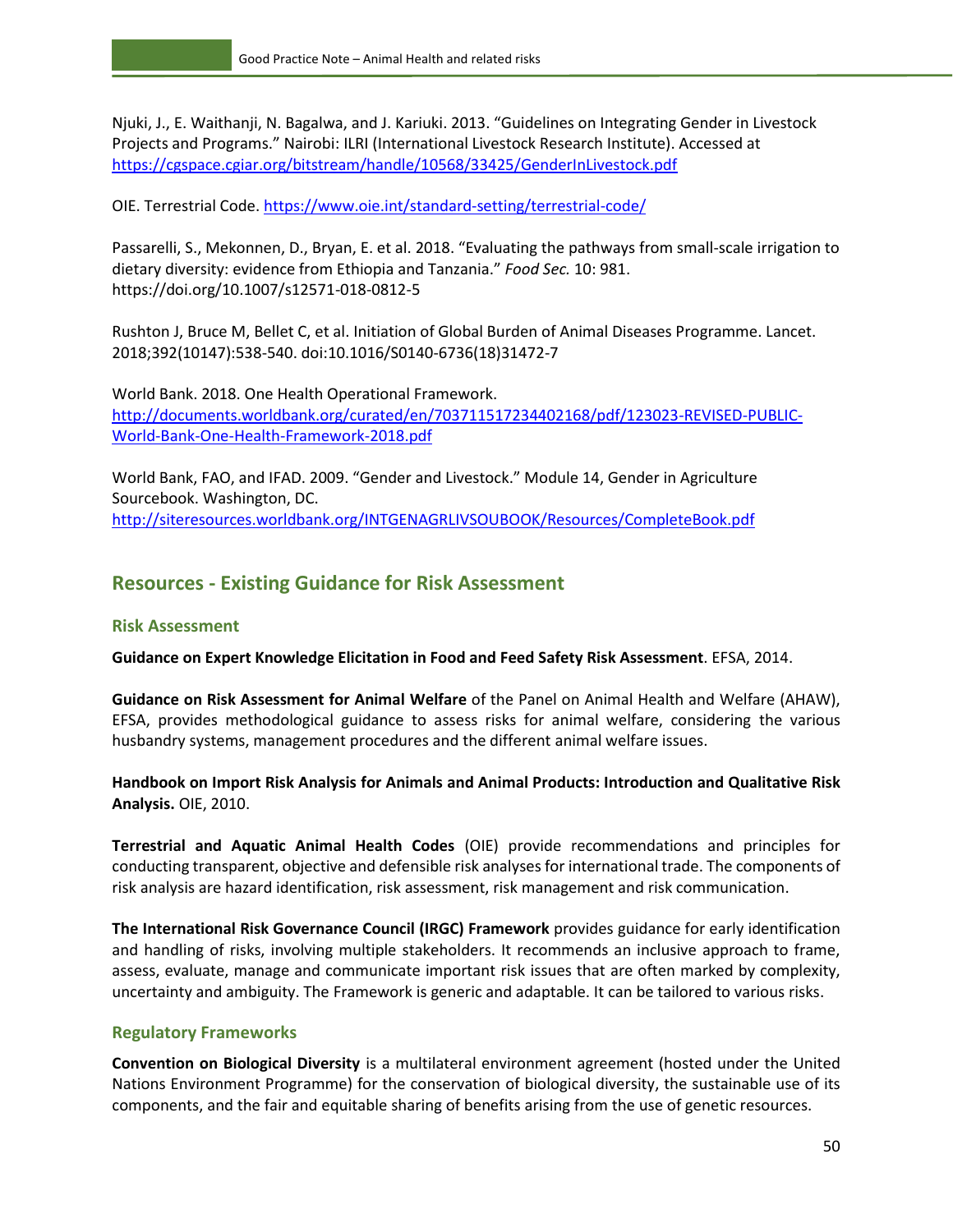Njuki, J., E. Waithanji, N. Bagalwa, and J. Kariuki. 2013. "Guidelines on Integrating Gender in Livestock Projects and Programs." Nairobi: ILRI (International Livestock Research Institute). Accessed at <https://cgspace.cgiar.org/bitstream/handle/10568/33425/GenderInLivestock.pdf>

OIE. Terrestrial Code[. https://www.oie.int/standard-setting/terrestrial-code/](https://www.oie.int/standard-setting/terrestrial-code/)

Passarelli, S., Mekonnen, D., Bryan, E. et al. 2018. "Evaluating the pathways from small-scale irrigation to dietary diversity: evidence from Ethiopia and Tanzania." *Food Sec.* 10: 981. <https://doi.org/10.1007/s12571-018-0812-5>

Rushton J, Bruce M, Bellet C, et al. Initiation of Global Burden of Animal Diseases Programme. Lancet. 2018;392(10147):538-540. doi:10.1016/S0140-6736(18)31472-7

World Bank. 2018. One Health Operational Framework. [http://documents.worldbank.org/curated/en/703711517234402168/pdf/123023-REVISED-PUBLIC-](http://documents.worldbank.org/curated/en/703711517234402168/pdf/123023-REVISED-PUBLIC-World-Bank-One-Health-Framework-2018.pdf)[World-Bank-One-Health-Framework-2018.pdf](http://documents.worldbank.org/curated/en/703711517234402168/pdf/123023-REVISED-PUBLIC-World-Bank-One-Health-Framework-2018.pdf)

World Bank, FAO, and IFAD. 2009. "Gender and Livestock." Module 14, Gender in Agriculture Sourcebook. Washington, DC. <http://siteresources.worldbank.org/INTGENAGRLIVSOUBOOK/Resources/CompleteBook.pdf>

### <span id="page-55-0"></span>**Resources - Existing Guidance for Risk Assessment**

#### **Risk Assessment**

**Guidance on Expert Knowledge Elicitation in Food and Feed Safety Risk Assessment**. EFSA, 2014.

**Guidance on Risk Assessment for Animal Welfare** of the Panel on Animal Health and Welfare (AHAW), EFSA, provides methodological guidance to assess risks for animal welfare, considering the various husbandry systems, management procedures and the different animal welfare issues.

**Handbook on Import Risk Analysis for Animals and Animal Products: Introduction and Qualitative Risk Analysis.** OIE, 2010.

**Terrestrial and Aquatic Animal Health Codes** (OIE) provide recommendations and principles for conducting transparent, objective and defensible risk analyses for international trade. The components of risk analysis are hazard identification, risk assessment, risk management and risk communication.

**The International Risk Governance Council (IRGC) Framework** provides guidance for early identification and handling of risks, involving multiple stakeholders. It recommends an inclusive approach to frame, assess, evaluate, manage and communicate important risk issues that are often marked by complexity, uncertainty and ambiguity. The Framework is generic and adaptable. It can be tailored to various risks.

#### **Regulatory Frameworks**

**Convention on Biological Diversity** is a multilateral environment agreement (hosted under the United Nations Environment Programme) for the conservation of biological diversity, the sustainable use of its components, and the fair and equitable sharing of benefits arising from the use of genetic resources.